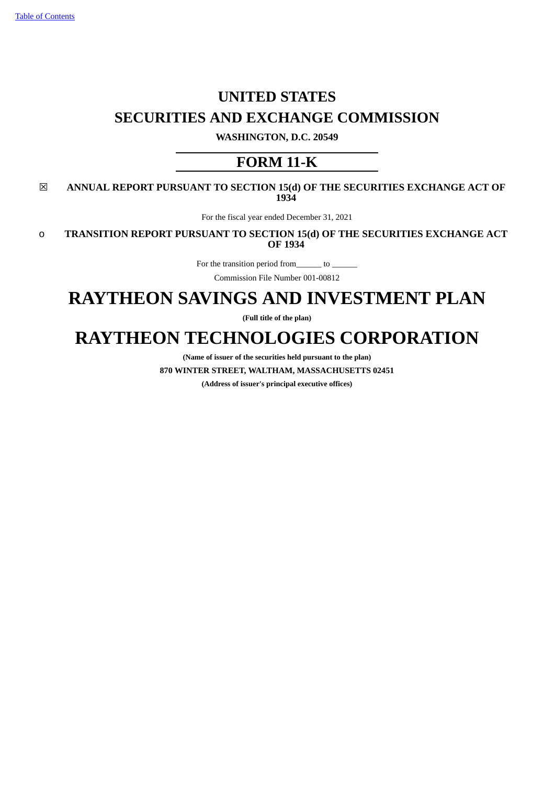# **UNITED STATES**

**SECURITIES AND EXCHANGE COMMISSION**

**WASHINGTON, D.C. 20549**

# **FORM 11-K**

☒ **ANNUAL REPORT PURSUANT TO SECTION 15(d) OF THE SECURITIES EXCHANGE ACT OF 1934**

For the fiscal year ended December 31, 2021

o **TRANSITION REPORT PURSUANT TO SECTION 15(d) OF THE SECURITIES EXCHANGE ACT OF 1934**

For the transition period from \_\_\_\_\_\_\_ to \_\_\_\_\_

Commission File Number 001-00812

# **RAYTHEON SAVINGS AND INVESTMENT PLAN**

**(Full title of the plan)**

# **RAYTHEON TECHNOLOGIES CORPORATION**

**(Name of issuer of the securities held pursuant to the plan)**

**870 WINTER STREET, WALTHAM, MASSACHUSETTS 02451**

**(Address of issuer's principal executive offices)**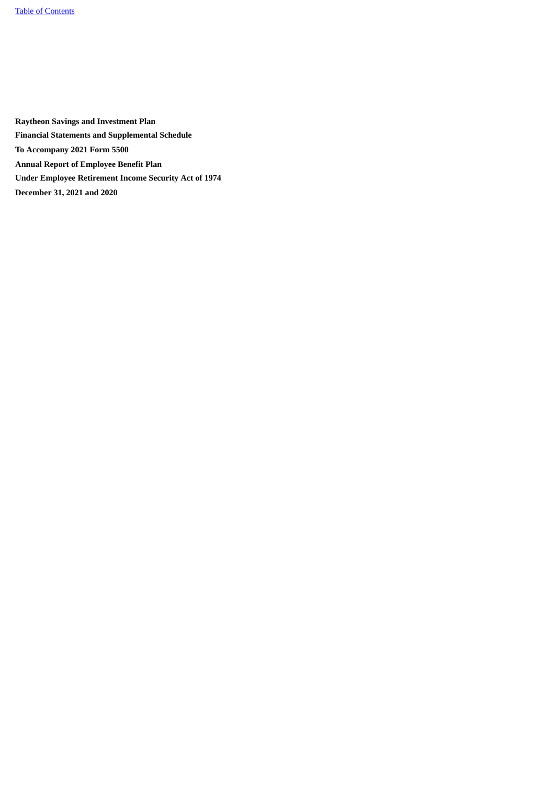<span id="page-1-0"></span>**Raytheon Savings and Investment Plan Financial Statements and Supplemental Schedule To Accompany 2021 Form 5500 Annual Report of Employee Benefit Plan Under Employee Retirement Income Security Act of 1974 December 31, 2021 and 2020**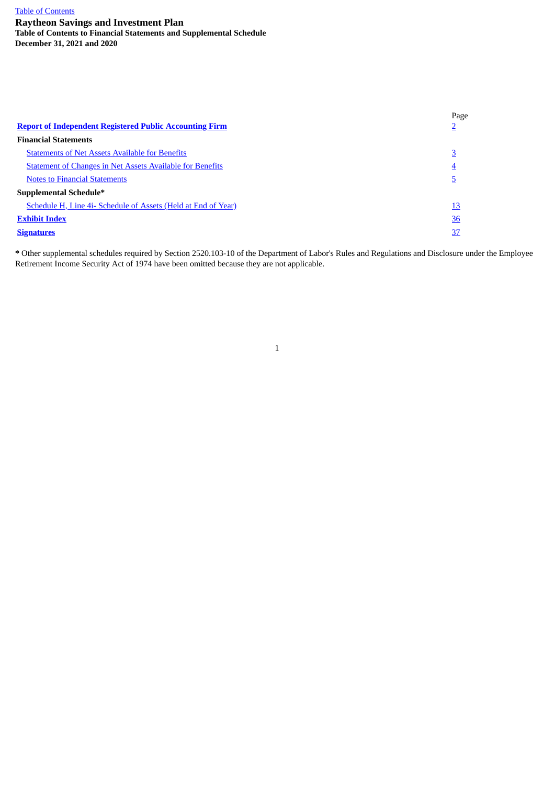# Table of [Contents](#page-1-0)

**Raytheon Savings and Investment Plan**

**Table of Contents to Financial Statements and Supplemental Schedule**

**December 31, 2021 and 2020**

|                                                                  | Page           |
|------------------------------------------------------------------|----------------|
| <b>Report of Independent Registered Public Accounting Firm</b>   | <u>2</u>       |
| <b>Financial Statements</b>                                      |                |
| <b>Statements of Net Assets Available for Benefits</b>           | <u>3</u>       |
| <b>Statement of Changes in Net Assets Available for Benefits</b> | $\overline{4}$ |
| <b>Notes to Financial Statements</b>                             | $\overline{5}$ |
| Supplemental Schedule*                                           |                |
| Schedule H, Line 4i- Schedule of Assets (Held at End of Year)    | 13             |
| <b>Exhibit Index</b>                                             | 36             |
| <b>Signatures</b>                                                | 37             |

<span id="page-2-0"></span>**\*** Other supplemental schedules required by Section 2520.103-10 of the Department of Labor's Rules and Regulations and Disclosure under the Employee Retirement Income Security Act of 1974 have been omitted because they are not applicable.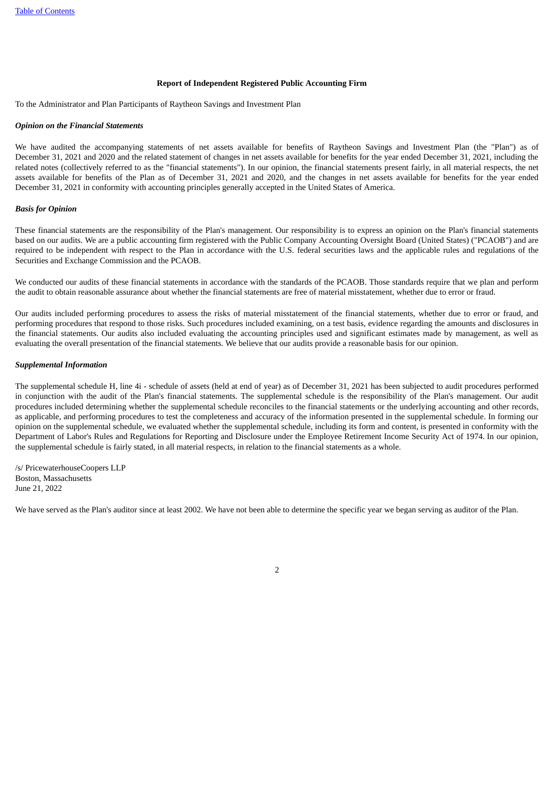#### **Report of Independent Registered Public Accounting Firm**

To the Administrator and Plan Participants of Raytheon Savings and Investment Plan

#### *Opinion on the Financial Statements*

We have audited the accompanying statements of net assets available for benefits of Raytheon Savings and Investment Plan (the "Plan") as of December 31, 2021 and 2020 and the related statement of changes in net assets available for benefits for the year ended December 31, 2021, including the related notes (collectively referred to as the "financial statements"). In our opinion, the financial statements present fairly, in all material respects, the net assets available for benefits of the Plan as of December 31, 2021 and 2020, and the changes in net assets available for benefits for the year ended December 31, 2021 in conformity with accounting principles generally accepted in the United States of America.

#### *Basis for Opinion*

These financial statements are the responsibility of the Plan's management. Our responsibility is to express an opinion on the Plan's financial statements based on our audits. We are a public accounting firm registered with the Public Company Accounting Oversight Board (United States) ("PCAOB") and are required to be independent with respect to the Plan in accordance with the U.S. federal securities laws and the applicable rules and regulations of the Securities and Exchange Commission and the PCAOB.

We conducted our audits of these financial statements in accordance with the standards of the PCAOB. Those standards require that we plan and perform the audit to obtain reasonable assurance about whether the financial statements are free of material misstatement, whether due to error or fraud.

Our audits included performing procedures to assess the risks of material misstatement of the financial statements, whether due to error or fraud, and performing procedures that respond to those risks. Such procedures included examining, on a test basis, evidence regarding the amounts and disclosures in the financial statements. Our audits also included evaluating the accounting principles used and significant estimates made by management, as well as evaluating the overall presentation of the financial statements. We believe that our audits provide a reasonable basis for our opinion.

#### *Supplemental Information*

The supplemental schedule H, line 4i - schedule of assets (held at end of year) as of December 31, 2021 has been subjected to audit procedures performed in conjunction with the audit of the Plan's financial statements. The supplemental schedule is the responsibility of the Plan's management. Our audit procedures included determining whether the supplemental schedule reconciles to the financial statements or the underlying accounting and other records, as applicable, and performing procedures to test the completeness and accuracy of the information presented in the supplemental schedule. In forming our opinion on the supplemental schedule, we evaluated whether the supplemental schedule, including its form and content, is presented in conformity with the Department of Labor's Rules and Regulations for Reporting and Disclosure under the Employee Retirement Income Security Act of 1974. In our opinion, the supplemental schedule is fairly stated, in all material respects, in relation to the financial statements as a whole.

/s/ PricewaterhouseCoopers LLP Boston, Massachusetts June 21, 2022

<span id="page-3-0"></span>We have served as the Plan's auditor since at least 2002. We have not been able to determine the specific year we began serving as auditor of the Plan.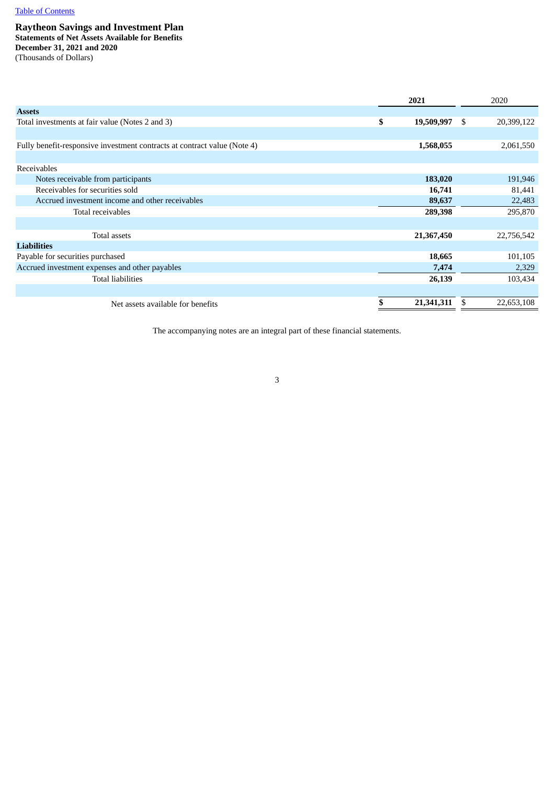# Table of [Contents](#page-1-0)

# **Raytheon Savings and Investment Plan Statements of Net Assets Available for Benefits December 31, 2021 and 2020** (Thousands of Dollars)

|                                                                          | 2021             |    | 2020       |
|--------------------------------------------------------------------------|------------------|----|------------|
| <b>Assets</b>                                                            |                  |    |            |
| Total investments at fair value (Notes 2 and 3)                          | \$<br>19,509,997 | S. | 20,399,122 |
|                                                                          |                  |    |            |
| Fully benefit-responsive investment contracts at contract value (Note 4) | 1,568,055        |    | 2,061,550  |
|                                                                          |                  |    |            |
| Receivables                                                              |                  |    |            |
| Notes receivable from participants                                       | 183,020          |    | 191,946    |
| Receivables for securities sold                                          | 16,741           |    | 81,441     |
| Accrued investment income and other receivables                          | 89,637           |    | 22,483     |
| Total receivables                                                        | 289,398          |    | 295,870    |
|                                                                          |                  |    |            |
| Total assets                                                             | 21,367,450       |    | 22,756,542 |
| <b>Liabilities</b>                                                       |                  |    |            |
| Payable for securities purchased                                         | 18,665           |    | 101,105    |
| Accrued investment expenses and other payables                           | 7,474            |    | 2,329      |
| <b>Total liabilities</b>                                                 | 26,139           |    | 103,434    |
|                                                                          |                  |    |            |
| Net assets available for benefits                                        | \$<br>21,341,311 | S  | 22,653,108 |

<span id="page-4-0"></span>The accompanying notes are an integral part of these financial statements.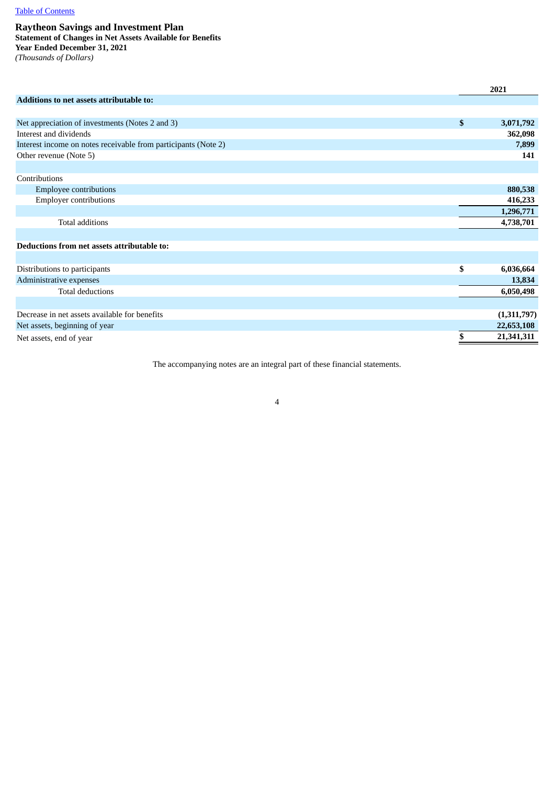# Table of [Contents](#page-1-0)

# **Raytheon Savings and Investment Plan Statement of Changes in Net Assets Available for Benefits Year Ended December 31, 2021** *(Thousands of Dollars)*

|                                                                |              | 2021        |
|----------------------------------------------------------------|--------------|-------------|
| Additions to net assets attributable to:                       |              |             |
|                                                                |              |             |
| Net appreciation of investments (Notes 2 and 3)                | $\mathbf{s}$ | 3,071,792   |
| Interest and dividends                                         |              | 362,098     |
| Interest income on notes receivable from participants (Note 2) |              | 7,899       |
| Other revenue (Note 5)                                         |              | 141         |
|                                                                |              |             |
| Contributions                                                  |              |             |
| <b>Employee contributions</b>                                  |              | 880,538     |
| <b>Employer contributions</b>                                  |              | 416,233     |
|                                                                |              | 1,296,771   |
| Total additions                                                |              | 4,738,701   |
|                                                                |              |             |
| Deductions from net assets attributable to:                    |              |             |
|                                                                |              |             |
| Distributions to participants                                  | \$           | 6,036,664   |
| Administrative expenses                                        |              | 13,834      |
| Total deductions                                               |              | 6,050,498   |
|                                                                |              |             |
| Decrease in net assets available for benefits                  |              | (1,311,797) |
| Net assets, beginning of year                                  |              | 22,653,108  |
| Net assets, end of year                                        | \$           | 21,341,311  |

<span id="page-5-0"></span>The accompanying notes are an integral part of these financial statements.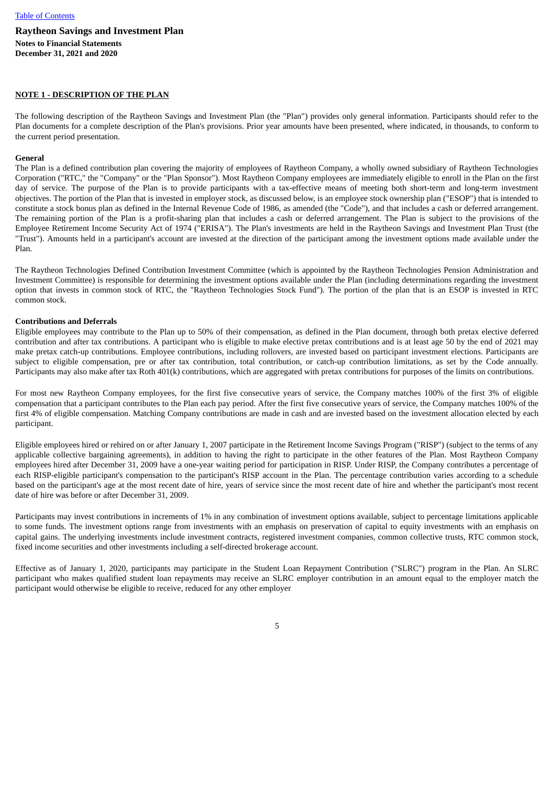#### **NOTE 1 - DESCRIPTION OF THE PLAN**

The following description of the Raytheon Savings and Investment Plan (the "Plan") provides only general information. Participants should refer to the Plan documents for a complete description of the Plan's provisions. Prior year amounts have been presented, where indicated, in thousands, to conform to the current period presentation.

#### **General**

The Plan is a defined contribution plan covering the majority of employees of Raytheon Company, a wholly owned subsidiary of Raytheon Technologies Corporation ("RTC," the "Company" or the "Plan Sponsor"). Most Raytheon Company employees are immediately eligible to enroll in the Plan on the first day of service. The purpose of the Plan is to provide participants with a tax-effective means of meeting both short-term and long-term investment objectives. The portion of the Plan that is invested in employer stock, as discussed below, is an employee stock ownership plan ("ESOP") that is intended to constitute a stock bonus plan as defined in the Internal Revenue Code of 1986, as amended (the "Code"), and that includes a cash or deferred arrangement. The remaining portion of the Plan is a profit-sharing plan that includes a cash or deferred arrangement. The Plan is subject to the provisions of the Employee Retirement Income Security Act of 1974 ("ERISA"). The Plan's investments are held in the Raytheon Savings and Investment Plan Trust (the "Trust"). Amounts held in a participant's account are invested at the direction of the participant among the investment options made available under the Plan.

The Raytheon Technologies Defined Contribution Investment Committee (which is appointed by the Raytheon Technologies Pension Administration and Investment Committee) is responsible for determining the investment options available under the Plan (including determinations regarding the investment option that invests in common stock of RTC, the "Raytheon Technologies Stock Fund"). The portion of the plan that is an ESOP is invested in RTC common stock.

#### **Contributions and Deferrals**

Eligible employees may contribute to the Plan up to 50% of their compensation, as defined in the Plan document, through both pretax elective deferred contribution and after tax contributions. A participant who is eligible to make elective pretax contributions and is at least age 50 by the end of 2021 may make pretax catch-up contributions. Employee contributions, including rollovers, are invested based on participant investment elections. Participants are subject to eligible compensation, pre or after tax contribution, total contribution, or catch-up contribution limitations, as set by the Code annually. Participants may also make after tax Roth 401(k) contributions, which are aggregated with pretax contributions for purposes of the limits on contributions.

For most new Raytheon Company employees, for the first five consecutive years of service, the Company matches 100% of the first 3% of eligible compensation that a participant contributes to the Plan each pay period. After the first five consecutive years of service, the Company matches 100% of the first 4% of eligible compensation. Matching Company contributions are made in cash and are invested based on the investment allocation elected by each participant.

Eligible employees hired or rehired on or after January 1, 2007 participate in the Retirement Income Savings Program ("RISP") (subject to the terms of any applicable collective bargaining agreements), in addition to having the right to participate in the other features of the Plan. Most Raytheon Company employees hired after December 31, 2009 have a one-year waiting period for participation in RISP. Under RISP, the Company contributes a percentage of each RISP-eligible participant's compensation to the participant's RISP account in the Plan. The percentage contribution varies according to a schedule based on the participant's age at the most recent date of hire, years of service since the most recent date of hire and whether the participant's most recent date of hire was before or after December 31, 2009.

Participants may invest contributions in increments of 1% in any combination of investment options available, subject to percentage limitations applicable to some funds. The investment options range from investments with an emphasis on preservation of capital to equity investments with an emphasis on capital gains. The underlying investments include investment contracts, registered investment companies, common collective trusts, RTC common stock, fixed income securities and other investments including a self-directed brokerage account.

Effective as of January 1, 2020, participants may participate in the Student Loan Repayment Contribution ("SLRC") program in the Plan. An SLRC participant who makes qualified student loan repayments may receive an SLRC employer contribution in an amount equal to the employer match the participant would otherwise be eligible to receive, reduced for any other employer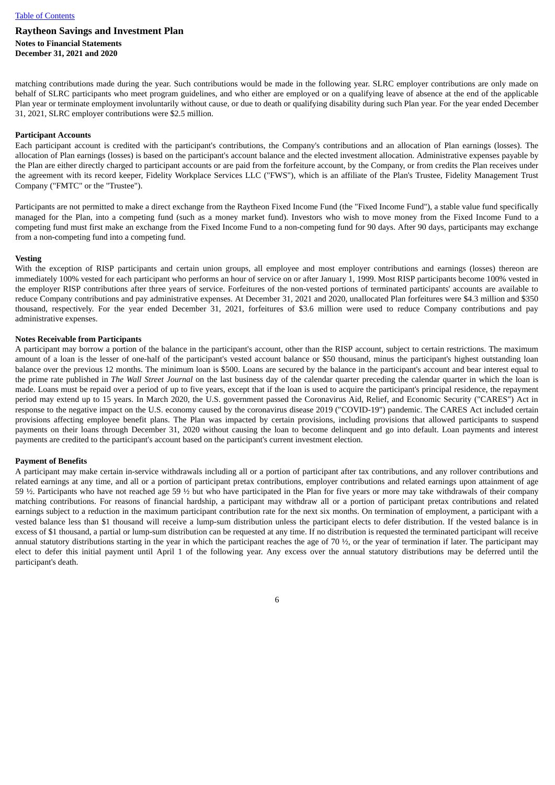# **Raytheon Savings and Investment Plan Notes to Financial Statements December 31, 2021 and 2020**

matching contributions made during the year. Such contributions would be made in the following year. SLRC employer contributions are only made on behalf of SLRC participants who meet program guidelines, and who either are employed or on a qualifying leave of absence at the end of the applicable Plan year or terminate employment involuntarily without cause, or due to death or qualifying disability during such Plan year. For the year ended December 31, 2021, SLRC employer contributions were \$2.5 million.

#### **Participant Accounts**

Each participant account is credited with the participant's contributions, the Company's contributions and an allocation of Plan earnings (losses). The allocation of Plan earnings (losses) is based on the participant's account balance and the elected investment allocation. Administrative expenses payable by the Plan are either directly charged to participant accounts or are paid from the forfeiture account, by the Company, or from credits the Plan receives under the agreement with its record keeper, Fidelity Workplace Services LLC ("FWS"), which is an affiliate of the Plan's Trustee, Fidelity Management Trust Company ("FMTC" or the "Trustee").

Participants are not permitted to make a direct exchange from the Raytheon Fixed Income Fund (the "Fixed Income Fund"), a stable value fund specifically managed for the Plan, into a competing fund (such as a money market fund). Investors who wish to move money from the Fixed Income Fund to a competing fund must first make an exchange from the Fixed Income Fund to a non-competing fund for 90 days. After 90 days, participants may exchange from a non-competing fund into a competing fund.

#### **Vesting**

With the exception of RISP participants and certain union groups, all employee and most employer contributions and earnings (losses) thereon are immediately 100% vested for each participant who performs an hour of service on or after January 1, 1999. Most RISP participants become 100% vested in the employer RISP contributions after three years of service. Forfeitures of the non-vested portions of terminated participants' accounts are available to reduce Company contributions and pay administrative expenses. At December 31, 2021 and 2020, unallocated Plan forfeitures were \$4.3 million and \$350 thousand, respectively. For the year ended December 31, 2021, forfeitures of \$3.6 million were used to reduce Company contributions and pay administrative expenses.

#### **Notes Receivable from Participants**

A participant may borrow a portion of the balance in the participant's account, other than the RISP account, subject to certain restrictions. The maximum amount of a loan is the lesser of one-half of the participant's vested account balance or \$50 thousand, minus the participant's highest outstanding loan balance over the previous 12 months. The minimum loan is \$500. Loans are secured by the balance in the participant's account and bear interest equal to the prime rate published in *The Wall Street Journal* on the last business day of the calendar quarter preceding the calendar quarter in which the loan is made. Loans must be repaid over a period of up to five years, except that if the loan is used to acquire the participant's principal residence, the repayment period may extend up to 15 years. In March 2020, the U.S. government passed the Coronavirus Aid, Relief, and Economic Security ("CARES") Act in response to the negative impact on the U.S. economy caused by the coronavirus disease 2019 ("COVID-19") pandemic. The CARES Act included certain provisions affecting employee benefit plans. The Plan was impacted by certain provisions, including provisions that allowed participants to suspend payments on their loans through December 31, 2020 without causing the loan to become delinquent and go into default. Loan payments and interest payments are credited to the participant's account based on the participant's current investment election.

#### **Payment of Benefits**

A participant may make certain in-service withdrawals including all or a portion of participant after tax contributions, and any rollover contributions and related earnings at any time, and all or a portion of participant pretax contributions, employer contributions and related earnings upon attainment of age 59 ½. Participants who have not reached age 59 ½ but who have participated in the Plan for five years or more may take withdrawals of their company matching contributions. For reasons of financial hardship, a participant may withdraw all or a portion of participant pretax contributions and related earnings subject to a reduction in the maximum participant contribution rate for the next six months. On termination of employment, a participant with a vested balance less than \$1 thousand will receive a lump-sum distribution unless the participant elects to defer distribution. If the vested balance is in excess of \$1 thousand, a partial or lump-sum distribution can be requested at any time. If no distribution is requested the terminated participant will receive annual statutory distributions starting in the year in which the participant reaches the age of 70  $\frac{1}{2}$ , or the year of termination if later. The participant may elect to defer this initial payment until April 1 of the following year. Any excess over the annual statutory distributions may be deferred until the participant's death.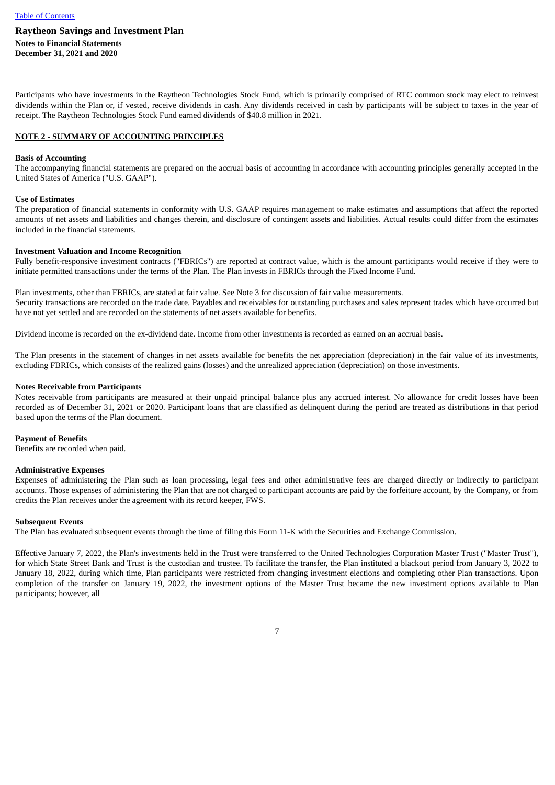# **Raytheon Savings and Investment Plan Notes to Financial Statements December 31, 2021 and 2020**

Participants who have investments in the Raytheon Technologies Stock Fund, which is primarily comprised of RTC common stock may elect to reinvest dividends within the Plan or, if vested, receive dividends in cash. Any dividends received in cash by participants will be subject to taxes in the year of receipt. The Raytheon Technologies Stock Fund earned dividends of \$40.8 million in 2021.

#### **NOTE 2 - SUMMARY OF ACCOUNTING PRINCIPLES**

#### **Basis of Accounting**

The accompanying financial statements are prepared on the accrual basis of accounting in accordance with accounting principles generally accepted in the United States of America ("U.S. GAAP").

#### **Use of Estimates**

The preparation of financial statements in conformity with U.S. GAAP requires management to make estimates and assumptions that affect the reported amounts of net assets and liabilities and changes therein, and disclosure of contingent assets and liabilities. Actual results could differ from the estimates included in the financial statements.

#### **Investment Valuation and Income Recognition**

Fully benefit-responsive investment contracts ("FBRICs") are reported at contract value, which is the amount participants would receive if they were to initiate permitted transactions under the terms of the Plan. The Plan invests in FBRICs through the Fixed Income Fund.

Plan investments, other than FBRICs, are stated at fair value. See Note 3 for discussion of fair value measurements. Security transactions are recorded on the trade date. Payables and receivables for outstanding purchases and sales represent trades which have occurred but have not yet settled and are recorded on the statements of net assets available for benefits.

Dividend income is recorded on the ex-dividend date. Income from other investments is recorded as earned on an accrual basis.

The Plan presents in the statement of changes in net assets available for benefits the net appreciation (depreciation) in the fair value of its investments, excluding FBRICs, which consists of the realized gains (losses) and the unrealized appreciation (depreciation) on those investments.

#### **Notes Receivable from Participants**

Notes receivable from participants are measured at their unpaid principal balance plus any accrued interest. No allowance for credit losses have been recorded as of December 31, 2021 or 2020. Participant loans that are classified as delinquent during the period are treated as distributions in that period based upon the terms of the Plan document.

#### **Payment of Benefits**

Benefits are recorded when paid.

#### **Administrative Expenses**

Expenses of administering the Plan such as loan processing, legal fees and other administrative fees are charged directly or indirectly to participant accounts. Those expenses of administering the Plan that are not charged to participant accounts are paid by the forfeiture account, by the Company, or from credits the Plan receives under the agreement with its record keeper, FWS.

#### **Subsequent Events**

The Plan has evaluated subsequent events through the time of filing this Form 11-K with the Securities and Exchange Commission.

Effective January 7, 2022, the Plan's investments held in the Trust were transferred to the United Technologies Corporation Master Trust ("Master Trust"), for which State Street Bank and Trust is the custodian and trustee. To facilitate the transfer, the Plan instituted a blackout period from January 3, 2022 to January 18, 2022, during which time, Plan participants were restricted from changing investment elections and completing other Plan transactions. Upon completion of the transfer on January 19, 2022, the investment options of the Master Trust became the new investment options available to Plan participants; however, all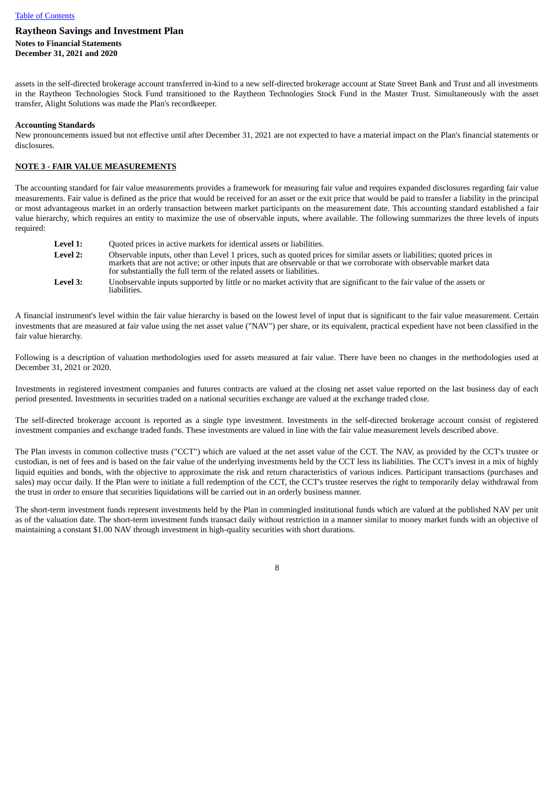# **Raytheon Savings and Investment Plan**

**Notes to Financial Statements December 31, 2021 and 2020**

assets in the self-directed brokerage account transferred in-kind to a new self-directed brokerage account at State Street Bank and Trust and all investments in the Raytheon Technologies Stock Fund transitioned to the Raytheon Technologies Stock Fund in the Master Trust. Simultaneously with the asset transfer, Alight Solutions was made the Plan's recordkeeper.

#### **Accounting Standards**

New pronouncements issued but not effective until after December 31, 2021 are not expected to have a material impact on the Plan's financial statements or disclosures.

#### **NOTE 3 - FAIR VALUE MEASUREMENTS**

The accounting standard for fair value measurements provides a framework for measuring fair value and requires expanded disclosures regarding fair value measurements. Fair value is defined as the price that would be received for an asset or the exit price that would be paid to transfer a liability in the principal or most advantageous market in an orderly transaction between market participants on the measurement date. This accounting standard established a fair value hierarchy, which requires an entity to maximize the use of observable inputs, where available. The following summarizes the three levels of inputs required:

| Level 1: | Quoted prices in active markets for identical assets or liabilities.                                                                                                                                                                                                                                                    |
|----------|-------------------------------------------------------------------------------------------------------------------------------------------------------------------------------------------------------------------------------------------------------------------------------------------------------------------------|
| Level 2: | Observable inputs, other than Level 1 prices, such as quoted prices for similar assets or liabilities; quoted prices in<br>markets that are not active; or other inputs that are observable or that we corroborate with observable market data<br>for substantially the full term of the related assets or liabilities. |
| Level 3: | Unobservable inputs supported by little or no market activity that are significant to the fair value of the assets or<br>liabilities.                                                                                                                                                                                   |

A financial instrument's level within the fair value hierarchy is based on the lowest level of input that is significant to the fair value measurement. Certain investments that are measured at fair value using the net asset value ("NAV") per share, or its equivalent, practical expedient have not been classified in the fair value hierarchy.

Following is a description of valuation methodologies used for assets measured at fair value. There have been no changes in the methodologies used at December 31, 2021 or 2020.

Investments in registered investment companies and futures contracts are valued at the closing net asset value reported on the last business day of each period presented. Investments in securities traded on a national securities exchange are valued at the exchange traded close.

The self-directed brokerage account is reported as a single type investment. Investments in the self-directed brokerage account consist of registered investment companies and exchange traded funds. These investments are valued in line with the fair value measurement levels described above.

The Plan invests in common collective trusts ("CCT") which are valued at the net asset value of the CCT. The NAV, as provided by the CCT's trustee or custodian, is net of fees and is based on the fair value of the underlying investments held by the CCT less its liabilities. The CCT's invest in a mix of highly liquid equities and bonds, with the objective to approximate the risk and return characteristics of various indices. Participant transactions (purchases and sales) may occur daily. If the Plan were to initiate a full redemption of the CCT, the CCT's trustee reserves the right to temporarily delay withdrawal from the trust in order to ensure that securities liquidations will be carried out in an orderly business manner.

The short-term investment funds represent investments held by the Plan in commingled institutional funds which are valued at the published NAV per unit as of the valuation date. The short-term investment funds transact daily without restriction in a manner similar to money market funds with an objective of maintaining a constant \$1.00 NAV through investment in high-quality securities with short durations.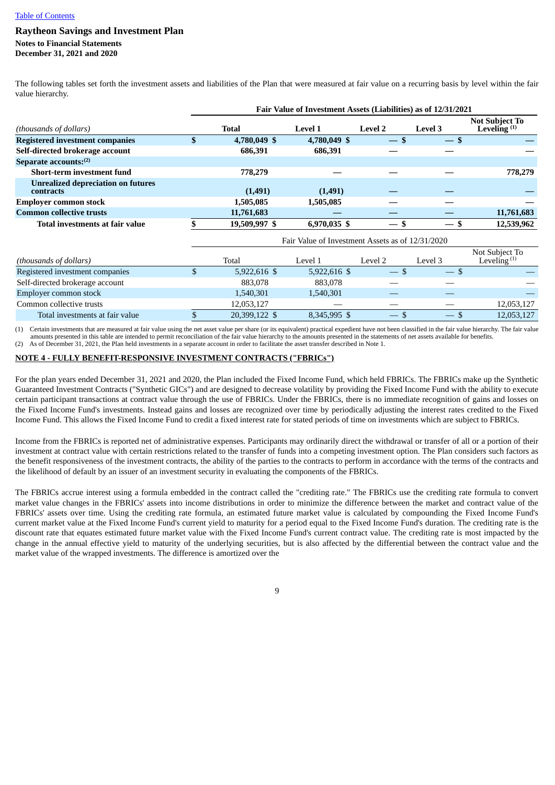# **Raytheon Savings and Investment Plan Notes to Financial Statements December 31, 2021 and 2020**

The following tables set forth the investment assets and liabilities of the Plan that were measured at fair value on a recurring basis by level within the fair value hierarchy.

|                                                               | Fair Value of Investment Assets (Liabilities) as of 12/31/2021 |               |                |                |                          |                                                  |
|---------------------------------------------------------------|----------------------------------------------------------------|---------------|----------------|----------------|--------------------------|--------------------------------------------------|
| (thousands of dollars)                                        |                                                                | Total         | <b>Level 1</b> | <b>Level 2</b> | <b>Level 3</b>           | <b>Not Subject To</b><br>Leveling <sup>(1)</sup> |
| <b>Registered investment companies</b>                        | S                                                              | 4,780,049 \$  | 4,780,049 \$   | $-$ \$         | $-5$                     |                                                  |
| Self-directed brokerage account                               |                                                                | 686,391       | 686,391        |                |                          |                                                  |
| Separate accounts: $(2)$                                      |                                                                |               |                |                |                          |                                                  |
| <b>Short-term investment fund</b>                             |                                                                | 778,279       |                |                |                          | 778,279                                          |
| <b>Unrealized depreciation on futures</b><br><b>contracts</b> |                                                                | (1,491)       | (1,491)        |                |                          |                                                  |
| <b>Employer common stock</b>                                  |                                                                | 1,505,085     | 1,505,085      |                |                          |                                                  |
| <b>Common collective trusts</b>                               |                                                                | 11,761,683    |                |                |                          | 11,761,683                                       |
| Total investments at fair value                               |                                                                | 19,509,997 \$ | 6,970,035 \$   |                | $\overline{\phantom{m}}$ | 12,539,962                                       |

|                                 | Fair Value of Investment Assets as of 12/31/2020 |              |                          |                          |                                  |
|---------------------------------|--------------------------------------------------|--------------|--------------------------|--------------------------|----------------------------------|
| (thousands of dollars)          | Total                                            | Level 1      | Level 2                  | Level 3                  | Not Subject To<br>Leveling $(1)$ |
| Registered investment companies | 5,922,616 \$                                     | 5,922,616 \$ | $-$ \$                   | $-$ \$                   |                                  |
| Self-directed brokerage account | 883,078                                          | 883,078      |                          |                          |                                  |
| Employer common stock           | 1,540,301                                        | 1,540,301    |                          |                          |                                  |
| Common collective trusts        | 12,053,127                                       |              |                          |                          | 12,053,127                       |
| Total investments at fair value | 20,399,122 \$                                    | 8,345,995 \$ | $\overline{\phantom{m}}$ | $\overline{\phantom{m}}$ | 12,053,127                       |

(1) Certain investments that are measured at fair value using the net asset value per share (or its equivalent) practical expedient have not been classified in the fair value hierarchy. The fair value amounts presented in this table are intended to permit reconciliation of the fair value hierarchy to the amounts presented in the statements of net assets available for benefits. (2) As of December 31, 2021, the Plan held investments in a separate account in order to facilitate the asset transfer described in Note 1.

# **NOTE 4 - FULLY BENEFIT-RESPONSIVE INVESTMENT CONTRACTS ("FBRICs")**

For the plan years ended December 31, 2021 and 2020, the Plan included the Fixed Income Fund, which held FBRICs. The FBRICs make up the Synthetic Guaranteed Investment Contracts ("Synthetic GICs") and are designed to decrease volatility by providing the Fixed Income Fund with the ability to execute certain participant transactions at contract value through the use of FBRICs. Under the FBRICs, there is no immediate recognition of gains and losses on the Fixed Income Fund's investments. Instead gains and losses are recognized over time by periodically adjusting the interest rates credited to the Fixed Income Fund. This allows the Fixed Income Fund to credit a fixed interest rate for stated periods of time on investments which are subject to FBRICs.

Income from the FBRICs is reported net of administrative expenses. Participants may ordinarily direct the withdrawal or transfer of all or a portion of their investment at contract value with certain restrictions related to the transfer of funds into a competing investment option. The Plan considers such factors as the benefit responsiveness of the investment contracts, the ability of the parties to the contracts to perform in accordance with the terms of the contracts and the likelihood of default by an issuer of an investment security in evaluating the components of the FBRICs.

The FBRICs accrue interest using a formula embedded in the contract called the "crediting rate." The FBRICs use the crediting rate formula to convert market value changes in the FBRICs' assets into income distributions in order to minimize the difference between the market and contract value of the FBRICs' assets over time. Using the crediting rate formula, an estimated future market value is calculated by compounding the Fixed Income Fund's current market value at the Fixed Income Fund's current yield to maturity for a period equal to the Fixed Income Fund's duration. The crediting rate is the discount rate that equates estimated future market value with the Fixed Income Fund's current contract value. The crediting rate is most impacted by the change in the annual effective yield to maturity of the underlying securities, but is also affected by the differential between the contract value and the market value of the wrapped investments. The difference is amortized over the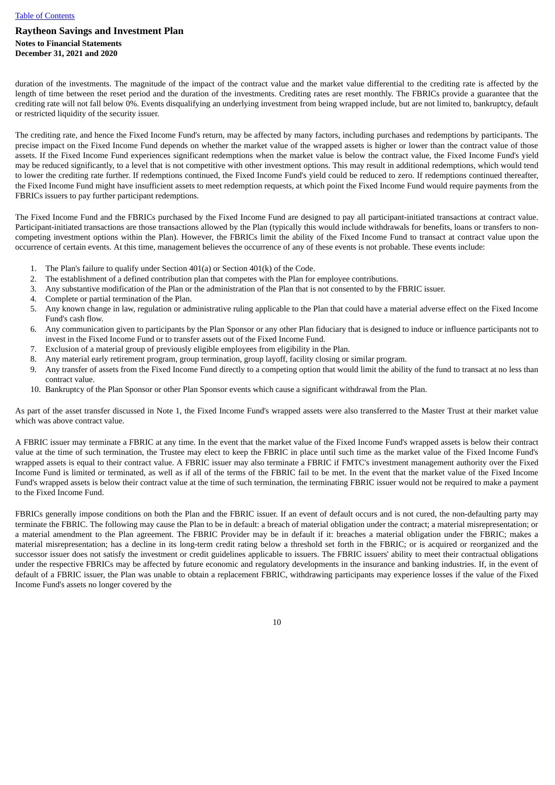#### Table of [Contents](#page-1-0)

# **Raytheon Savings and Investment Plan Notes to Financial Statements December 31, 2021 and 2020**

duration of the investments. The magnitude of the impact of the contract value and the market value differential to the crediting rate is affected by the length of time between the reset period and the duration of the investments. Crediting rates are reset monthly. The FBRICs provide a guarantee that the crediting rate will not fall below 0%. Events disqualifying an underlying investment from being wrapped include, but are not limited to, bankruptcy, default or restricted liquidity of the security issuer.

The crediting rate, and hence the Fixed Income Fund's return, may be affected by many factors, including purchases and redemptions by participants. The precise impact on the Fixed Income Fund depends on whether the market value of the wrapped assets is higher or lower than the contract value of those assets. If the Fixed Income Fund experiences significant redemptions when the market value is below the contract value, the Fixed Income Fund's yield may be reduced significantly, to a level that is not competitive with other investment options. This may result in additional redemptions, which would tend to lower the crediting rate further. If redemptions continued, the Fixed Income Fund's yield could be reduced to zero. If redemptions continued thereafter, the Fixed Income Fund might have insufficient assets to meet redemption requests, at which point the Fixed Income Fund would require payments from the FBRICs issuers to pay further participant redemptions.

The Fixed Income Fund and the FBRICs purchased by the Fixed Income Fund are designed to pay all participant-initiated transactions at contract value. Participant-initiated transactions are those transactions allowed by the Plan (typically this would include withdrawals for benefits, loans or transfers to noncompeting investment options within the Plan). However, the FBRICs limit the ability of the Fixed Income Fund to transact at contract value upon the occurrence of certain events. At this time, management believes the occurrence of any of these events is not probable. These events include:

- 1. The Plan's failure to qualify under Section 401(a) or Section 401(k) of the Code.
- 2. The establishment of a defined contribution plan that competes with the Plan for employee contributions.
- 3. Any substantive modification of the Plan or the administration of the Plan that is not consented to by the FBRIC issuer.
- 4. Complete or partial termination of the Plan.
- 5. Any known change in law, regulation or administrative ruling applicable to the Plan that could have a material adverse effect on the Fixed Income Fund's cash flow.
- 6. Any communication given to participants by the Plan Sponsor or any other Plan fiduciary that is designed to induce or influence participants not to invest in the Fixed Income Fund or to transfer assets out of the Fixed Income Fund.
- 7. Exclusion of a material group of previously eligible employees from eligibility in the Plan.
- 8. Any material early retirement program, group termination, group layoff, facility closing or similar program.
- 9. Any transfer of assets from the Fixed Income Fund directly to a competing option that would limit the ability of the fund to transact at no less than contract value.
- 10. Bankruptcy of the Plan Sponsor or other Plan Sponsor events which cause a significant withdrawal from the Plan.

As part of the asset transfer discussed in Note 1, the Fixed Income Fund's wrapped assets were also transferred to the Master Trust at their market value which was above contract value.

A FBRIC issuer may terminate a FBRIC at any time. In the event that the market value of the Fixed Income Fund's wrapped assets is below their contract value at the time of such termination, the Trustee may elect to keep the FBRIC in place until such time as the market value of the Fixed Income Fund's wrapped assets is equal to their contract value. A FBRIC issuer may also terminate a FBRIC if FMTC's investment management authority over the Fixed Income Fund is limited or terminated, as well as if all of the terms of the FBRIC fail to be met. In the event that the market value of the Fixed Income Fund's wrapped assets is below their contract value at the time of such termination, the terminating FBRIC issuer would not be required to make a payment to the Fixed Income Fund.

FBRICs generally impose conditions on both the Plan and the FBRIC issuer. If an event of default occurs and is not cured, the non-defaulting party may terminate the FBRIC. The following may cause the Plan to be in default: a breach of material obligation under the contract; a material misrepresentation; or a material amendment to the Plan agreement. The FBRIC Provider may be in default if it: breaches a material obligation under the FBRIC; makes a material misrepresentation; has a decline in its long-term credit rating below a threshold set forth in the FBRIC; or is acquired or reorganized and the successor issuer does not satisfy the investment or credit guidelines applicable to issuers. The FBRIC issuers' ability to meet their contractual obligations under the respective FBRICs may be affected by future economic and regulatory developments in the insurance and banking industries. If, in the event of default of a FBRIC issuer, the Plan was unable to obtain a replacement FBRIC, withdrawing participants may experience losses if the value of the Fixed Income Fund's assets no longer covered by the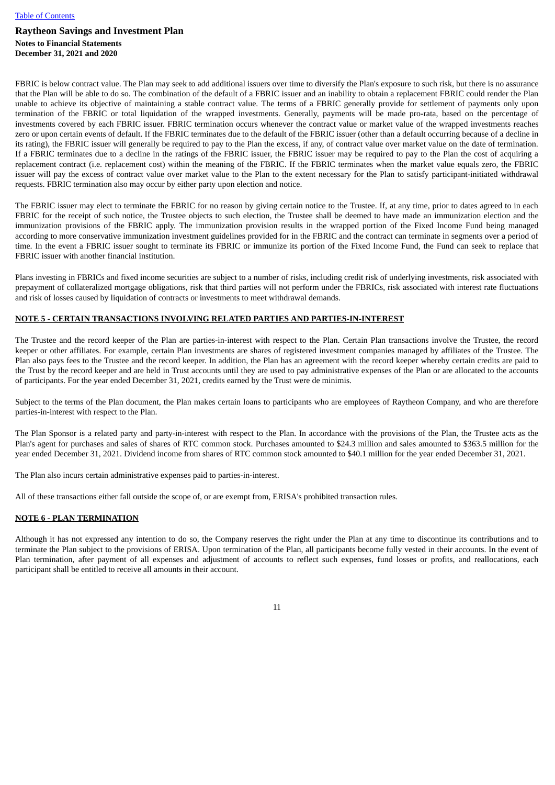# **Raytheon Savings and Investment Plan Notes to Financial Statements December 31, 2021 and 2020**

FBRIC is below contract value. The Plan may seek to add additional issuers over time to diversify the Plan's exposure to such risk, but there is no assurance that the Plan will be able to do so. The combination of the default of a FBRIC issuer and an inability to obtain a replacement FBRIC could render the Plan unable to achieve its objective of maintaining a stable contract value. The terms of a FBRIC generally provide for settlement of payments only upon termination of the FBRIC or total liquidation of the wrapped investments. Generally, payments will be made pro-rata, based on the percentage of investments covered by each FBRIC issuer. FBRIC termination occurs whenever the contract value or market value of the wrapped investments reaches zero or upon certain events of default. If the FBRIC terminates due to the default of the FBRIC issuer (other than a default occurring because of a decline in its rating), the FBRIC issuer will generally be required to pay to the Plan the excess, if any, of contract value over market value on the date of termination. If a FBRIC terminates due to a decline in the ratings of the FBRIC issuer, the FBRIC issuer may be required to pay to the Plan the cost of acquiring a replacement contract (i.e. replacement cost) within the meaning of the FBRIC. If the FBRIC terminates when the market value equals zero, the FBRIC issuer will pay the excess of contract value over market value to the Plan to the extent necessary for the Plan to satisfy participant-initiated withdrawal requests. FBRIC termination also may occur by either party upon election and notice.

The FBRIC issuer may elect to terminate the FBRIC for no reason by giving certain notice to the Trustee. If, at any time, prior to dates agreed to in each FBRIC for the receipt of such notice, the Trustee objects to such election, the Trustee shall be deemed to have made an immunization election and the immunization provisions of the FBRIC apply. The immunization provision results in the wrapped portion of the Fixed Income Fund being managed according to more conservative immunization investment guidelines provided for in the FBRIC and the contract can terminate in segments over a period of time. In the event a FBRIC issuer sought to terminate its FBRIC or immunize its portion of the Fixed Income Fund, the Fund can seek to replace that FBRIC issuer with another financial institution.

Plans investing in FBRICs and fixed income securities are subject to a number of risks, including credit risk of underlying investments, risk associated with prepayment of collateralized mortgage obligations, risk that third parties will not perform under the FBRICs, risk associated with interest rate fluctuations and risk of losses caused by liquidation of contracts or investments to meet withdrawal demands.

# **NOTE 5 - CERTAIN TRANSACTIONS INVOLVING RELATED PARTIES AND PARTIES-IN-INTEREST**

The Trustee and the record keeper of the Plan are parties-in-interest with respect to the Plan. Certain Plan transactions involve the Trustee, the record keeper or other affiliates. For example, certain Plan investments are shares of registered investment companies managed by affiliates of the Trustee. The Plan also pays fees to the Trustee and the record keeper. In addition, the Plan has an agreement with the record keeper whereby certain credits are paid to the Trust by the record keeper and are held in Trust accounts until they are used to pay administrative expenses of the Plan or are allocated to the accounts of participants. For the year ended December 31, 2021, credits earned by the Trust were de minimis.

Subject to the terms of the Plan document, the Plan makes certain loans to participants who are employees of Raytheon Company, and who are therefore parties-in-interest with respect to the Plan.

The Plan Sponsor is a related party and party-in-interest with respect to the Plan. In accordance with the provisions of the Plan, the Trustee acts as the Plan's agent for purchases and sales of shares of RTC common stock. Purchases amounted to \$24.3 million and sales amounted to \$363.5 million for the year ended December 31, 2021. Dividend income from shares of RTC common stock amounted to \$40.1 million for the year ended December 31, 2021.

The Plan also incurs certain administrative expenses paid to parties-in-interest.

All of these transactions either fall outside the scope of, or are exempt from, ERISA's prohibited transaction rules.

# **NOTE 6 - PLAN TERMINATION**

Although it has not expressed any intention to do so, the Company reserves the right under the Plan at any time to discontinue its contributions and to terminate the Plan subject to the provisions of ERISA. Upon termination of the Plan, all participants become fully vested in their accounts. In the event of Plan termination, after payment of all expenses and adjustment of accounts to reflect such expenses, fund losses or profits, and reallocations, each participant shall be entitled to receive all amounts in their account.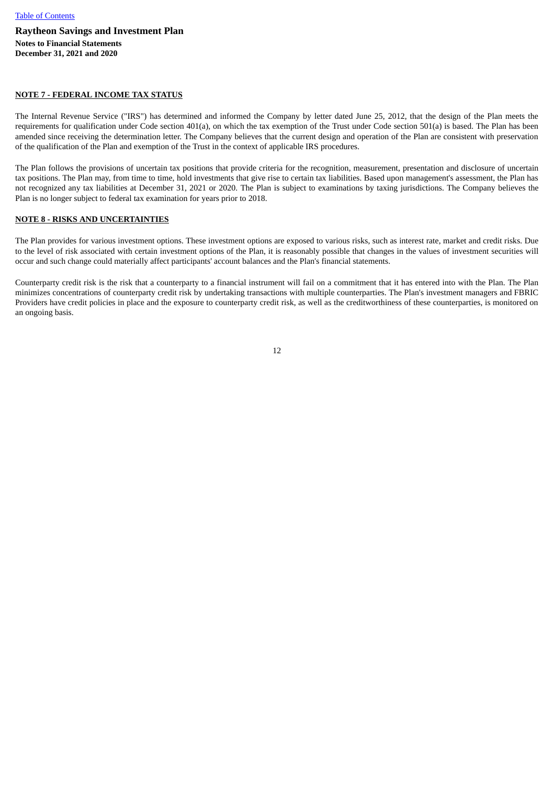#### **NOTE 7 - FEDERAL INCOME TAX STATUS**

The Internal Revenue Service ("IRS") has determined and informed the Company by letter dated June 25, 2012, that the design of the Plan meets the requirements for qualification under Code section 401(a), on which the tax exemption of the Trust under Code section 501(a) is based. The Plan has been amended since receiving the determination letter. The Company believes that the current design and operation of the Plan are consistent with preservation of the qualification of the Plan and exemption of the Trust in the context of applicable IRS procedures.

The Plan follows the provisions of uncertain tax positions that provide criteria for the recognition, measurement, presentation and disclosure of uncertain tax positions. The Plan may, from time to time, hold investments that give rise to certain tax liabilities. Based upon management's assessment, the Plan has not recognized any tax liabilities at December 31, 2021 or 2020. The Plan is subject to examinations by taxing jurisdictions. The Company believes the Plan is no longer subject to federal tax examination for years prior to 2018.

#### **NOTE 8 - RISKS AND UNCERTAINTIES**

The Plan provides for various investment options. These investment options are exposed to various risks, such as interest rate, market and credit risks. Due to the level of risk associated with certain investment options of the Plan, it is reasonably possible that changes in the values of investment securities will occur and such change could materially affect participants' account balances and the Plan's financial statements.

<span id="page-13-0"></span>Counterparty credit risk is the risk that a counterparty to a financial instrument will fail on a commitment that it has entered into with the Plan. The Plan minimizes concentrations of counterparty credit risk by undertaking transactions with multiple counterparties. The Plan's investment managers and FBRIC Providers have credit policies in place and the exposure to counterparty credit risk, as well as the creditworthiness of these counterparties, is monitored on an ongoing basis.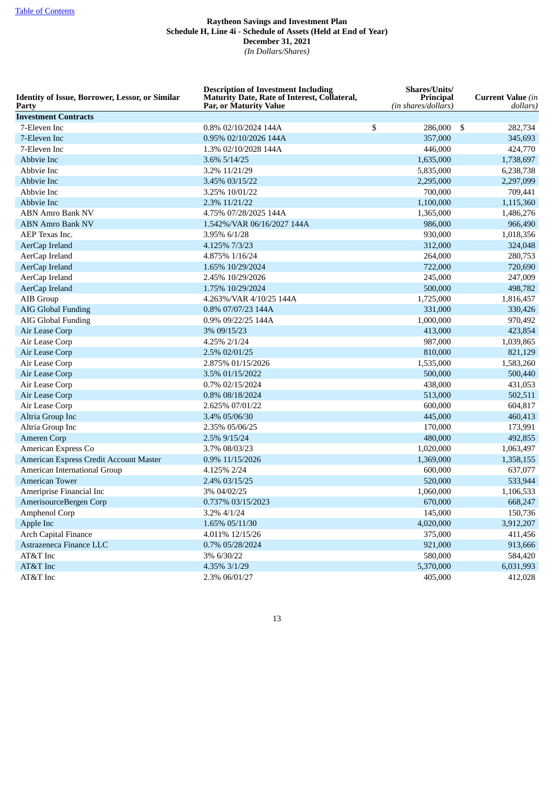| <b>Identity of Issue, Borrower, Lessor, or Similar</b><br>Party | <b>Description of Investment Including</b><br>Maturity Date, Rate of Interest, Collateral,<br>Par, or Maturity Value | Shares/Units/<br>Principal<br>(in shares/dollars) |      | <b>Current Value</b> (in<br>dollars) |
|-----------------------------------------------------------------|----------------------------------------------------------------------------------------------------------------------|---------------------------------------------------|------|--------------------------------------|
| <b>Investment Contracts</b>                                     |                                                                                                                      |                                                   |      |                                      |
| 7-Eleven Inc                                                    | 0.8% 02/10/2024 144A                                                                                                 | \$<br>286,000                                     | - \$ | 282,734                              |
| 7-Eleven Inc                                                    | 0.95% 02/10/2026 144A                                                                                                | 357,000                                           |      | 345,693                              |
| 7-Eleven Inc                                                    | 1.3% 02/10/2028 144A                                                                                                 | 446,000                                           |      | 424,770                              |
| Abbyie Inc                                                      | 3.6% 5/14/25                                                                                                         | 1,635,000                                         |      | 1,738,697                            |
| Abbvie Inc                                                      | 3.2% 11/21/29                                                                                                        | 5,835,000                                         |      | 6,238,738                            |
| Abbvie Inc                                                      | 3.45% 03/15/22                                                                                                       | 2,295,000                                         |      | 2,297,099                            |
| Abbyie Inc.                                                     | 3.25% 10/01/22                                                                                                       | 700,000                                           |      | 709,441                              |
| Abbvie Inc                                                      | 2.3% 11/21/22                                                                                                        | 1,100,000                                         |      | 1,115,360                            |
| <b>ABN Amro Bank NV</b>                                         | 4.75% 07/28/2025 144A                                                                                                | 1,365,000                                         |      | 1,486,276                            |
| <b>ABN Amro Bank NV</b>                                         | 1.542%/VAR 06/16/2027 144A                                                                                           | 986,000                                           |      | 966,490                              |
| AEP Texas Inc.                                                  | 3.95% 6/1/28                                                                                                         | 930,000                                           |      | 1,018,356                            |
| AerCap Ireland                                                  | 4.125% 7/3/23                                                                                                        | 312,000                                           |      | 324,048                              |
| AerCap Ireland                                                  | 4.875% 1/16/24                                                                                                       | 264,000                                           |      | 280,753                              |
| AerCap Ireland                                                  | 1.65% 10/29/2024                                                                                                     | 722,000                                           |      | 720,690                              |
| AerCap Ireland                                                  | 2.45% 10/29/2026                                                                                                     | 245,000                                           |      | 247,009                              |
| AerCap Ireland                                                  | 1.75% 10/29/2024                                                                                                     | 500,000                                           |      | 498,782                              |
| AIB Group                                                       | 4.263%/VAR 4/10/25 144A                                                                                              | 1,725,000                                         |      | 1,816,457                            |
| <b>AIG Global Funding</b>                                       | 0.8% 07/07/23 144A                                                                                                   | 331,000                                           |      | 330,426                              |
| AIG Global Funding                                              | 0.9% 09/22/25 144A                                                                                                   | 1,000,000                                         |      | 970,492                              |
| Air Lease Corp                                                  | 3% 09/15/23                                                                                                          | 413,000                                           |      | 423,854                              |
| Air Lease Corp                                                  | 4.25% 2/1/24                                                                                                         | 987,000                                           |      | 1,039,865                            |
| Air Lease Corp                                                  | 2.5% 02/01/25                                                                                                        | 810,000                                           |      | 821,129                              |
| Air Lease Corp                                                  | 2.875% 01/15/2026                                                                                                    | 1,535,000                                         |      | 1,583,260                            |
| Air Lease Corp                                                  | 3.5% 01/15/2022                                                                                                      | 500,000                                           |      | 500,440                              |
| Air Lease Corp                                                  | 0.7% 02/15/2024                                                                                                      | 438,000                                           |      | 431,053                              |
| Air Lease Corp                                                  | 0.8% 08/18/2024                                                                                                      | 513,000                                           |      | 502,511                              |
| Air Lease Corp                                                  | 2.625% 07/01/22                                                                                                      | 600,000                                           |      | 604,817                              |
| Altria Group Inc                                                | 3.4% 05/06/30                                                                                                        | 445,000                                           |      | 460,413                              |
| Altria Group Inc                                                | 2.35% 05/06/25                                                                                                       | 170,000                                           |      | 173,991                              |
| <b>Ameren Corp</b>                                              | 2.5% 9/15/24                                                                                                         | 480,000                                           |      | 492,855                              |
| American Express Co                                             | 3.7% 08/03/23                                                                                                        | 1,020,000                                         |      | 1,063,497                            |
| American Express Credit Account Master                          | 0.9% 11/15/2026                                                                                                      | 1,369,000                                         |      | 1,358,155                            |
| American International Group                                    | 4.125% 2/24                                                                                                          | 600,000                                           |      | 637,077                              |
| <b>American Tower</b>                                           | 2.4% 03/15/25                                                                                                        | 520,000                                           |      | 533,944                              |
| Ameriprise Financial Inc                                        | 3% 04/02/25                                                                                                          | 1,060,000                                         |      | 1,106,533                            |
| AmerisourceBergen Corp                                          | 0.737% 03/15/2023                                                                                                    | 670,000                                           |      | 668,247                              |
| Amphenol Corp                                                   | 3.2% 4/1/24                                                                                                          | 145,000                                           |      | 150,736                              |
| Apple Inc                                                       | 1.65% 05/11/30                                                                                                       | 4,020,000                                         |      | 3,912,207                            |
| Arch Capital Finance                                            | 4.011% 12/15/26                                                                                                      | 375,000                                           |      | 411,456                              |
| Astrazeneca Finance LLC                                         | 0.7% 05/28/2024                                                                                                      | 921,000                                           |      | 913,666                              |
| AT&T Inc                                                        | 3% 6/30/22                                                                                                           | 580,000                                           |      | 584,420                              |
| AT&T Inc                                                        | 4.35% 3/1/29                                                                                                         | 5,370,000                                         |      | 6,031,993                            |
| AT&T Inc                                                        | 2.3% 06/01/27                                                                                                        | 405,000                                           |      | 412,028                              |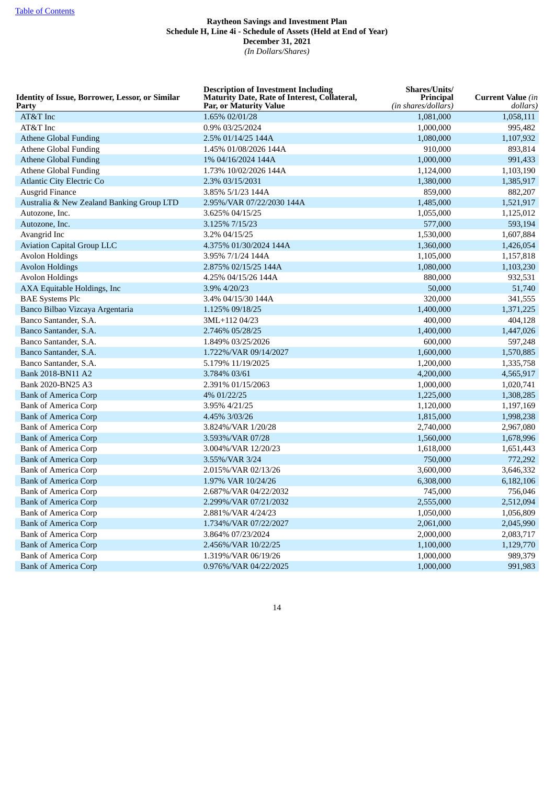| <b>Identity of Issue, Borrower, Lessor, or Similar</b><br>Party | <b>Description of Investment Including</b><br><b>Maturity Date, Rate of Interest, Collateral,</b><br>Par, or Maturity Value | Shares/Units/<br><b>Principal</b><br>(in shares/dollars) | <b>Current Value</b> (in<br>dollars) |
|-----------------------------------------------------------------|-----------------------------------------------------------------------------------------------------------------------------|----------------------------------------------------------|--------------------------------------|
| AT&T Inc                                                        | 1.65% 02/01/28                                                                                                              | 1,081,000                                                | 1,058,111                            |
| AT&T Inc                                                        | 0.9% 03/25/2024                                                                                                             | 1,000,000                                                | 995,482                              |
| <b>Athene Global Funding</b>                                    | 2.5% 01/14/25 144A                                                                                                          | 1,080,000                                                | 1,107,932                            |
| <b>Athene Global Funding</b>                                    | 1.45% 01/08/2026 144A                                                                                                       | 910,000                                                  | 893,814                              |
| <b>Athene Global Funding</b>                                    | 1% 04/16/2024 144A                                                                                                          | 1,000,000                                                | 991,433                              |
| <b>Athene Global Funding</b>                                    | 1.73% 10/02/2026 144A                                                                                                       | 1,124,000                                                | 1,103,190                            |
| <b>Atlantic City Electric Co</b>                                | 2.3% 03/15/2031                                                                                                             | 1,380,000                                                | 1,385,917                            |
| <b>Ausgrid Finance</b>                                          | 3.85% 5/1/23 144A                                                                                                           | 859,000                                                  | 882,207                              |
| Australia & New Zealand Banking Group LTD                       | 2.95%/VAR 07/22/2030 144A                                                                                                   | 1,485,000                                                | 1,521,917                            |
| Autozone, Inc.                                                  | 3.625% 04/15/25                                                                                                             | 1,055,000                                                | 1,125,012                            |
| Autozone, Inc.                                                  | 3.125% 7/15/23                                                                                                              | 577,000                                                  | 593,194                              |
| Avangrid Inc                                                    | 3.2% 04/15/25                                                                                                               | 1,530,000                                                | 1,607,884                            |
| <b>Aviation Capital Group LLC</b>                               | 4.375% 01/30/2024 144A                                                                                                      | 1,360,000                                                | 1,426,054                            |
| <b>Avolon Holdings</b>                                          | 3.95% 7/1/24 144A                                                                                                           | 1,105,000                                                | 1,157,818                            |
| <b>Avolon Holdings</b>                                          | 2.875% 02/15/25 144A                                                                                                        | 1,080,000                                                | 1,103,230                            |
| <b>Avolon Holdings</b>                                          | 4.25% 04/15/26 144A                                                                                                         | 880,000                                                  | 932,531                              |
| AXA Equitable Holdings, Inc.                                    | 3.9% 4/20/23                                                                                                                | 50,000                                                   | 51,740                               |
| <b>BAE Systems Plc</b>                                          | 3.4% 04/15/30 144A                                                                                                          | 320,000                                                  | 341,555                              |
| Banco Bilbao Vizcaya Argentaria                                 | 1.125% 09/18/25                                                                                                             | 1,400,000                                                | 1,371,225                            |
| Banco Santander, S.A.                                           | 3ML+112 04/23                                                                                                               | 400,000                                                  | 404,128                              |
| Banco Santander, S.A.                                           | 2.746% 05/28/25                                                                                                             | 1,400,000                                                | 1,447,026                            |
| Banco Santander, S.A.                                           | 1.849% 03/25/2026                                                                                                           | 600,000                                                  | 597,248                              |
| Banco Santander, S.A.                                           | 1.722%/VAR 09/14/2027                                                                                                       | 1,600,000                                                | 1,570,885                            |
| Banco Santander, S.A.                                           | 5.179% 11/19/2025                                                                                                           | 1,200,000                                                | 1,335,758                            |
| Bank 2018-BN11 A2                                               | 3.784% 03/61                                                                                                                | 4,200,000                                                | 4,565,917                            |
| Bank 2020-BN25 A3                                               | 2.391% 01/15/2063                                                                                                           | 1,000,000                                                | 1,020,741                            |
| <b>Bank of America Corp</b>                                     | 4% 01/22/25                                                                                                                 | 1,225,000                                                | 1,308,285                            |
| <b>Bank of America Corp</b>                                     | 3.95% 4/21/25                                                                                                               | 1,120,000                                                | 1,197,169                            |
| <b>Bank of America Corp</b>                                     | 4.45% 3/03/26                                                                                                               | 1,815,000                                                | 1,998,238                            |
| <b>Bank of America Corp</b>                                     | 3.824%/VAR 1/20/28                                                                                                          | 2,740,000                                                | 2,967,080                            |
| <b>Bank of America Corp</b>                                     | 3.593%/VAR 07/28                                                                                                            | 1,560,000                                                | 1,678,996                            |
| <b>Bank of America Corp</b>                                     | 3.004%/VAR 12/20/23                                                                                                         | 1,618,000                                                | 1,651,443                            |
| <b>Bank of America Corp</b>                                     | 3.55%/VAR 3/24                                                                                                              | 750,000                                                  | 772,292                              |
| <b>Bank of America Corp</b>                                     | 2.015%/VAR 02/13/26                                                                                                         | 3,600,000                                                | 3,646,332                            |
| <b>Bank of America Corp</b>                                     | 1.97% VAR 10/24/26                                                                                                          | 6,308,000                                                | 6,182,106                            |
| <b>Bank of America Corp</b>                                     | 2.687%/VAR 04/22/2032                                                                                                       | 745,000                                                  | 756,046                              |
| <b>Bank of America Corp</b>                                     | 2.299%/VAR 07/21/2032                                                                                                       | 2,555,000                                                | 2,512,094                            |
| <b>Bank of America Corp</b>                                     | 2.881%/VAR 4/24/23                                                                                                          | 1,050,000                                                | 1,056,809                            |
| <b>Bank of America Corp</b>                                     | 1.734%/VAR 07/22/2027                                                                                                       | 2,061,000                                                | 2,045,990                            |
| <b>Bank of America Corp</b>                                     | 3.864% 07/23/2024                                                                                                           | 2,000,000                                                | 2,083,717                            |
| <b>Bank of America Corp</b>                                     | 2.456%/VAR 10/22/25                                                                                                         | 1,100,000                                                | 1,129,770                            |
| <b>Bank of America Corp</b>                                     | 1.319%/VAR 06/19/26                                                                                                         | 1,000,000                                                | 989,379                              |
| <b>Bank of America Corp</b>                                     | 0.976%/VAR 04/22/2025                                                                                                       | 1,000,000                                                | 991,983                              |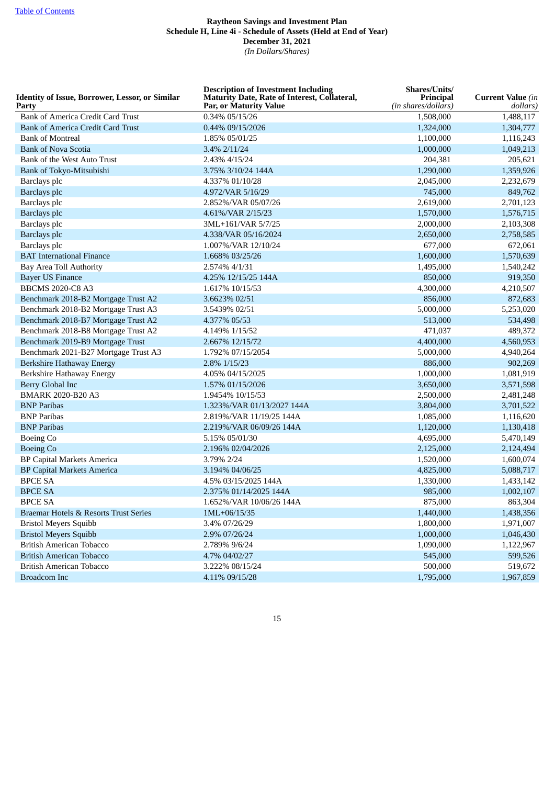| <b>Identity of Issue, Borrower, Lessor, or Similar</b><br>Party | <b>Description of Investment Including</b><br>Maturity Date, Rate of Interest, Collateral,<br>Par, or Maturity Value | Shares/Units/<br><b>Principal</b><br>(in shares/dollars) | <b>Current Value</b> (in<br>dollars) |
|-----------------------------------------------------------------|----------------------------------------------------------------------------------------------------------------------|----------------------------------------------------------|--------------------------------------|
| Bank of America Credit Card Trust                               | 0.34% 05/15/26                                                                                                       | 1,508,000                                                | 1,488,117                            |
| Bank of America Credit Card Trust                               | 0.44% 09/15/2026                                                                                                     | 1,324,000                                                | 1,304,777                            |
| <b>Bank of Montreal</b>                                         | 1.85% 05/01/25                                                                                                       | 1,100,000                                                | 1,116,243                            |
| <b>Bank of Nova Scotia</b>                                      | 3.4% 2/11/24                                                                                                         | 1,000,000                                                | 1,049,213                            |
| Bank of the West Auto Trust                                     | 2.43% 4/15/24                                                                                                        | 204,381                                                  | 205,621                              |
| Bank of Tokyo-Mitsubishi                                        | 3.75% 3/10/24 144A                                                                                                   | 1,290,000                                                | 1,359,926                            |
| Barclays plc                                                    | 4.337% 01/10/28                                                                                                      | 2,045,000                                                | 2,232,679                            |
| Barclays plc                                                    | 4.972/VAR 5/16/29                                                                                                    | 745,000                                                  | 849,762                              |
| Barclays plc                                                    | 2.852%/VAR 05/07/26                                                                                                  | 2,619,000                                                | 2,701,123                            |
| <b>Barclays</b> plc                                             | 4.61%/VAR 2/15/23                                                                                                    | 1,570,000                                                | 1,576,715                            |
| Barclays plc                                                    | 3ML+161/VAR 5/7/25                                                                                                   | 2,000,000                                                | 2,103,308                            |
| Barclays plc                                                    | 4.338/VAR 05/16/2024                                                                                                 | 2,650,000                                                | 2,758,585                            |
| Barclays plc                                                    | 1.007%/VAR 12/10/24                                                                                                  | 677,000                                                  | 672,061                              |
| <b>BAT</b> International Finance                                | 1.668% 03/25/26                                                                                                      | 1,600,000                                                | 1,570,639                            |
| Bay Area Toll Authority                                         | 2.574% 4/1/31                                                                                                        | 1,495,000                                                | 1,540,242                            |
| <b>Bayer US Finance</b>                                         | 4.25% 12/15/25 144A                                                                                                  | 850,000                                                  | 919,350                              |
| <b>BBCMS 2020-C8 A3</b>                                         | 1.617% 10/15/53                                                                                                      | 4,300,000                                                | 4,210,507                            |
| Benchmark 2018-B2 Mortgage Trust A2                             | 3.6623% 02/51                                                                                                        | 856,000                                                  | 872,683                              |
| Benchmark 2018-B2 Mortgage Trust A3                             | 3.5439% 02/51                                                                                                        | 5,000,000                                                | 5,253,020                            |
| Benchmark 2018-B7 Mortgage Trust A2                             | 4.377% 05/53                                                                                                         | 513,000                                                  | 534,498                              |
| Benchmark 2018-B8 Mortgage Trust A2                             | 4.149% 1/15/52                                                                                                       | 471,037                                                  | 489,372                              |
| Benchmark 2019-B9 Mortgage Trust                                | 2.667% 12/15/72                                                                                                      | 4,400,000                                                | 4,560,953                            |
| Benchmark 2021-B27 Mortgage Trust A3                            | 1.792% 07/15/2054                                                                                                    | 5,000,000                                                | 4,940,264                            |
| <b>Berkshire Hathaway Energy</b>                                | 2.8% 1/15/23                                                                                                         | 886,000                                                  | 902,269                              |
| Berkshire Hathaway Energy                                       | 4.05% 04/15/2025                                                                                                     | 1,000,000                                                | 1,081,919                            |
| Berry Global Inc                                                | 1.57% 01/15/2026                                                                                                     | 3,650,000                                                | 3,571,598                            |
| BMARK 2020-B20 A3                                               | 1.9454% 10/15/53                                                                                                     | 2,500,000                                                | 2,481,248                            |
| <b>BNP Paribas</b>                                              | 1.323%/VAR 01/13/2027 144A                                                                                           | 3,804,000                                                | 3,701,522                            |
| <b>BNP Paribas</b>                                              | 2.819%/VAR 11/19/25 144A                                                                                             | 1,085,000                                                | 1,116,620                            |
| <b>BNP Paribas</b>                                              | 2.219%/VAR 06/09/26 144A                                                                                             | 1,120,000                                                | 1,130,418                            |
| <b>Boeing Co</b>                                                | 5.15% 05/01/30                                                                                                       | 4,695,000                                                | 5,470,149                            |
| <b>Boeing Co</b>                                                | 2.196% 02/04/2026                                                                                                    | 2,125,000                                                | 2,124,494                            |
| <b>BP Capital Markets America</b>                               | 3.79% 2/24                                                                                                           | 1,520,000                                                | 1,600,074                            |
| <b>BP Capital Markets America</b>                               | 3.194% 04/06/25                                                                                                      | 4,825,000                                                | 5,088,717                            |
| <b>BPCE SA</b>                                                  | 4.5% 03/15/2025 144A                                                                                                 | 1,330,000                                                | 1,433,142                            |
| <b>BPCE SA</b>                                                  | 2.375% 01/14/2025 144A                                                                                               | 985,000                                                  | 1,002,107                            |
| <b>BPCE SA</b>                                                  | 1.652%/VAR 10/06/26 144A                                                                                             | 875,000                                                  | 863,304                              |
| Braemar Hotels & Resorts Trust Series                           | $1ML+06/15/35$                                                                                                       | 1,440,000                                                | 1,438,356                            |
| <b>Bristol Meyers Squibb</b>                                    | 3.4% 07/26/29                                                                                                        | 1,800,000                                                | 1,971,007                            |
| <b>Bristol Meyers Squibb</b>                                    | 2.9% 07/26/24                                                                                                        | 1,000,000                                                | 1,046,430                            |
| <b>British American Tobacco</b>                                 | 2.789% 9/6/24                                                                                                        | 1,090,000                                                | 1,122,967                            |
| <b>British American Tobacco</b>                                 | 4.7% 04/02/27                                                                                                        | 545,000                                                  | 599,526                              |
| <b>British American Tobacco</b>                                 | 3.222% 08/15/24                                                                                                      | 500,000                                                  | 519,672                              |
| <b>Broadcom Inc</b>                                             | 4.11% 09/15/28                                                                                                       | 1,795,000                                                | 1,967,859                            |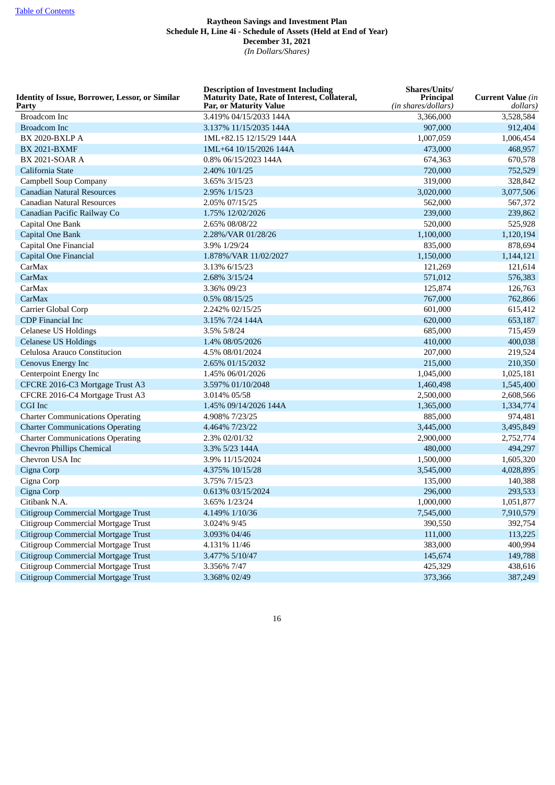| <b>Identity of Issue, Borrower, Lessor, or Similar</b><br>Party | <b>Description of Investment Including</b><br>Maturity Date, Rate of Interest, Collateral,<br>Par, or Maturity Value | Shares/Units/<br><b>Principal</b><br>(in shares/dollars) | <b>Current Value</b> (in<br>dollars) |
|-----------------------------------------------------------------|----------------------------------------------------------------------------------------------------------------------|----------------------------------------------------------|--------------------------------------|
| Broadcom Inc                                                    | 3.419% 04/15/2033 144A                                                                                               | 3,366,000                                                | 3,528,584                            |
| <b>Broadcom Inc</b>                                             | 3.137% 11/15/2035 144A                                                                                               | 907,000                                                  | 912,404                              |
| <b>BX 2020-BXLP A</b>                                           | 1ML+82.15 12/15/29 144A                                                                                              | 1,007,059                                                | 1,006,454                            |
| <b>BX 2021-BXMF</b>                                             | 1ML+64 10/15/2026 144A                                                                                               | 473,000                                                  | 468,957                              |
| <b>BX 2021-SOAR A</b>                                           | 0.8% 06/15/2023 144A                                                                                                 | 674,363                                                  | 670,578                              |
| California State                                                | 2.40% 10/1/25                                                                                                        | 720,000                                                  | 752,529                              |
| Campbell Soup Company                                           | 3.65% 3/15/23                                                                                                        | 319,000                                                  | 328,842                              |
| <b>Canadian Natural Resources</b>                               | 2.95% 1/15/23                                                                                                        | 3,020,000                                                | 3,077,506                            |
| <b>Canadian Natural Resources</b>                               | 2.05% 07/15/25                                                                                                       | 562,000                                                  | 567,372                              |
| Canadian Pacific Railway Co                                     | 1.75% 12/02/2026                                                                                                     | 239,000                                                  | 239,862                              |
| Capital One Bank                                                | 2.65% 08/08/22                                                                                                       | 520,000                                                  | 525,928                              |
| Capital One Bank                                                | 2.28%/VAR 01/28/26                                                                                                   | 1,100,000                                                | 1,120,194                            |
| Capital One Financial                                           | 3.9% 1/29/24                                                                                                         | 835,000                                                  | 878,694                              |
| Capital One Financial                                           | 1.878%/VAR 11/02/2027                                                                                                | 1,150,000                                                | 1,144,121                            |
| CarMax                                                          | 3.13% 6/15/23                                                                                                        | 121,269                                                  | 121,614                              |
| CarMax                                                          | 2.68% 3/15/24                                                                                                        | 571,012                                                  | 576,383                              |
| CarMax                                                          | 3.36% 09/23                                                                                                          | 125,874                                                  | 126,763                              |
| CarMax                                                          | 0.5% 08/15/25                                                                                                        | 767,000                                                  | 762,866                              |
| Carrier Global Corp                                             | 2.242% 02/15/25                                                                                                      | 601,000                                                  | 615,412                              |
| <b>CDP</b> Financial Inc                                        | 3.15% 7/24 144A                                                                                                      | 620,000                                                  | 653,187                              |
| Celanese US Holdings                                            | 3.5% 5/8/24                                                                                                          | 685,000                                                  | 715,459                              |
| <b>Celanese US Holdings</b>                                     | 1.4% 08/05/2026                                                                                                      | 410,000                                                  | 400,038                              |
| Celulosa Arauco Constitucion                                    | 4.5% 08/01/2024                                                                                                      | 207,000                                                  | 219,524                              |
| Cenovus Energy Inc                                              | 2.65% 01/15/2032                                                                                                     | 215,000                                                  | 210,350                              |
| Centerpoint Energy Inc                                          | 1.45% 06/01/2026                                                                                                     | 1,045,000                                                | 1,025,181                            |
| CFCRE 2016-C3 Mortgage Trust A3                                 | 3.597% 01/10/2048                                                                                                    | 1,460,498                                                | 1,545,400                            |
| CFCRE 2016-C4 Mortgage Trust A3                                 | 3.014% 05/58                                                                                                         | 2,500,000                                                | 2,608,566                            |
| CGI Inc                                                         | 1.45% 09/14/2026 144A                                                                                                | 1,365,000                                                | 1,334,774                            |
| <b>Charter Communications Operating</b>                         | 4.908% 7/23/25                                                                                                       | 885,000                                                  | 974,481                              |
| <b>Charter Communications Operating</b>                         | 4.464% 7/23/22                                                                                                       | 3,445,000                                                | 3,495,849                            |
| <b>Charter Communications Operating</b>                         | 2.3% 02/01/32                                                                                                        | 2,900,000                                                | 2,752,774                            |
| <b>Chevron Phillips Chemical</b>                                | 3.3% 5/23 144A                                                                                                       | 480,000                                                  | 494,297                              |
| Chevron USA Inc                                                 | 3.9% 11/15/2024                                                                                                      | 1,500,000                                                | 1,605,320                            |
| Cigna Corp                                                      | 4.375% 10/15/28                                                                                                      | 3,545,000                                                | 4,028,895                            |
| Cigna Corp                                                      | 3.75% 7/15/23                                                                                                        | 135,000                                                  | 140,388                              |
| Cigna Corp                                                      | 0.613% 03/15/2024                                                                                                    | 296,000                                                  | 293,533                              |
| Citibank N.A.                                                   | 3.65% 1/23/24                                                                                                        | 1,000,000                                                | 1,051,877                            |
| Citigroup Commercial Mortgage Trust                             | 4.149% 1/10/36                                                                                                       | 7,545,000                                                | 7,910,579                            |
| Citigroup Commercial Mortgage Trust                             | 3.024% 9/45                                                                                                          | 390,550                                                  | 392,754                              |
| Citigroup Commercial Mortgage Trust                             | 3.093% 04/46                                                                                                         | 111,000                                                  | 113,225                              |
| Citigroup Commercial Mortgage Trust                             | 4.131% 11/46                                                                                                         | 383,000                                                  | 400,994                              |
| Citigroup Commercial Mortgage Trust                             | 3.477% 5/10/47                                                                                                       | 145,674                                                  | 149,788                              |
| Citigroup Commercial Mortgage Trust                             | 3.356% 7/47                                                                                                          | 425,329                                                  | 438,616                              |
| Citigroup Commercial Mortgage Trust                             | 3.368% 02/49                                                                                                         | 373,366                                                  | 387,249                              |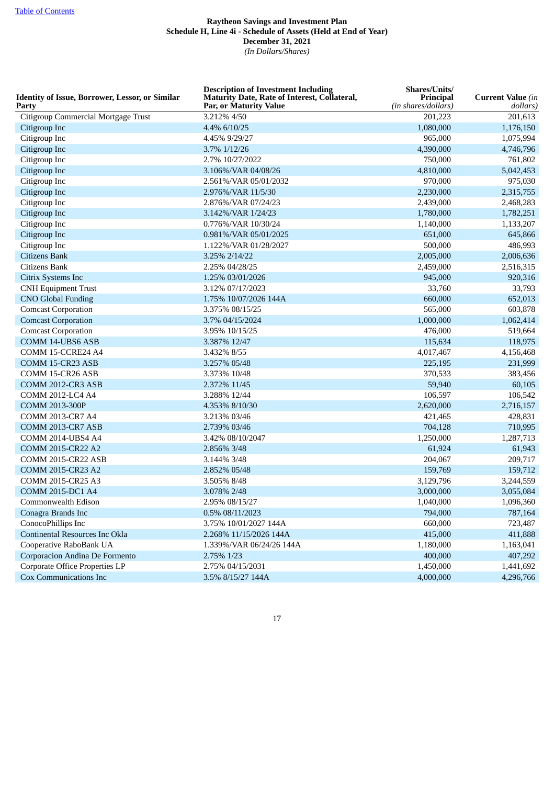| <b>Identity of Issue, Borrower, Lessor, or Similar</b><br>Party | <b>Description of Investment Including</b><br>Maturity Date, Rate of Interest, Collateral,<br>Par, or Maturity Value | Shares/Units/<br><b>Principal</b><br>(in shares/dollars) | <b>Current Value</b> (in<br>dollars) |
|-----------------------------------------------------------------|----------------------------------------------------------------------------------------------------------------------|----------------------------------------------------------|--------------------------------------|
| Citigroup Commercial Mortgage Trust                             | 3.212% 4/50                                                                                                          | 201,223                                                  | 201,613                              |
| Citigroup Inc                                                   | 4.4% 6/10/25                                                                                                         | 1,080,000                                                | 1,176,150                            |
| Citigroup Inc                                                   | 4.45% 9/29/27                                                                                                        | 965,000                                                  | 1,075,994                            |
| Citigroup Inc                                                   | 3.7% 1/12/26                                                                                                         | 4,390,000                                                | 4,746,796                            |
| Citigroup Inc                                                   | 2.7% 10/27/2022                                                                                                      | 750,000                                                  | 761,802                              |
| Citigroup Inc                                                   | 3.106%/VAR 04/08/26                                                                                                  | 4,810,000                                                | 5,042,453                            |
| Citigroup Inc                                                   | 2.561%/VAR 05/01/2032                                                                                                | 970,000                                                  | 975,030                              |
| Citigroup Inc                                                   | 2.976%/VAR 11/5/30                                                                                                   | 2,230,000                                                | 2,315,755                            |
| Citigroup Inc                                                   | 2.876%/VAR 07/24/23                                                                                                  | 2,439,000                                                | 2,468,283                            |
| Citigroup Inc                                                   | 3.142%/VAR 1/24/23                                                                                                   | 1,780,000                                                | 1,782,251                            |
| Citigroup Inc                                                   | 0.776%/VAR 10/30/24                                                                                                  | 1,140,000                                                | 1,133,207                            |
| Citigroup Inc                                                   | 0.981%/VAR 05/01/2025                                                                                                | 651,000                                                  | 645,866                              |
| Citigroup Inc                                                   | 1.122%/VAR 01/28/2027                                                                                                | 500,000                                                  | 486,993                              |
| <b>Citizens Bank</b>                                            | 3.25% 2/14/22                                                                                                        | 2,005,000                                                | 2,006,636                            |
| <b>Citizens Bank</b>                                            | 2.25% 04/28/25                                                                                                       | 2,459,000                                                | 2,516,315                            |
| Citrix Systems Inc                                              | 1.25% 03/01/2026                                                                                                     | 945,000                                                  | 920,316                              |
| <b>CNH Equipment Trust</b>                                      | 3.12% 07/17/2023                                                                                                     | 33,760                                                   | 33,793                               |
| <b>CNO Global Funding</b>                                       | 1.75% 10/07/2026 144A                                                                                                | 660,000                                                  | 652,013                              |
| <b>Comcast Corporation</b>                                      | 3.375% 08/15/25                                                                                                      | 565,000                                                  | 603,878                              |
| <b>Comcast Corporation</b>                                      | 3.7% 04/15/2024                                                                                                      | 1,000,000                                                | 1,062,414                            |
| <b>Comcast Corporation</b>                                      | 3.95% 10/15/25                                                                                                       | 476,000                                                  | 519,664                              |
| <b>COMM 14-UBS6 ASB</b>                                         | 3.387% 12/47                                                                                                         | 115,634                                                  | 118,975                              |
| COMM 15-CCRE24 A4                                               | 3.432% 8/55                                                                                                          | 4,017,467                                                | 4,156,468                            |
| COMM 15-CR23 ASB                                                | 3.257% 05/48                                                                                                         | 225,195                                                  | 231,999                              |
| COMM 15-CR26 ASB                                                | 3.373% 10/48                                                                                                         | 370,533                                                  | 383,456                              |
| COMM 2012-CR3 ASB                                               | 2.372% 11/45                                                                                                         | 59,940                                                   | 60,105                               |
| COMM 2012-LC4 A4                                                | 3.288% 12/44                                                                                                         | 106,597                                                  | 106,542                              |
| COMM 2013-300P                                                  | 4.353% 8/10/30                                                                                                       | 2,620,000                                                | 2,716,157                            |
| COMM 2013-CR7 A4                                                | 3.213% 03/46                                                                                                         | 421,465                                                  | 428,831                              |
| COMM 2013-CR7 ASB                                               | 2.739% 03/46                                                                                                         | 704,128                                                  | 710,995                              |
| COMM 2014-UBS4 A4                                               | 3.42% 08/10/2047                                                                                                     | 1,250,000                                                | 1,287,713                            |
| COMM 2015-CR22 A2                                               | 2.856% 3/48                                                                                                          | 61,924                                                   | 61,943                               |
| COMM 2015-CR22 ASB                                              | 3.144% 3/48                                                                                                          | 204,067                                                  | 209,717                              |
| COMM 2015-CR23 A2                                               | 2.852% 05/48                                                                                                         | 159,769                                                  | 159,712                              |
| COMM 2015-CR25 A3                                               | 3.505% 8/48                                                                                                          | 3,129,796                                                | 3,244,559                            |
| COMM 2015-DC1 A4                                                | 3.078% 2/48                                                                                                          | 3,000,000                                                | 3,055,084                            |
| Commonwealth Edison                                             | 2.95% 08/15/27                                                                                                       | 1,040,000                                                | 1,096,360                            |
| Conagra Brands Inc                                              | 0.5% 08/11/2023                                                                                                      | 794,000                                                  | 787,164                              |
| ConocoPhillips Inc                                              | 3.75% 10/01/2027 144A                                                                                                | 660,000                                                  | 723,487                              |
| Continental Resources Inc Okla                                  | 2.268% 11/15/2026 144A                                                                                               | 415,000                                                  | 411,888                              |
| Cooperative RaboBank UA                                         | 1.339%/VAR 06/24/26 144A                                                                                             | 1,180,000                                                | 1,163,041                            |
| Corporacion Andina De Formento                                  | 2.75% 1/23                                                                                                           | 400,000                                                  | 407,292                              |
| Corporate Office Properties LP                                  | 2.75% 04/15/2031                                                                                                     | 1,450,000                                                | 1,441,692                            |
| <b>Cox Communications Inc</b>                                   | 3.5% 8/15/27 144A                                                                                                    | 4,000,000                                                | 4,296,766                            |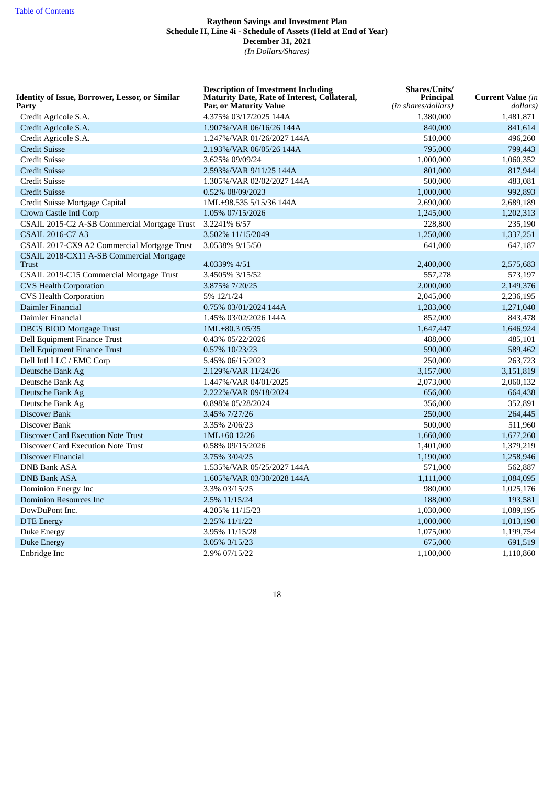| <b>Identity of Issue, Borrower, Lessor, or Similar</b><br>Party | <b>Description of Investment Including</b><br>Maturity Date, Rate of Interest, Collateral,<br><b>Par, or Maturity Value</b> | Shares/Units/<br>Principal<br>(in shares/dollars) | <b>Current Value (in</b><br>dollars) |
|-----------------------------------------------------------------|-----------------------------------------------------------------------------------------------------------------------------|---------------------------------------------------|--------------------------------------|
| Credit Agricole S.A.                                            | 4.375% 03/17/2025 144A                                                                                                      | 1,380,000                                         | 1,481,871                            |
| Credit Agricole S.A.                                            | 1.907%/VAR 06/16/26 144A                                                                                                    | 840,000                                           | 841,614                              |
| Credit Agricole S.A.                                            | 1.247%/VAR 01/26/2027 144A                                                                                                  | 510,000                                           | 496,260                              |
| <b>Credit Suisse</b>                                            | 2.193%/VAR 06/05/26 144A                                                                                                    | 795,000                                           | 799,443                              |
| <b>Credit Suisse</b>                                            | 3.625% 09/09/24                                                                                                             | 1,000,000                                         | 1,060,352                            |
| <b>Credit Suisse</b>                                            | 2.593%/VAR 9/11/25 144A                                                                                                     | 801,000                                           | 817,944                              |
| <b>Credit Suisse</b>                                            | 1.305%/VAR 02/02/2027 144A                                                                                                  | 500,000                                           | 483,081                              |
| <b>Credit Suisse</b>                                            | 0.52% 08/09/2023                                                                                                            | 1,000,000                                         | 992,893                              |
| Credit Suisse Mortgage Capital                                  | 1ML+98.535 5/15/36 144A                                                                                                     | 2,690,000                                         | 2,689,189                            |
| Crown Castle Intl Corp                                          | 1.05% 07/15/2026                                                                                                            | 1,245,000                                         | 1,202,313                            |
| CSAIL 2015-C2 A-SB Commercial Mortgage Trust                    | 3.2241% 6/57                                                                                                                | 228,800                                           | 235,190                              |
| <b>CSAIL 2016-C7 A3</b>                                         | 3.502% 11/15/2049                                                                                                           | 1,250,000                                         | 1,337,251                            |
| CSAIL 2017-CX9 A2 Commercial Mortgage Trust                     | 3.0538% 9/15/50                                                                                                             | 641,000                                           | 647,187                              |
| CSAIL 2018-CX11 A-SB Commercial Mortgage<br><b>Trust</b>        | 4.0339% 4/51                                                                                                                | 2,400,000                                         | 2,575,683                            |
| CSAIL 2019-C15 Commercial Mortgage Trust                        | 3.4505% 3/15/52                                                                                                             | 557,278                                           | 573,197                              |
| <b>CVS Health Corporation</b>                                   | 3.875% 7/20/25                                                                                                              | 2,000,000                                         | 2,149,376                            |
| <b>CVS Health Corporation</b>                                   | 5% 12/1/24                                                                                                                  | 2,045,000                                         | 2,236,195                            |
| Daimler Financial                                               | 0.75% 03/01/2024 144A                                                                                                       | 1,283,000                                         | 1,271,040                            |
| Daimler Financial                                               | 1.45% 03/02/2026 144A                                                                                                       | 852,000                                           | 843,478                              |
| <b>DBGS BIOD Mortgage Trust</b>                                 | 1ML+80.3 05/35                                                                                                              | 1,647,447                                         | 1,646,924                            |
| Dell Equipment Finance Trust                                    | 0.43% 05/22/2026                                                                                                            | 488,000                                           | 485,101                              |
| Dell Equipment Finance Trust                                    | 0.57% 10/23/23                                                                                                              | 590,000                                           | 589,462                              |
| Dell Intl LLC / EMC Corp                                        | 5.45% 06/15/2023                                                                                                            | 250,000                                           | 263,723                              |
| Deutsche Bank Ag                                                | 2.129%/VAR 11/24/26                                                                                                         | 3,157,000                                         | 3,151,819                            |
| Deutsche Bank Ag                                                | 1.447%/VAR 04/01/2025                                                                                                       | 2,073,000                                         | 2,060,132                            |
| Deutsche Bank Ag                                                | 2.222%/VAR 09/18/2024                                                                                                       | 656,000                                           | 664,438                              |
| Deutsche Bank Ag                                                | 0.898% 05/28/2024                                                                                                           | 356,000                                           | 352,891                              |
| <b>Discover Bank</b>                                            | 3.45% 7/27/26                                                                                                               | 250,000                                           | 264,445                              |
| Discover Bank                                                   | 3.35% 2/06/23                                                                                                               | 500,000                                           | 511,960                              |
| <b>Discover Card Execution Note Trust</b>                       | 1ML+60 12/26                                                                                                                | 1,660,000                                         | 1,677,260                            |
| <b>Discover Card Execution Note Trust</b>                       | 0.58% 09/15/2026                                                                                                            | 1,401,000                                         | 1,379,219                            |
| Discover Financial                                              | 3.75% 3/04/25                                                                                                               | 1,190,000                                         | 1,258,946                            |
| <b>DNB Bank ASA</b>                                             | 1.535%/VAR 05/25/2027 144A                                                                                                  | 571,000                                           | 562,887                              |
| <b>DNB Bank ASA</b>                                             | 1.605%/VAR 03/30/2028 144A                                                                                                  | 1,111,000                                         | 1,084,095                            |
| Dominion Energy Inc                                             | 3.3% 03/15/25                                                                                                               | 980,000                                           | 1,025,176                            |
| <b>Dominion Resources Inc.</b>                                  | 2.5% 11/15/24                                                                                                               | 188,000                                           | 193,581                              |
| DowDuPont Inc.                                                  | 4.205% 11/15/23                                                                                                             | 1,030,000                                         | 1,089,195                            |
| <b>DTE</b> Energy                                               | 2.25% 11/1/22                                                                                                               | 1,000,000                                         | 1,013,190                            |
| Duke Energy                                                     | 3.95% 11/15/28                                                                                                              | 1,075,000                                         | 1,199,754                            |
| Duke Energy                                                     | 3.05% 3/15/23                                                                                                               | 675,000                                           | 691,519                              |
| Enbridge Inc                                                    | 2.9% 07/15/22                                                                                                               | 1,100,000                                         | 1,110,860                            |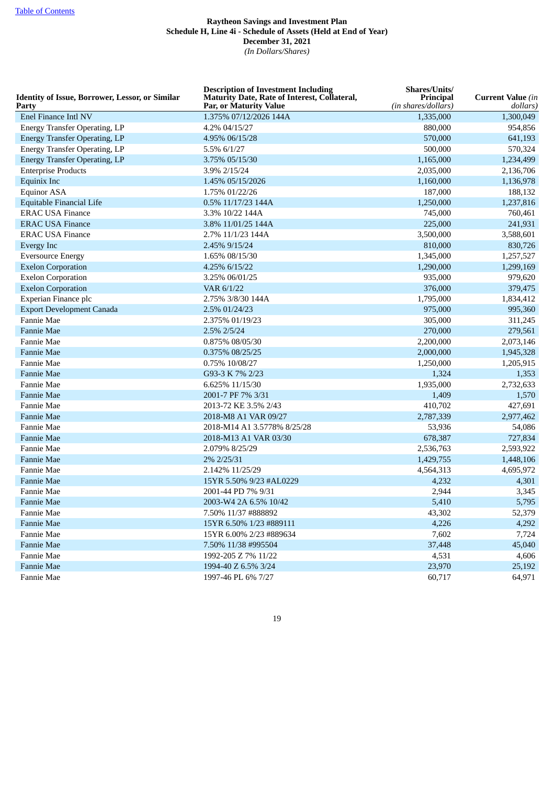| <b>Identity of Issue, Borrower, Lessor, or Similar</b><br>Party | <b>Description of Investment Including</b><br>Maturity Date, Rate of Interest, Collateral,<br>Par, or Maturity Value | <b>Shares/Units/</b><br>Principal<br>(in shares/dollars) | <b>Current Value</b> (in<br>dollars) |
|-----------------------------------------------------------------|----------------------------------------------------------------------------------------------------------------------|----------------------------------------------------------|--------------------------------------|
| Enel Finance Intl NV                                            | 1.375% 07/12/2026 144A                                                                                               | 1,335,000                                                | 1,300,049                            |
| <b>Energy Transfer Operating, LP</b>                            | 4.2% 04/15/27                                                                                                        | 880,000                                                  | 954,856                              |
| <b>Energy Transfer Operating, LP</b>                            | 4.95% 06/15/28                                                                                                       | 570,000                                                  | 641,193                              |
| <b>Energy Transfer Operating, LP</b>                            | 5.5% 6/1/27                                                                                                          | 500,000                                                  | 570,324                              |
| <b>Energy Transfer Operating, LP</b>                            | 3.75% 05/15/30                                                                                                       | 1,165,000                                                | 1,234,499                            |
| <b>Enterprise Products</b>                                      | 3.9% 2/15/24                                                                                                         | 2,035,000                                                | 2,136,706                            |
| Equinix Inc                                                     | 1.45% 05/15/2026                                                                                                     | 1,160,000                                                | 1,136,978                            |
| <b>Equinor ASA</b>                                              | 1.75% 01/22/26                                                                                                       | 187,000                                                  | 188,132                              |
| Equitable Financial Life                                        | 0.5% 11/17/23 144A                                                                                                   | 1,250,000                                                | 1,237,816                            |
| <b>ERAC USA Finance</b>                                         | 3.3% 10/22 144A                                                                                                      | 745,000                                                  | 760,461                              |
| <b>ERAC USA Finance</b>                                         | 3.8% 11/01/25 144A                                                                                                   | 225,000                                                  | 241,931                              |
| <b>ERAC USA Finance</b>                                         | 2.7% 11/1/23 144A                                                                                                    | 3,500,000                                                | 3,588,601                            |
| <b>Evergy Inc</b>                                               | 2.45% 9/15/24                                                                                                        | 810,000                                                  | 830,726                              |
| <b>Eversource Energy</b>                                        | 1.65% 08/15/30                                                                                                       | 1,345,000                                                | 1,257,527                            |
| <b>Exelon Corporation</b>                                       | 4.25% 6/15/22                                                                                                        | 1,290,000                                                | 1,299,169                            |
| <b>Exelon Corporation</b>                                       | 3.25% 06/01/25                                                                                                       | 935,000                                                  | 979,620                              |
| <b>Exelon Corporation</b>                                       | VAR 6/1/22                                                                                                           | 376,000                                                  | 379,475                              |
| Experian Finance plc                                            | 2.75% 3/8/30 144A                                                                                                    | 1,795,000                                                | 1,834,412                            |
| <b>Export Development Canada</b>                                | 2.5% 01/24/23                                                                                                        | 975,000                                                  | 995,360                              |
| Fannie Mae                                                      | 2.375% 01/19/23                                                                                                      | 305,000                                                  | 311,245                              |
| Fannie Mae                                                      | 2.5% 2/5/24                                                                                                          | 270,000                                                  | 279,561                              |
| Fannie Mae                                                      | 0.875% 08/05/30                                                                                                      | 2,200,000                                                | 2,073,146                            |
| Fannie Mae                                                      | 0.375% 08/25/25                                                                                                      | 2,000,000                                                | 1,945,328                            |
| Fannie Mae                                                      | 0.75% 10/08/27                                                                                                       | 1,250,000                                                | 1,205,915                            |
| Fannie Mae                                                      | G93-3 K 7% 2/23                                                                                                      | 1,324                                                    | 1,353                                |
| Fannie Mae                                                      | 6.625% 11/15/30                                                                                                      | 1,935,000                                                | 2,732,633                            |
| <b>Fannie Mae</b>                                               | 2001-7 PF 7% 3/31                                                                                                    | 1,409                                                    | 1,570                                |
| Fannie Mae                                                      | 2013-72 KE 3.5% 2/43                                                                                                 | 410,702                                                  | 427,691                              |
| Fannie Mae                                                      | 2018-M8 A1 VAR 09/27                                                                                                 | 2,787,339                                                | 2,977,462                            |
| Fannie Mae                                                      | 2018-M14 A1 3.5778% 8/25/28                                                                                          | 53,936                                                   | 54,086                               |
| Fannie Mae                                                      | 2018-M13 A1 VAR 03/30                                                                                                | 678,387                                                  | 727,834                              |
| Fannie Mae                                                      | 2.079% 8/25/29                                                                                                       | 2,536,763                                                | 2,593,922                            |
| Fannie Mae                                                      | 2% 2/25/31                                                                                                           | 1,429,755                                                | 1,448,106                            |
| Fannie Mae                                                      | 2.142% 11/25/29                                                                                                      | 4,564,313                                                | 4,695,972                            |
| Fannie Mae                                                      | 15YR 5.50% 9/23 #AL0229                                                                                              | 4,232                                                    | 4,301                                |
| Fannie Mae                                                      | 2001-44 PD 7% 9/31                                                                                                   | 2,944                                                    | 3,345                                |
| Fannie Mae                                                      | 2003-W4 2A 6.5% 10/42                                                                                                | 5,410                                                    | 5,795                                |
| Fannie Mae                                                      | 7.50% 11/37 #888892                                                                                                  | 43,302                                                   | 52,379                               |
| Fannie Mae                                                      | 15YR 6.50% 1/23 #889111                                                                                              | 4,226                                                    | 4,292                                |
| Fannie Mae                                                      | 15YR 6.00% 2/23 #889634                                                                                              | 7,602                                                    | 7,724                                |
| <b>Fannie Mae</b>                                               | 7.50% 11/38 #995504                                                                                                  | 37,448                                                   | 45,040                               |
| Fannie Mae                                                      | 1992-205 Z 7% 11/22                                                                                                  | 4,531                                                    | 4,606                                |
| Fannie Mae                                                      | 1994-40 Z 6.5% 3/24                                                                                                  | 23,970                                                   | 25,192                               |
| Fannie Mae                                                      | 1997-46 PL 6% 7/27                                                                                                   | 60,717                                                   | 64,971                               |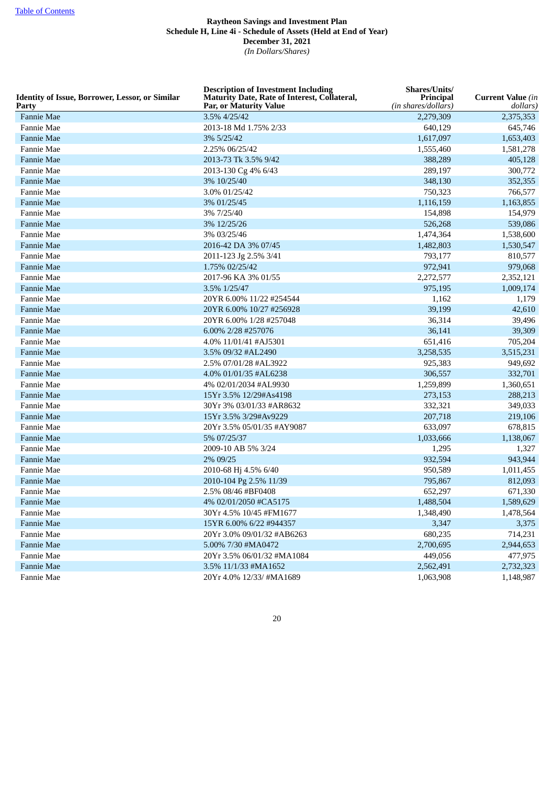| <b>Identity of Issue, Borrower, Lessor, or Similar</b><br>Party | <b>Description of Investment Including</b><br>Maturity Date, Rate of Interest, Collateral,<br>Par, or Maturity Value | Shares/Units/<br><b>Principal</b><br>(in shares/dollars) | <b>Current Value</b> (in<br>dollars) |
|-----------------------------------------------------------------|----------------------------------------------------------------------------------------------------------------------|----------------------------------------------------------|--------------------------------------|
| <b>Fannie Mae</b>                                               | 3.5% 4/25/42                                                                                                         | 2,279,309                                                | 2,375,353                            |
| Fannie Mae                                                      | 2013-18 Md 1.75% 2/33                                                                                                | 640,129                                                  | 645,746                              |
| <b>Fannie Mae</b>                                               | 3% 5/25/42                                                                                                           | 1,617,097                                                | 1,653,403                            |
| Fannie Mae                                                      | 2.25% 06/25/42                                                                                                       | 1,555,460                                                | 1,581,278                            |
| <b>Fannie Mae</b>                                               | 2013-73 Tk 3.5% 9/42                                                                                                 | 388,289                                                  | 405,128                              |
| Fannie Mae                                                      | 2013-130 Cg 4% 6/43                                                                                                  | 289,197                                                  | 300,772                              |
| Fannie Mae                                                      | 3% 10/25/40                                                                                                          | 348,130                                                  | 352,355                              |
| Fannie Mae                                                      | 3.0% 01/25/42                                                                                                        | 750,323                                                  | 766,577                              |
| <b>Fannie Mae</b>                                               | 3% 01/25/45                                                                                                          | 1,116,159                                                | 1,163,855                            |
| Fannie Mae                                                      | 3% 7/25/40                                                                                                           | 154,898                                                  | 154,979                              |
| <b>Fannie Mae</b>                                               | 3% 12/25/26                                                                                                          | 526,268                                                  | 539,086                              |
| Fannie Mae                                                      | 3% 03/25/46                                                                                                          | 1,474,364                                                | 1,538,600                            |
| <b>Fannie Mae</b>                                               | 2016-42 DA 3% 07/45                                                                                                  | 1,482,803                                                | 1,530,547                            |
| Fannie Mae                                                      | 2011-123 Jg 2.5% 3/41                                                                                                | 793,177                                                  | 810,577                              |
| <b>Fannie Mae</b>                                               | 1.75% 02/25/42                                                                                                       | 972,941                                                  | 979,068                              |
| Fannie Mae                                                      | 2017-96 KA 3% 01/55                                                                                                  | 2,272,577                                                | 2,352,121                            |
| Fannie Mae                                                      | 3.5% 1/25/47                                                                                                         | 975,195                                                  | 1,009,174                            |
| Fannie Mae                                                      | 20YR 6.00% 11/22 #254544                                                                                             | 1,162                                                    | 1,179                                |
| Fannie Mae                                                      | 20YR 6.00% 10/27 #256928                                                                                             | 39,199                                                   | 42,610                               |
| Fannie Mae                                                      | 20YR 6.00% 1/28 #257048                                                                                              | 36,314                                                   | 39,496                               |
| <b>Fannie Mae</b>                                               | 6.00% 2/28 #257076                                                                                                   | 36,141                                                   | 39,309                               |
| Fannie Mae                                                      | 4.0% 11/01/41 #AJ5301                                                                                                | 651,416                                                  | 705,204                              |
| <b>Fannie Mae</b>                                               | 3.5% 09/32 #AL2490                                                                                                   | 3,258,535                                                | 3,515,231                            |
| Fannie Mae                                                      | 2.5% 07/01/28 #AL3922                                                                                                | 925,383                                                  | 949,692                              |
| <b>Fannie Mae</b>                                               | 4.0% 01/01/35 #AL6238                                                                                                | 306,557                                                  | 332,701                              |
| Fannie Mae                                                      | 4% 02/01/2034 #AL9930                                                                                                | 1,259,899                                                | 1,360,651                            |
| <b>Fannie Mae</b>                                               | 15Yr 3.5% 12/29#As4198                                                                                               | 273,153                                                  | 288,213                              |
| Fannie Mae                                                      | 30Yr 3% 03/01/33 #AR8632                                                                                             | 332,321                                                  | 349,033                              |
| <b>Fannie Mae</b>                                               | 15Yr 3.5% 3/29#Av9229                                                                                                | 207,718                                                  | 219,106                              |
| Fannie Mae                                                      | 20Yr 3.5% 05/01/35 #AY9087                                                                                           | 633,097                                                  | 678,815                              |
| <b>Fannie Mae</b>                                               | 5% 07/25/37                                                                                                          | 1,033,666                                                | 1,138,067                            |
| Fannie Mae                                                      | 2009-10 AB 5% 3/24                                                                                                   | 1,295                                                    | 1,327                                |
| <b>Fannie Mae</b>                                               | 2% 09/25                                                                                                             | 932,594                                                  | 943,944                              |
| Fannie Mae                                                      | 2010-68 Hj 4.5% 6/40                                                                                                 | 950,589                                                  | 1,011,455                            |
| <b>Fannie Mae</b>                                               | 2010-104 Pg 2.5% 11/39                                                                                               | 795,867                                                  | 812,093                              |
| Fannie Mae                                                      | 2.5% 08/46 #BF0408                                                                                                   | 652,297                                                  | 671,330                              |
| Fannie Mae                                                      | 4% 02/01/2050 #CA5175                                                                                                | 1,488,504                                                | 1,589,629                            |
| Fannie Mae                                                      | 30Yr 4.5% 10/45 #FM1677                                                                                              | 1,348,490                                                | 1,478,564                            |
| Fannie Mae                                                      | 15YR 6.00% 6/22 #944357                                                                                              | 3,347                                                    | 3,375                                |
| Fannie Mae                                                      | 20Yr 3.0% 09/01/32 #AB6263                                                                                           | 680,235                                                  | 714,231                              |
| <b>Fannie Mae</b>                                               | 5.00% 7/30 #MA0472                                                                                                   | 2,700,695                                                | 2,944,653                            |
| Fannie Mae                                                      | 20Yr 3.5% 06/01/32 #MA1084                                                                                           | 449,056                                                  | 477,975                              |
| Fannie Mae                                                      | 3.5% 11/1/33 #MA1652                                                                                                 | 2,562,491                                                | 2,732,323                            |
| Fannie Mae                                                      | 20Yr 4.0% 12/33/ #MA1689                                                                                             | 1,063,908                                                | 1,148,987                            |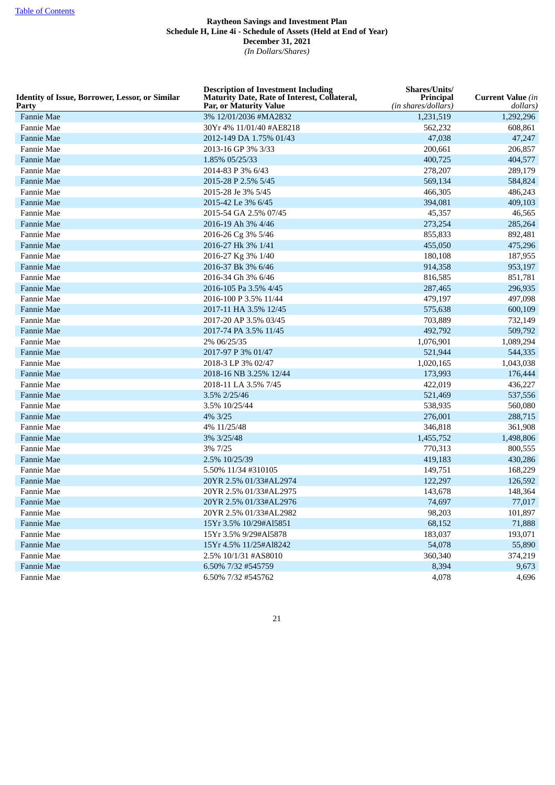| <b>Identity of Issue, Borrower, Lessor, or Similar</b><br>Party | <b>Description of Investment Including</b><br>Maturity Date, Rate of Interest, Collateral,<br><b>Par, or Maturity Value</b> | Shares/Units/<br>Principal<br>(in shares/dollars) | <b>Current Value</b> (in<br>dollars) |
|-----------------------------------------------------------------|-----------------------------------------------------------------------------------------------------------------------------|---------------------------------------------------|--------------------------------------|
| <b>Fannie Mae</b>                                               | 3% 12/01/2036 #MA2832                                                                                                       | 1,231,519                                         | 1,292,296                            |
| Fannie Mae                                                      | 30Yr 4% 11/01/40 #AE8218                                                                                                    | 562,232                                           | 608,861                              |
| <b>Fannie Mae</b>                                               | 2012-149 DA 1.75% 01/43                                                                                                     | 47,038                                            | 47,247                               |
| Fannie Mae                                                      | 2013-16 GP 3% 3/33                                                                                                          | 200,661                                           | 206,857                              |
| <b>Fannie Mae</b>                                               | 1.85% 05/25/33                                                                                                              | 400,725                                           | 404,577                              |
| Fannie Mae                                                      | 2014-83 P 3% 6/43                                                                                                           | 278,207                                           | 289,179                              |
| <b>Fannie Mae</b>                                               | 2015-28 P 2.5% 5/45                                                                                                         | 569,134                                           | 584,824                              |
| Fannie Mae                                                      | 2015-28 Je 3% 5/45                                                                                                          | 466,305                                           | 486,243                              |
| <b>Fannie Mae</b>                                               | 2015-42 Le 3% 6/45                                                                                                          | 394,081                                           | 409,103                              |
| Fannie Mae                                                      | 2015-54 GA 2.5% 07/45                                                                                                       | 45,357                                            | 46,565                               |
| <b>Fannie Mae</b>                                               | 2016-19 Ah 3% 4/46                                                                                                          | 273,254                                           | 285,264                              |
| Fannie Mae                                                      | 2016-26 Cg 3% 5/46                                                                                                          | 855,833                                           | 892,481                              |
| <b>Fannie Mae</b>                                               | 2016-27 Hk 3% 1/41                                                                                                          | 455,050                                           | 475,296                              |
| Fannie Mae                                                      | 2016-27 Kg 3% 1/40                                                                                                          | 180,108                                           | 187,955                              |
| <b>Fannie Mae</b>                                               | 2016-37 Bk 3% 6/46                                                                                                          | 914,358                                           | 953,197                              |
| Fannie Mae                                                      | 2016-34 Gh 3% 6/46                                                                                                          | 816,585                                           | 851,781                              |
| <b>Fannie Mae</b>                                               | 2016-105 Pa 3.5% 4/45                                                                                                       | 287,465                                           | 296,935                              |
| Fannie Mae                                                      | 2016-100 P 3.5% 11/44                                                                                                       | 479,197                                           | 497,098                              |
| <b>Fannie Mae</b>                                               | 2017-11 HA 3.5% 12/45                                                                                                       | 575,638                                           | 600,109                              |
| Fannie Mae                                                      | 2017-20 AP 3.5% 03/45                                                                                                       | 703,889                                           | 732,149                              |
| <b>Fannie Mae</b>                                               | 2017-74 PA 3.5% 11/45                                                                                                       | 492,792                                           | 509,792                              |
| Fannie Mae                                                      | 2% 06/25/35                                                                                                                 | 1,076,901                                         | 1,089,294                            |
| <b>Fannie Mae</b>                                               | 2017-97 P 3% 01/47                                                                                                          | 521,944                                           | 544,335                              |
| Fannie Mae                                                      | 2018-3 LP 3% 02/47                                                                                                          | 1,020,165                                         | 1,043,038                            |
| <b>Fannie Mae</b>                                               | 2018-16 NB 3.25% 12/44                                                                                                      | 173,993                                           | 176,444                              |
| Fannie Mae                                                      | 2018-11 LA 3.5% 7/45                                                                                                        | 422,019                                           | 436,227                              |
| <b>Fannie Mae</b>                                               | 3.5% 2/25/46                                                                                                                | 521,469                                           | 537,556                              |
| Fannie Mae                                                      | 3.5% 10/25/44                                                                                                               | 538,935                                           | 560,080                              |
| <b>Fannie Mae</b>                                               | 4% 3/25                                                                                                                     | 276,001                                           | 288,715                              |
| Fannie Mae                                                      | 4% 11/25/48                                                                                                                 | 346,818                                           | 361,908                              |
| <b>Fannie Mae</b>                                               | 3% 3/25/48                                                                                                                  | 1,455,752                                         | 1,498,806                            |
| Fannie Mae                                                      | 3% 7/25                                                                                                                     | 770,313                                           | 800,555                              |
| <b>Fannie Mae</b>                                               | 2.5% 10/25/39                                                                                                               | 419,183                                           | 430,286                              |
| Fannie Mae                                                      | 5.50% 11/34 #310105                                                                                                         | 149,751                                           | 168,229                              |
| <b>Fannie Mae</b>                                               | 20YR 2.5% 01/33#AL2974                                                                                                      | 122,297                                           | 126,592                              |
| Fannie Mae                                                      | 20YR 2.5% 01/33#AL2975                                                                                                      | 143,678                                           | 148,364                              |
| Fannie Mae                                                      | 20YR 2.5% 01/33#AL2976                                                                                                      | 74,697                                            | 77,017                               |
| Fannie Mae                                                      | 20YR 2.5% 01/33#AL2982                                                                                                      | 98,203                                            | 101,897                              |
| <b>Fannie Mae</b>                                               | 15Yr 3.5% 10/29#Al5851                                                                                                      | 68,152                                            | 71,888                               |
| Fannie Mae                                                      | 15Yr 3.5% 9/29#Al5878                                                                                                       | 183,037                                           | 193,071                              |
| <b>Fannie Mae</b>                                               | 15Yr 4.5% 11/25#Al8242                                                                                                      | 54,078                                            | 55,890                               |
| Fannie Mae                                                      | 2.5% 10/1/31 #AS8010                                                                                                        | 360,340                                           | 374,219                              |
| Fannie Mae                                                      | 6.50% 7/32 #545759                                                                                                          | 8,394                                             | 9,673                                |
| Fannie Mae                                                      | 6.50% 7/32 #545762                                                                                                          | 4,078                                             | 4,696                                |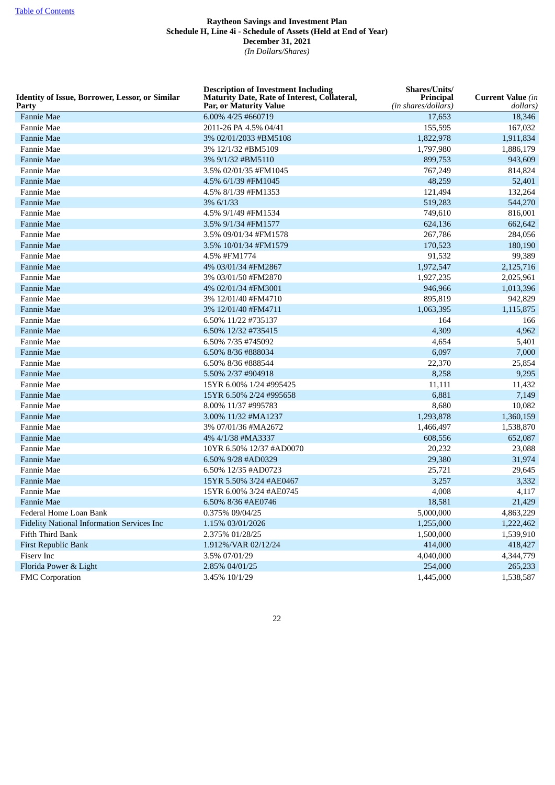| <b>Identity of Issue, Borrower, Lessor, or Similar</b><br>Party | <b>Description of Investment Including</b><br>Maturity Date, Rate of Interest, Collateral,<br><b>Par, or Maturity Value</b> | Shares/Units/<br>Principal<br>(in shares/dollars) | <b>Current Value</b> (in<br>dollars) |
|-----------------------------------------------------------------|-----------------------------------------------------------------------------------------------------------------------------|---------------------------------------------------|--------------------------------------|
| <b>Fannie Mae</b>                                               | 6.00% 4/25 #660719                                                                                                          | 17,653                                            | 18,346                               |
| Fannie Mae                                                      | 2011-26 PA 4.5% 04/41                                                                                                       | 155,595                                           | 167,032                              |
| <b>Fannie Mae</b>                                               | 3% 02/01/2033 #BM5108                                                                                                       | 1,822,978                                         | 1,911,834                            |
| Fannie Mae                                                      | 3% 12/1/32 #BM5109                                                                                                          | 1,797,980                                         | 1,886,179                            |
| <b>Fannie Mae</b>                                               | 3% 9/1/32 #BM5110                                                                                                           | 899,753                                           | 943,609                              |
| Fannie Mae                                                      | 3.5% 02/01/35 #FM1045                                                                                                       | 767,249                                           | 814,824                              |
| <b>Fannie Mae</b>                                               | 4.5% 6/1/39 #FM1045                                                                                                         | 48,259                                            | 52,401                               |
| Fannie Mae                                                      | 4.5% 8/1/39 #FM1353                                                                                                         | 121,494                                           | 132,264                              |
| <b>Fannie Mae</b>                                               | 3% 6/1/33                                                                                                                   | 519,283                                           | 544,270                              |
| Fannie Mae                                                      | 4.5% 9/1/49 #FM1534                                                                                                         | 749,610                                           | 816,001                              |
| <b>Fannie Mae</b>                                               | 3.5% 9/1/34 #FM1577                                                                                                         | 624,136                                           | 662,642                              |
| Fannie Mae                                                      | 3.5% 09/01/34 #FM1578                                                                                                       | 267,786                                           | 284,056                              |
| <b>Fannie Mae</b>                                               | 3.5% 10/01/34 #FM1579                                                                                                       | 170,523                                           | 180,190                              |
| Fannie Mae                                                      | 4.5% #FM1774                                                                                                                | 91,532                                            | 99,389                               |
| <b>Fannie Mae</b>                                               | 4% 03/01/34 #FM2867                                                                                                         | 1,972,547                                         | 2,125,716                            |
| Fannie Mae                                                      | 3% 03/01/50 #FM2870                                                                                                         | 1,927,235                                         | 2,025,961                            |
| <b>Fannie Mae</b>                                               | 4% 02/01/34 #FM3001                                                                                                         | 946,966                                           | 1,013,396                            |
| Fannie Mae                                                      | 3% 12/01/40 #FM4710                                                                                                         | 895,819                                           | 942,829                              |
| <b>Fannie Mae</b>                                               | 3% 12/01/40 #FM4711                                                                                                         | 1,063,395                                         | 1,115,875                            |
| Fannie Mae                                                      | 6.50% 11/22 #735137                                                                                                         | 164                                               | 166                                  |
| <b>Fannie Mae</b>                                               | 6.50% 12/32 #735415                                                                                                         | 4,309                                             | 4,962                                |
| Fannie Mae                                                      | 6.50% 7/35 #745092                                                                                                          | 4,654                                             | 5,401                                |
| <b>Fannie Mae</b>                                               | 6.50% 8/36 #888034                                                                                                          | 6,097                                             | 7,000                                |
| Fannie Mae                                                      | 6.50% 8/36 #888544                                                                                                          | 22,370                                            | 25,854                               |
| <b>Fannie Mae</b>                                               | 5.50% 2/37 #904918                                                                                                          | 8,258                                             | 9,295                                |
| Fannie Mae                                                      | 15YR 6.00% 1/24 #995425                                                                                                     | 11,111                                            | 11,432                               |
| <b>Fannie Mae</b>                                               | 15YR 6.50% 2/24 #995658                                                                                                     | 6,881                                             | 7,149                                |
| Fannie Mae                                                      | 8.00% 11/37 #995783                                                                                                         | 8,680                                             | 10,082                               |
| <b>Fannie Mae</b>                                               | 3.00% 11/32 #MA1237                                                                                                         | 1,293,878                                         | 1,360,159                            |
| Fannie Mae                                                      | 3% 07/01/36 #MA2672                                                                                                         | 1,466,497                                         | 1,538,870                            |
| <b>Fannie Mae</b>                                               | 4% 4/1/38 #MA3337                                                                                                           | 608,556                                           | 652,087                              |
| Fannie Mae                                                      | 10YR 6.50% 12/37 #AD0070                                                                                                    | 20,232                                            | 23,088                               |
| <b>Fannie Mae</b>                                               | 6.50% 9/28 #AD0329                                                                                                          | 29,380                                            | 31,974                               |
| Fannie Mae                                                      | 6.50% 12/35 #AD0723                                                                                                         | 25,721                                            | 29,645                               |
| <b>Fannie Mae</b>                                               | 15YR 5.50% 3/24 #AE0467                                                                                                     | 3,257                                             | 3,332                                |
| Fannie Mae                                                      | 15YR 6.00% 3/24 #AE0745                                                                                                     | 4,008                                             | 4,117                                |
| <b>Fannie Mae</b>                                               | 6.50% 8/36 #AE0746                                                                                                          | 18,581                                            | 21,429                               |
| Federal Home Loan Bank                                          | 0.375% 09/04/25                                                                                                             | 5,000,000                                         | 4,863,229                            |
| <b>Fidelity National Information Services Inc</b>               | 1.15% 03/01/2026                                                                                                            | 1,255,000                                         | 1,222,462                            |
| Fifth Third Bank                                                | 2.375% 01/28/25                                                                                                             | 1,500,000                                         | 1,539,910                            |
| First Republic Bank                                             | 1.912%/VAR 02/12/24                                                                                                         | 414,000                                           | 418,427                              |
| Fiserv Inc                                                      | 3.5% 07/01/29                                                                                                               | 4,040,000                                         | 4,344,779                            |
| Florida Power & Light                                           | 2.85% 04/01/25                                                                                                              | 254,000                                           | 265,233                              |
| <b>FMC</b> Corporation                                          | 3.45% 10/1/29                                                                                                               | 1,445,000                                         | 1,538,587                            |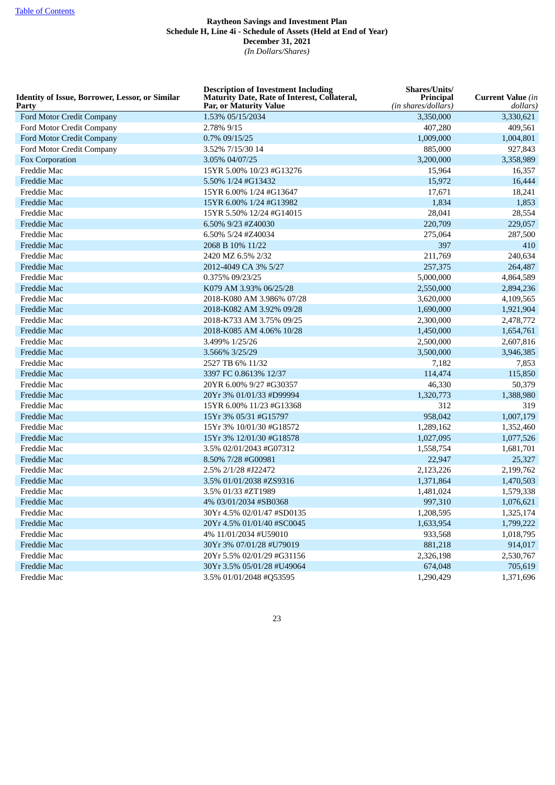| <b>Identity of Issue, Borrower, Lessor, or Similar</b><br>Party | <b>Description of Investment Including</b><br><b>Maturity Date, Rate of Interest, Collateral,</b><br>Par, or Maturity Value | Shares/Units/<br>Principal<br>(in shares/dollars) | <b>Current Value</b> (in<br>dollars) |
|-----------------------------------------------------------------|-----------------------------------------------------------------------------------------------------------------------------|---------------------------------------------------|--------------------------------------|
| Ford Motor Credit Company                                       | 1.53% 05/15/2034                                                                                                            | 3,350,000                                         | 3,330,621                            |
| Ford Motor Credit Company                                       | 2.78% 9/15                                                                                                                  | 407,280                                           | 409,561                              |
| Ford Motor Credit Company                                       | 0.7% 09/15/25                                                                                                               | 1,009,000                                         | 1,004,801                            |
| Ford Motor Credit Company                                       | 3.52% 7/15/30 14                                                                                                            | 885,000                                           | 927,843                              |
| Fox Corporation                                                 | 3.05% 04/07/25                                                                                                              | 3,200,000                                         | 3,358,989                            |
| Freddie Mac                                                     | 15YR 5.00% 10/23 #G13276                                                                                                    | 15,964                                            | 16,357                               |
| Freddie Mac                                                     | 5.50% 1/24 #G13432                                                                                                          | 15,972                                            | 16,444                               |
| Freddie Mac                                                     | 15YR 6.00% 1/24 #G13647                                                                                                     | 17,671                                            | 18,241                               |
| Freddie Mac                                                     | 15YR 6.00% 1/24 #G13982                                                                                                     | 1,834                                             | 1,853                                |
| Freddie Mac                                                     | 15YR 5.50% 12/24 #G14015                                                                                                    | 28,041                                            | 28,554                               |
| <b>Freddie Mac</b>                                              | 6.50% 9/23 #Z40030                                                                                                          | 220,709                                           | 229,057                              |
| Freddie Mac                                                     | 6.50% 5/24 #Z40034                                                                                                          | 275,064                                           | 287,500                              |
| Freddie Mac                                                     | 2068 B 10% 11/22                                                                                                            | 397                                               | 410                                  |
| Freddie Mac                                                     | 2420 MZ 6.5% 2/32                                                                                                           | 211,769                                           | 240,634                              |
| Freddie Mac                                                     | 2012-4049 CA 3% 5/27                                                                                                        | 257,375                                           | 264,487                              |
| Freddie Mac                                                     | 0.375% 09/23/25                                                                                                             | 5,000,000                                         | 4,864,589                            |
| Freddie Mac                                                     | K079 AM 3.93% 06/25/28                                                                                                      | 2,550,000                                         | 2,894,236                            |
| Freddie Mac                                                     | 2018-K080 AM 3.986% 07/28                                                                                                   | 3,620,000                                         | 4,109,565                            |
| Freddie Mac                                                     | 2018-K082 AM 3.92% 09/28                                                                                                    | 1,690,000                                         | 1,921,904                            |
| Freddie Mac                                                     | 2018-K733 AM 3.75% 09/25                                                                                                    | 2,300,000                                         | 2,478,772                            |
| Freddie Mac                                                     | 2018-K085 AM 4.06% 10/28                                                                                                    | 1,450,000                                         | 1,654,761                            |
| Freddie Mac                                                     | 3.499% 1/25/26                                                                                                              | 2,500,000                                         | 2,607,816                            |
| Freddie Mac                                                     | 3.566% 3/25/29                                                                                                              | 3,500,000                                         | 3,946,385                            |
| Freddie Mac                                                     | 2527 TB 6% 11/32                                                                                                            | 7,182                                             | 7,853                                |
| Freddie Mac                                                     | 3397 FC 0.8613% 12/37                                                                                                       | 114,474                                           | 115,850                              |
| Freddie Mac                                                     | 20YR 6.00% 9/27 #G30357                                                                                                     | 46,330                                            | 50,379                               |
| <b>Freddie Mac</b>                                              | 20Yr 3% 01/01/33 #D99994                                                                                                    | 1,320,773                                         | 1,388,980                            |
| Freddie Mac                                                     | 15YR 6.00% 11/23 #G13368                                                                                                    | 312                                               | 319                                  |
| Freddie Mac                                                     | 15Yr 3% 05/31 #G15797                                                                                                       | 958,042                                           | 1,007,179                            |
| Freddie Mac                                                     | 15Yr 3% 10/01/30 #G18572                                                                                                    | 1,289,162                                         | 1,352,460                            |
| Freddie Mac                                                     | 15Yr 3% 12/01/30 #G18578                                                                                                    | 1,027,095                                         | 1,077,526                            |
| Freddie Mac                                                     | 3.5% 02/01/2043 #G07312                                                                                                     | 1,558,754                                         | 1,681,701                            |
| Freddie Mac                                                     | 8.50% 7/28 #G00981                                                                                                          | 22,947                                            | 25,327                               |
| Freddie Mac                                                     | 2.5% 2/1/28 #J22472                                                                                                         | 2,123,226                                         | 2,199,762                            |
| <b>Freddie Mac</b>                                              | 3.5% 01/01/2038 #ZS9316                                                                                                     | 1,371,864                                         | 1,470,503                            |
| Freddie Mac                                                     | 3.5% 01/33 #ZT1989                                                                                                          | 1,481,024                                         | 1,579,338                            |
| Freddie Mac                                                     | 4% 03/01/2034 #SB0368                                                                                                       | 997,310                                           | 1,076,621                            |
| Freddie Mac                                                     | 30Yr 4.5% 02/01/47 #SD0135                                                                                                  | 1,208,595                                         | 1,325,174                            |
| Freddie Mac                                                     | 20Yr 4.5% 01/01/40 #SC0045                                                                                                  | 1,633,954                                         | 1,799,222                            |
| Freddie Mac                                                     | 4% 11/01/2034 #U59010                                                                                                       | 933,568                                           | 1,018,795                            |
| <b>Freddie Mac</b>                                              | 30Yr 3% 07/01/28 #U79019                                                                                                    | 881,218                                           | 914,017                              |
| Freddie Mac                                                     | 20Yr 5.5% 02/01/29 #G31156                                                                                                  | 2,326,198                                         | 2,530,767                            |
| Freddie Mac                                                     | 30Yr 3.5% 05/01/28 #U49064                                                                                                  | 674,048                                           | 705,619                              |
| Freddie Mac                                                     | 3.5% 01/01/2048 #Q53595                                                                                                     | 1,290,429                                         | 1,371,696                            |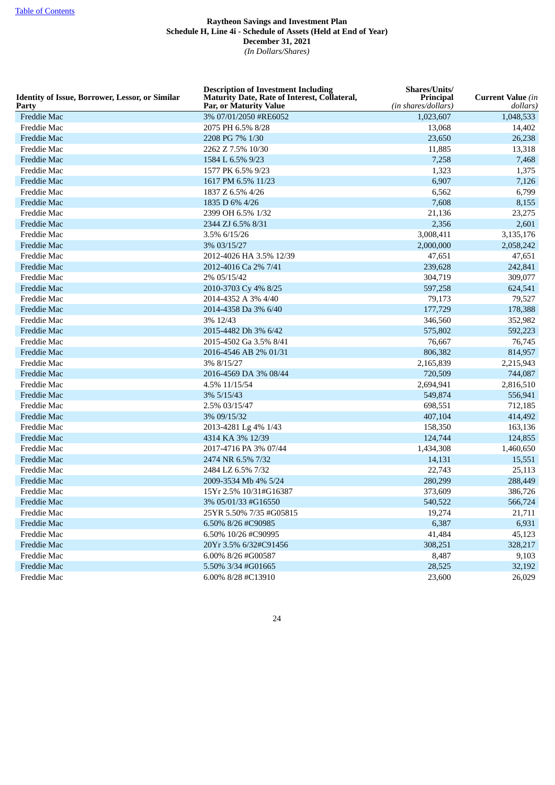| <b>Identity of Issue, Borrower, Lessor, or Similar</b><br>Party | <b>Description of Investment Including</b><br>Maturity Date, Rate of Interest, Collateral,<br>Par, or Maturity Value | Shares/Units/<br><b>Principal</b><br>(in shares/dollars) | <b>Current Value</b> (in<br>dollars) |
|-----------------------------------------------------------------|----------------------------------------------------------------------------------------------------------------------|----------------------------------------------------------|--------------------------------------|
| Freddie Mac                                                     | 3% 07/01/2050 #RE6052                                                                                                | 1,023,607                                                | 1,048,533                            |
| Freddie Mac                                                     | 2075 PH 6.5% 8/28                                                                                                    | 13,068                                                   | 14,402                               |
| Freddie Mac                                                     | 2208 PG 7% 1/30                                                                                                      | 23,650                                                   | 26,238                               |
| Freddie Mac                                                     | 2262 Z 7.5% 10/30                                                                                                    | 11,885                                                   | 13,318                               |
| Freddie Mac                                                     | 1584 L 6.5% 9/23                                                                                                     | 7,258                                                    | 7,468                                |
| Freddie Mac                                                     | 1577 PK 6.5% 9/23                                                                                                    | 1,323                                                    | 1,375                                |
| Freddie Mac                                                     | 1617 PM 6.5% 11/23                                                                                                   | 6,907                                                    | 7,126                                |
| Freddie Mac                                                     | 1837 Z 6.5% 4/26                                                                                                     | 6,562                                                    | 6,799                                |
| Freddie Mac                                                     | 1835 D 6% 4/26                                                                                                       | 7,608                                                    | 8,155                                |
| Freddie Mac                                                     | 2399 OH 6.5% 1/32                                                                                                    | 21,136                                                   | 23,275                               |
| <b>Freddie Mac</b>                                              | 2344 ZJ 6.5% 8/31                                                                                                    | 2,356                                                    | 2,601                                |
| Freddie Mac                                                     | 3.5% 6/15/26                                                                                                         | 3,008,411                                                | 3,135,176                            |
| Freddie Mac                                                     | 3% 03/15/27                                                                                                          | 2,000,000                                                | 2,058,242                            |
| Freddie Mac                                                     | 2012-4026 HA 3.5% 12/39                                                                                              | 47,651                                                   | 47,651                               |
| Freddie Mac                                                     | 2012-4016 Ca 2% 7/41                                                                                                 | 239,628                                                  | 242,841                              |
| Freddie Mac                                                     | 2% 05/15/42                                                                                                          | 304,719                                                  | 309,077                              |
| Freddie Mac                                                     | 2010-3703 Cy 4% 8/25                                                                                                 | 597,258                                                  | 624,541                              |
| Freddie Mac                                                     | 2014-4352 A 3% 4/40                                                                                                  | 79,173                                                   | 79,527                               |
| Freddie Mac                                                     | 2014-4358 Da 3% 6/40                                                                                                 | 177,729                                                  | 178,388                              |
| Freddie Mac                                                     | 3% 12/43                                                                                                             | 346,560                                                  | 352,982                              |
| Freddie Mac                                                     | 2015-4482 Dh 3% 6/42                                                                                                 | 575,802                                                  | 592,223                              |
| Freddie Mac                                                     | 2015-4502 Ga 3.5% 8/41                                                                                               | 76,667                                                   | 76,745                               |
| Freddie Mac                                                     | 2016-4546 AB 2% 01/31                                                                                                | 806,382                                                  | 814,957                              |
| Freddie Mac                                                     | 3% 8/15/27                                                                                                           | 2,165,839                                                | 2,215,943                            |
| Freddie Mac                                                     | 2016-4569 DA 3% 08/44                                                                                                | 720,509                                                  | 744,087                              |
| Freddie Mac                                                     | 4.5% 11/15/54                                                                                                        | 2,694,941                                                | 2,816,510                            |
| Freddie Mac                                                     | 3% 5/15/43                                                                                                           | 549,874                                                  | 556,941                              |
| Freddie Mac                                                     | 2.5% 03/15/47                                                                                                        | 698,551                                                  | 712,185                              |
| Freddie Mac                                                     | 3% 09/15/32                                                                                                          | 407,104                                                  | 414,492                              |
| Freddie Mac                                                     | 2013-4281 Lg 4% 1/43                                                                                                 | 158,350                                                  | 163,136                              |
| Freddie Mac                                                     | 4314 KA 3% 12/39                                                                                                     | 124,744                                                  | 124,855                              |
| Freddie Mac                                                     | 2017-4716 PA 3% 07/44                                                                                                | 1,434,308                                                | 1,460,650                            |
| Freddie Mac                                                     | 2474 NR 6.5% 7/32                                                                                                    | 14,131                                                   | 15,551                               |
| Freddie Mac                                                     | 2484 LZ 6.5% 7/32                                                                                                    | 22,743                                                   | 25,113                               |
| <b>Freddie Mac</b>                                              | 2009-3534 Mb 4% 5/24                                                                                                 | 280,299                                                  | 288,449                              |
| Freddie Mac                                                     | 15Yr 2.5% 10/31#G16387                                                                                               | 373,609                                                  | 386,726                              |
| Freddie Mac                                                     | 3% 05/01/33 #G16550                                                                                                  | 540,522                                                  | 566,724                              |
| Freddie Mac                                                     | 25YR 5.50% 7/35 #G05815                                                                                              | 19,274                                                   | 21,711                               |
| Freddie Mac                                                     | 6.50% 8/26 #C90985                                                                                                   | 6,387                                                    | 6,931                                |
| Freddie Mac                                                     | 6.50% 10/26 #C90995                                                                                                  | 41,484                                                   | 45,123                               |
| Freddie Mac                                                     | 20Yr 3.5% 6/32#C91456                                                                                                | 308,251                                                  | 328,217                              |
| Freddie Mac                                                     | 6.00% 8/26 #G00587                                                                                                   | 8,487                                                    | 9,103                                |
| Freddie Mac                                                     | 5.50% 3/34 #G01665                                                                                                   | 28,525                                                   | 32,192                               |
| Freddie Mac                                                     | 6.00% 8/28 #C13910                                                                                                   | 23,600                                                   | 26,029                               |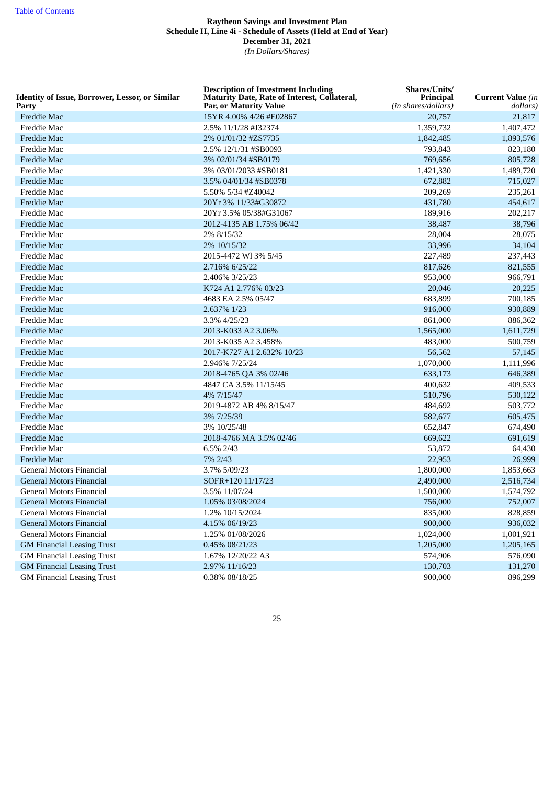| <b>Identity of Issue, Borrower, Lessor, or Similar</b><br>Party | <b>Description of Investment Including</b><br>Maturity Date, Rate of Interest, Collateral,<br><b>Par, or Maturity Value</b> | Shares/Units/<br>Principal<br>(in shares/dollars) | <b>Current Value</b> (in<br>dollars) |
|-----------------------------------------------------------------|-----------------------------------------------------------------------------------------------------------------------------|---------------------------------------------------|--------------------------------------|
| Freddie Mac                                                     | 15YR 4.00% 4/26 #E02867                                                                                                     | 20,757                                            | 21,817                               |
| Freddie Mac                                                     | 2.5% 11/1/28 #J32374                                                                                                        | 1,359,732                                         | 1,407,472                            |
| Freddie Mac                                                     | 2% 01/01/32 #ZS7735                                                                                                         | 1,842,485                                         | 1,893,576                            |
| Freddie Mac                                                     | 2.5% 12/1/31 #SB0093                                                                                                        | 793,843                                           | 823,180                              |
| Freddie Mac                                                     | 3% 02/01/34 #SB0179                                                                                                         | 769,656                                           | 805,728                              |
| Freddie Mac                                                     | 3% 03/01/2033 #SB0181                                                                                                       | 1,421,330                                         | 1,489,720                            |
| Freddie Mac                                                     | 3.5% 04/01/34 #SB0378                                                                                                       | 672,882                                           | 715,027                              |
| Freddie Mac                                                     | 5.50% 5/34 #Z40042                                                                                                          | 209,269                                           | 235,261                              |
| Freddie Mac                                                     | 20Yr 3% 11/33#G30872                                                                                                        | 431,780                                           | 454,617                              |
| Freddie Mac                                                     | 20Yr 3.5% 05/38#G31067                                                                                                      | 189,916                                           | 202,217                              |
| Freddie Mac                                                     | 2012-4135 AB 1.75% 06/42                                                                                                    | 38,487                                            | 38,796                               |
| Freddie Mac                                                     | 2% 8/15/32                                                                                                                  | 28,004                                            | 28,075                               |
| Freddie Mac                                                     | 2% 10/15/32                                                                                                                 | 33,996                                            | 34,104                               |
| Freddie Mac                                                     | 2015-4472 WI 3% 5/45                                                                                                        | 227,489                                           | 237,443                              |
| Freddie Mac                                                     | 2.716% 6/25/22                                                                                                              | 817,626                                           | 821,555                              |
| Freddie Mac                                                     | 2.406% 3/25/23                                                                                                              | 953,000                                           | 966,791                              |
| Freddie Mac                                                     | K724 A1 2.776% 03/23                                                                                                        | 20,046                                            | 20,225                               |
| Freddie Mac                                                     | 4683 EA 2.5% 05/47                                                                                                          | 683,899                                           | 700,185                              |
| Freddie Mac                                                     | 2.637% 1/23                                                                                                                 | 916,000                                           | 930,889                              |
| Freddie Mac                                                     | 3.3% 4/25/23                                                                                                                | 861,000                                           | 886,362                              |
| Freddie Mac                                                     | 2013-K033 A2 3.06%                                                                                                          | 1,565,000                                         | 1,611,729                            |
| Freddie Mac                                                     | 2013-K035 A2 3.458%                                                                                                         | 483,000                                           | 500,759                              |
| Freddie Mac                                                     | 2017-K727 A1 2.632% 10/23                                                                                                   | 56,562                                            | 57,145                               |
| Freddie Mac                                                     | 2.946% 7/25/24                                                                                                              | 1,070,000                                         | 1,111,996                            |
| Freddie Mac                                                     | 2018-4765 QA 3% 02/46                                                                                                       | 633,173                                           | 646,389                              |
| Freddie Mac                                                     | 4847 CA 3.5% 11/15/45                                                                                                       | 400,632                                           | 409,533                              |
| Freddie Mac                                                     | 4% 7/15/47                                                                                                                  | 510,796                                           | 530,122                              |
| Freddie Mac                                                     | 2019-4872 AB 4% 8/15/47                                                                                                     | 484,692                                           | 503,772                              |
| Freddie Mac                                                     | 3% 7/25/39                                                                                                                  | 582,677                                           | 605,475                              |
| Freddie Mac                                                     | 3% 10/25/48                                                                                                                 | 652,847                                           | 674,490                              |
| Freddie Mac                                                     | 2018-4766 MA 3.5% 02/46                                                                                                     | 669,622                                           | 691,619                              |
| Freddie Mac                                                     | 6.5% 2/43                                                                                                                   | 53,872                                            | 64,430                               |
| Freddie Mac                                                     | 7% 2/43                                                                                                                     | 22,953                                            | 26,999                               |
| <b>General Motors Financial</b>                                 | 3.7% 5/09/23                                                                                                                | 1,800,000                                         | 1,853,663                            |
| <b>General Motors Financial</b>                                 | SOFR+120 11/17/23                                                                                                           | 2,490,000                                         | 2,516,734                            |
| <b>General Motors Financial</b>                                 | 3.5% 11/07/24                                                                                                               | 1,500,000                                         | 1,574,792                            |
| <b>General Motors Financial</b>                                 | 1.05% 03/08/2024                                                                                                            | 756,000                                           | 752,007                              |
| <b>General Motors Financial</b>                                 | 1.2% 10/15/2024                                                                                                             | 835,000                                           | 828,859                              |
| <b>General Motors Financial</b>                                 | 4.15% 06/19/23                                                                                                              | 900,000                                           | 936,032                              |
| <b>General Motors Financial</b>                                 | 1.25% 01/08/2026                                                                                                            | 1,024,000                                         | 1,001,921                            |
| <b>GM Financial Leasing Trust</b>                               | 0.45% 08/21/23                                                                                                              | 1,205,000                                         | 1,205,165                            |
| <b>GM Financial Leasing Trust</b>                               | 1.67% 12/20/22 A3                                                                                                           | 574,906                                           | 576,090                              |
| <b>GM Financial Leasing Trust</b>                               | 2.97% 11/16/23                                                                                                              | 130,703                                           | 131,270                              |
| <b>GM Financial Leasing Trust</b>                               | 0.38% 08/18/25                                                                                                              | 900,000                                           | 896,299                              |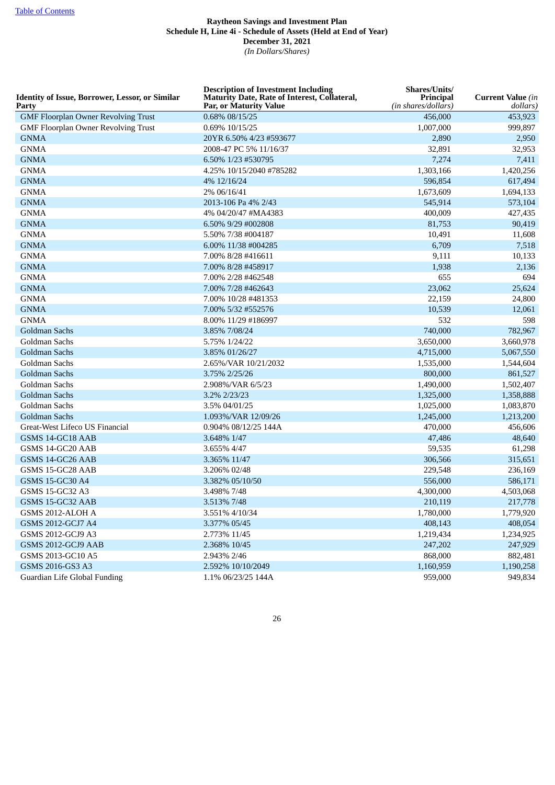| Identity of Issue, Borrower, Lessor, or Similar<br>Party | <b>Description of Investment Including</b><br><b>Maturity Date, Rate of Interest, Collateral,</b><br><b>Par, or Maturity Value</b> | Shares/Units/<br><b>Principal</b><br>(in shares/dollars) | <b>Current Value</b> (in<br>dollars) |
|----------------------------------------------------------|------------------------------------------------------------------------------------------------------------------------------------|----------------------------------------------------------|--------------------------------------|
| <b>GMF Floorplan Owner Revolving Trust</b>               | 0.68% 08/15/25                                                                                                                     | 456,000                                                  | 453,923                              |
| <b>GMF Floorplan Owner Revolving Trust</b>               | 0.69% 10/15/25                                                                                                                     | 1,007,000                                                | 999,897                              |
| <b>GNMA</b>                                              | 20YR 6.50% 4/23 #593677                                                                                                            | 2,890                                                    | 2,950                                |
| <b>GNMA</b>                                              | 2008-47 PC 5% 11/16/37                                                                                                             | 32,891                                                   | 32,953                               |
| <b>GNMA</b>                                              | 6.50% 1/23 #530795                                                                                                                 | 7,274                                                    | 7,411                                |
| <b>GNMA</b>                                              | 4.25% 10/15/2040 #785282                                                                                                           | 1,303,166                                                | 1,420,256                            |
| <b>GNMA</b>                                              | 4% 12/16/24                                                                                                                        | 596,854                                                  | 617,494                              |
| <b>GNMA</b>                                              | 2% 06/16/41                                                                                                                        | 1,673,609                                                | 1,694,133                            |
| <b>GNMA</b>                                              | 2013-106 Pa 4% 2/43                                                                                                                | 545,914                                                  | 573,104                              |
| <b>GNMA</b>                                              | 4% 04/20/47 #MA4383                                                                                                                | 400,009                                                  | 427,435                              |
| <b>GNMA</b>                                              | 6.50% 9/29 #002808                                                                                                                 | 81,753                                                   | 90,419                               |
| <b>GNMA</b>                                              | 5.50% 7/38 #004187                                                                                                                 | 10,491                                                   | 11,608                               |
| <b>GNMA</b>                                              | 6.00% 11/38 #004285                                                                                                                | 6,709                                                    | 7,518                                |
| <b>GNMA</b>                                              | 7.00% 8/28 #416611                                                                                                                 | 9,111                                                    | 10,133                               |
| <b>GNMA</b>                                              | 7.00% 8/28 #458917                                                                                                                 | 1,938                                                    | 2,136                                |
| <b>GNMA</b>                                              | 7.00% 2/28 #462548                                                                                                                 | 655                                                      | 694                                  |
| <b>GNMA</b>                                              | 7.00% 7/28 #462643                                                                                                                 | 23,062                                                   | 25,624                               |
| <b>GNMA</b>                                              | 7.00% 10/28 #481353                                                                                                                | 22,159                                                   | 24,800                               |
| <b>GNMA</b>                                              | 7.00% 5/32 #552576                                                                                                                 | 10,539                                                   | 12,061                               |
| <b>GNMA</b>                                              | 8.00% 11/29 #186997                                                                                                                | 532                                                      | 598                                  |
| Goldman Sachs                                            | 3.85% 7/08/24                                                                                                                      | 740,000                                                  | 782,967                              |
| Goldman Sachs                                            | 5.75% 1/24/22                                                                                                                      | 3,650,000                                                | 3,660,978                            |
| Goldman Sachs                                            | 3.85% 01/26/27                                                                                                                     | 4,715,000                                                | 5,067,550                            |
| Goldman Sachs                                            | 2.65%/VAR 10/21/2032                                                                                                               | 1,535,000                                                | 1,544,604                            |
| Goldman Sachs                                            | 3.75% 2/25/26                                                                                                                      | 800,000                                                  | 861,527                              |
| Goldman Sachs                                            | 2.908%/VAR 6/5/23                                                                                                                  | 1,490,000                                                | 1,502,407                            |
| Goldman Sachs                                            | 3.2% 2/23/23                                                                                                                       | 1,325,000                                                | 1,358,888                            |
| Goldman Sachs                                            | 3.5% 04/01/25                                                                                                                      | 1,025,000                                                | 1,083,870                            |
| Goldman Sachs                                            | 1.093%/VAR 12/09/26                                                                                                                | 1,245,000                                                | 1,213,200                            |
| Great-West Lifeco US Financial                           | 0.904% 08/12/25 144A                                                                                                               | 470,000                                                  | 456,606                              |
| GSMS 14-GC18 AAB                                         | 3.648% 1/47                                                                                                                        | 47,486                                                   | 48,640                               |
| GSMS 14-GC20 AAB                                         | 3.655% 4/47                                                                                                                        | 59,535                                                   | 61,298                               |
| GSMS 14-GC26 AAB                                         | 3.365% 11/47                                                                                                                       | 306,566                                                  | 315,651                              |
| GSMS 15-GC28 AAB                                         | 3.206% 02/48                                                                                                                       | 229,548                                                  | 236,169                              |
| GSMS 15-GC30 A4                                          | 3.382% 05/10/50                                                                                                                    | 556,000                                                  | 586,171                              |
| GSMS 15-GC32 A3                                          | 3.498% 7/48                                                                                                                        | 4,300,000                                                | 4,503,068                            |
| GSMS 15-GC32 AAB                                         | 3.513% 7/48                                                                                                                        | 210,119                                                  | 217,778                              |
| GSMS 2012-ALOH A                                         | 3.551% 4/10/34                                                                                                                     | 1,780,000                                                | 1,779,920                            |
| GSMS 2012-GCJ7 A4                                        | 3.377% 05/45                                                                                                                       | 408,143                                                  | 408,054                              |
| GSMS 2012-GCJ9 A3                                        | 2.773% 11/45                                                                                                                       | 1,219,434                                                | 1,234,925                            |
| GSMS 2012-GCJ9 AAB                                       | 2.368% 10/45                                                                                                                       | 247,202                                                  | 247,929                              |
| GSMS 2013-GC10 A5                                        | 2.943% 2/46                                                                                                                        | 868,000                                                  | 882,481                              |
| GSMS 2016-GS3 A3                                         | 2.592% 10/10/2049                                                                                                                  | 1,160,959                                                | 1,190,258                            |
| Guardian Life Global Funding                             | 1.1% 06/23/25 144A                                                                                                                 | 959,000                                                  | 949,834                              |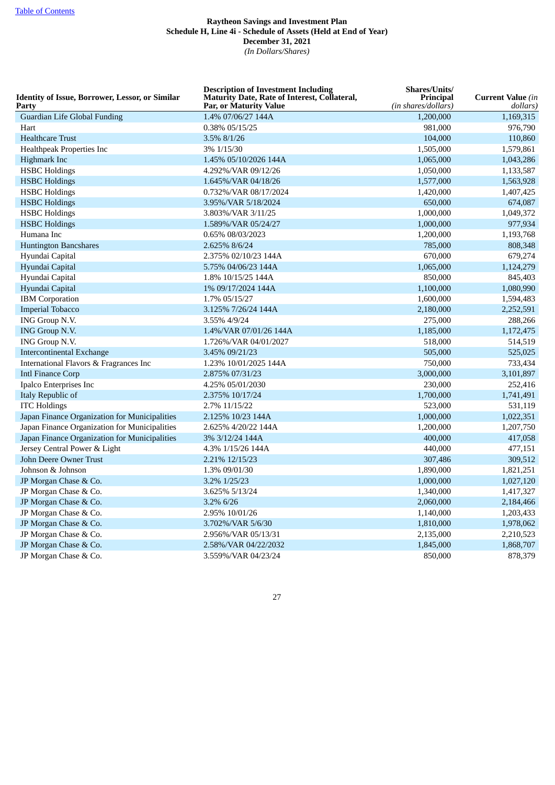| <b>Identity of Issue, Borrower, Lessor, or Similar</b><br>Party | <b>Description of Investment Including</b><br><b>Maturity Date, Rate of Interest, Collateral,</b><br><b>Par, or Maturity Value</b> | Shares/Units/<br>Principal<br>(in shares/dollars) | <b>Current Value</b> (in<br>dollars) |
|-----------------------------------------------------------------|------------------------------------------------------------------------------------------------------------------------------------|---------------------------------------------------|--------------------------------------|
| Guardian Life Global Funding                                    | 1.4% 07/06/27 144A                                                                                                                 | 1,200,000                                         | 1,169,315                            |
| Hart                                                            | 0.38% 05/15/25                                                                                                                     | 981,000                                           | 976,790                              |
| <b>Healthcare Trust</b>                                         | 3.5% 8/1/26                                                                                                                        | 104,000                                           | 110,860                              |
| <b>Healthpeak Properties Inc</b>                                | 3% 1/15/30                                                                                                                         | 1,505,000                                         | 1,579,861                            |
| Highmark Inc                                                    | 1.45% 05/10/2026 144A                                                                                                              | 1,065,000                                         | 1,043,286                            |
| <b>HSBC</b> Holdings                                            | 4.292%/VAR 09/12/26                                                                                                                | 1,050,000                                         | 1,133,587                            |
| <b>HSBC</b> Holdings                                            | 1.645%/VAR 04/18/26                                                                                                                | 1,577,000                                         | 1,563,928                            |
| <b>HSBC</b> Holdings                                            | 0.732%/VAR 08/17/2024                                                                                                              | 1,420,000                                         | 1,407,425                            |
| <b>HSBC</b> Holdings                                            | 3.95%/VAR 5/18/2024                                                                                                                | 650,000                                           | 674,087                              |
| <b>HSBC Holdings</b>                                            | 3.803%/VAR 3/11/25                                                                                                                 | 1,000,000                                         | 1,049,372                            |
| <b>HSBC</b> Holdings                                            | 1.589%/VAR 05/24/27                                                                                                                | 1,000,000                                         | 977,934                              |
| Humana Inc                                                      | 0.65% 08/03/2023                                                                                                                   | 1,200,000                                         | 1,193,768                            |
| <b>Huntington Bancshares</b>                                    | 2.625% 8/6/24                                                                                                                      | 785,000                                           | 808,348                              |
| Hyundai Capital                                                 | 2.375% 02/10/23 144A                                                                                                               | 670,000                                           | 679,274                              |
| Hyundai Capital                                                 | 5.75% 04/06/23 144A                                                                                                                | 1,065,000                                         | 1,124,279                            |
| Hyundai Capital                                                 | 1.8% 10/15/25 144A                                                                                                                 | 850,000                                           | 845,403                              |
| Hyundai Capital                                                 | 1% 09/17/2024 144A                                                                                                                 | 1,100,000                                         | 1,080,990                            |
| <b>IBM</b> Corporation                                          | 1.7% 05/15/27                                                                                                                      | 1,600,000                                         | 1,594,483                            |
| <b>Imperial Tobacco</b>                                         | 3.125% 7/26/24 144A                                                                                                                | 2,180,000                                         | 2,252,591                            |
| ING Group N.V.                                                  | 3.55% 4/9/24                                                                                                                       | 275,000                                           | 288,266                              |
| ING Group N.V.                                                  | 1.4%/VAR 07/01/26 144A                                                                                                             | 1,185,000                                         | 1,172,475                            |
| ING Group N.V.                                                  | 1.726%/VAR 04/01/2027                                                                                                              | 518,000                                           | 514,519                              |
| Intercontinental Exchange                                       | 3.45% 09/21/23                                                                                                                     | 505,000                                           | 525,025                              |
| International Flavors & Fragrances Inc                          | 1.23% 10/01/2025 144A                                                                                                              | 750,000                                           | 733,434                              |
| <b>Intl Finance Corp</b>                                        | 2.875% 07/31/23                                                                                                                    | 3,000,000                                         | 3,101,897                            |
| Ipalco Enterprises Inc                                          | 4.25% 05/01/2030                                                                                                                   | 230,000                                           | 252,416                              |
| Italy Republic of                                               | 2.375% 10/17/24                                                                                                                    | 1,700,000                                         | 1,741,491                            |
| <b>ITC Holdings</b>                                             | 2.7% 11/15/22                                                                                                                      | 523,000                                           | 531,119                              |
| Japan Finance Organization for Municipalities                   | 2.125% 10/23 144A                                                                                                                  | 1,000,000                                         | 1,022,351                            |
| Japan Finance Organization for Municipalities                   | 2.625% 4/20/22 144A                                                                                                                | 1,200,000                                         | 1,207,750                            |
| Japan Finance Organization for Municipalities                   | 3% 3/12/24 144A                                                                                                                    | 400,000                                           | 417,058                              |
| Jersey Central Power & Light                                    | 4.3% 1/15/26 144A                                                                                                                  | 440,000                                           | 477,151                              |
| John Deere Owner Trust                                          | 2.21% 12/15/23                                                                                                                     | 307,486                                           | 309,512                              |
| Johnson & Johnson                                               | 1.3% 09/01/30                                                                                                                      | 1,890,000                                         | 1,821,251                            |
| JP Morgan Chase & Co.                                           | 3.2% 1/25/23                                                                                                                       | 1,000,000                                         | 1,027,120                            |
| JP Morgan Chase & Co.                                           | 3.625% 5/13/24                                                                                                                     | 1,340,000                                         | 1,417,327                            |
| JP Morgan Chase & Co.                                           | 3.2% 6/26                                                                                                                          | 2,060,000                                         | 2,184,466                            |
| JP Morgan Chase & Co.                                           | 2.95% 10/01/26                                                                                                                     | 1,140,000                                         | 1,203,433                            |
| JP Morgan Chase & Co.                                           | 3.702%/VAR 5/6/30                                                                                                                  | 1,810,000                                         | 1,978,062                            |
| JP Morgan Chase & Co.                                           | 2.956%/VAR 05/13/31                                                                                                                | 2,135,000                                         | 2,210,523                            |
| JP Morgan Chase & Co.                                           | 2.58%/VAR 04/22/2032                                                                                                               | 1,845,000                                         | 1,868,707                            |
| JP Morgan Chase & Co.                                           | 3.559%/VAR 04/23/24                                                                                                                | 850,000                                           | 878,379                              |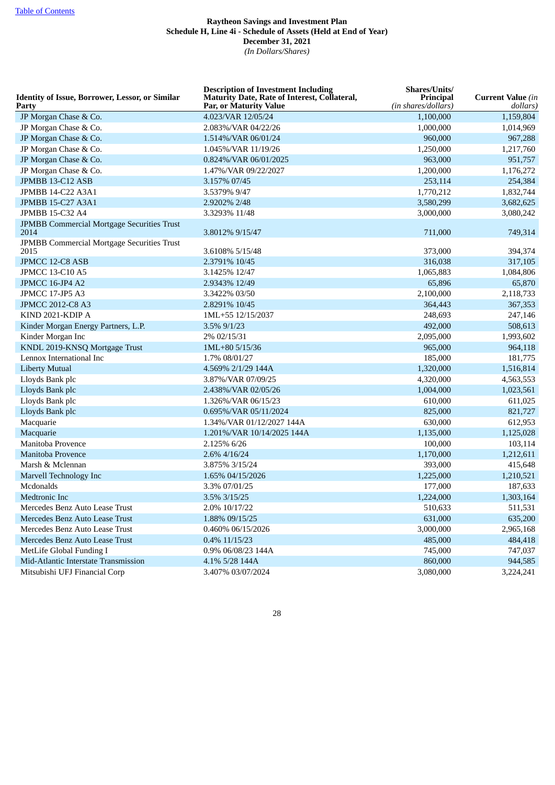| <b>Identity of Issue, Borrower, Lessor, or Similar</b><br>Party | <b>Description of Investment Including</b><br>Maturity Date, Rate of Interest, Collateral,<br>Par, or Maturity Value | Shares/Units/<br>Principal<br>(in shares/dollars) | <b>Current Value</b> (in<br>dollars) |
|-----------------------------------------------------------------|----------------------------------------------------------------------------------------------------------------------|---------------------------------------------------|--------------------------------------|
| JP Morgan Chase & Co.                                           | 4.023/VAR 12/05/24                                                                                                   | 1,100,000                                         | 1,159,804                            |
| JP Morgan Chase & Co.                                           | 2.083%/VAR 04/22/26                                                                                                  | 1,000,000                                         | 1,014,969                            |
| JP Morgan Chase & Co.                                           | 1.514%/VAR 06/01/24                                                                                                  | 960,000                                           | 967,288                              |
| JP Morgan Chase & Co.                                           | 1.045%/VAR 11/19/26                                                                                                  | 1,250,000                                         | 1,217,760                            |
| JP Morgan Chase & Co.                                           | 0.824%/VAR 06/01/2025                                                                                                | 963,000                                           | 951,757                              |
| JP Morgan Chase & Co.                                           | 1.47%/VAR 09/22/2027                                                                                                 | 1,200,000                                         | 1,176,272                            |
| JPMBB 13-C12 ASB                                                | 3.157% 07/45                                                                                                         | 253,114                                           | 254,384                              |
| <b>JPMBB 14-C22 A3A1</b>                                        | 3.5379% 9/47                                                                                                         | 1,770,212                                         | 1,832,744                            |
| <b>JPMBB 15-C27 A3A1</b>                                        | 2.9202% 2/48                                                                                                         | 3,580,299                                         | 3,682,625                            |
| <b>JPMBB 15-C32 A4</b>                                          | 3.3293% 11/48                                                                                                        | 3,000,000                                         | 3,080,242                            |
| JPMBB Commercial Mortgage Securities Trust<br>2014              | 3.8012% 9/15/47                                                                                                      | 711,000                                           | 749,314                              |
| JPMBB Commercial Mortgage Securities Trust<br>2015              | 3.6108% 5/15/48                                                                                                      | 373,000                                           | 394,374                              |
| JPMCC 12-C8 ASB                                                 | 2.3791% 10/45                                                                                                        | 316,038                                           | 317,105                              |
| <b>JPMCC 13-C10 A5</b>                                          | 3.1425% 12/47                                                                                                        | 1,065,883                                         | 1,084,806                            |
| JPMCC 16-JP4 A2                                                 | 2.9343% 12/49                                                                                                        | 65,896                                            | 65,870                               |
| <b>JPMCC 17-JP5 A3</b>                                          | 3.3422% 03/50                                                                                                        | 2,100,000                                         | 2,118,733                            |
| <b>JPMCC 2012-C8 A3</b>                                         | 2.8291% 10/45                                                                                                        | 364,443                                           | 367,353                              |
| KIND 2021-KDIP A                                                | 1ML+55 12/15/2037                                                                                                    | 248,693                                           | 247,146                              |
| Kinder Morgan Energy Partners, L.P.                             | 3.5% 9/1/23                                                                                                          | 492,000                                           | 508,613                              |
| Kinder Morgan Inc                                               | 2% 02/15/31                                                                                                          | 2,095,000                                         | 1,993,602                            |
| KNDL 2019-KNSQ Mortgage Trust                                   | 1ML+80 5/15/36                                                                                                       | 965,000                                           | 964,118                              |
| Lennox International Inc                                        | 1.7% 08/01/27                                                                                                        | 185,000                                           | 181,775                              |
| <b>Liberty Mutual</b>                                           | 4.569% 2/1/29 144A                                                                                                   | 1,320,000                                         | 1,516,814                            |
| Lloyds Bank plc                                                 | 3.87%/VAR 07/09/25                                                                                                   | 4,320,000                                         | 4,563,553                            |
| Lloyds Bank plc                                                 | 2.438%/VAR 02/05/26                                                                                                  | 1,004,000                                         | 1,023,561                            |
| Lloyds Bank plc                                                 | 1.326%/VAR 06/15/23                                                                                                  | 610,000                                           | 611,025                              |
| Lloyds Bank plc                                                 | 0.695%/VAR 05/11/2024                                                                                                | 825,000                                           | 821,727                              |
| Macquarie                                                       | 1.34%/VAR 01/12/2027 144A                                                                                            | 630,000                                           | 612,953                              |
| Macquarie                                                       | 1.201%/VAR 10/14/2025 144A                                                                                           | 1,135,000                                         | 1,125,028                            |
| Manitoba Provence                                               | 2.125% 6/26                                                                                                          | 100,000                                           | 103,114                              |
| Manitoba Provence                                               | 2.6% 4/16/24                                                                                                         | 1,170,000                                         | 1,212,611                            |
| Marsh & Mclennan                                                | 3.875% 3/15/24                                                                                                       | 393,000                                           | 415,648                              |
| Marvell Technology Inc                                          | 1.65% 04/15/2026                                                                                                     | 1,225,000                                         | 1,210,521                            |
| Mcdonalds                                                       | 3.3% 07/01/25                                                                                                        | 177,000                                           | 187,633                              |
| <b>Medtronic Inc</b>                                            | 3.5% 3/15/25                                                                                                         | 1,224,000                                         | 1,303,164                            |
| Mercedes Benz Auto Lease Trust                                  | 2.0% 10/17/22                                                                                                        | 510,633                                           | 511,531                              |
| Mercedes Benz Auto Lease Trust                                  | 1.88% 09/15/25                                                                                                       | 631,000                                           | 635,200                              |
| Mercedes Benz Auto Lease Trust                                  | 0.460% 06/15/2026                                                                                                    | 3,000,000                                         | 2,965,168                            |
| Mercedes Benz Auto Lease Trust                                  | 0.4% 11/15/23                                                                                                        | 485,000                                           | 484,418                              |
| MetLife Global Funding I                                        | 0.9% 06/08/23 144A                                                                                                   | 745,000                                           | 747,037                              |
| Mid-Atlantic Interstate Transmission                            | 4.1% 5/28 144A                                                                                                       | 860,000                                           | 944,585                              |
| Mitsubishi UFJ Financial Corp                                   | 3.407% 03/07/2024                                                                                                    | 3,080,000                                         | 3,224,241                            |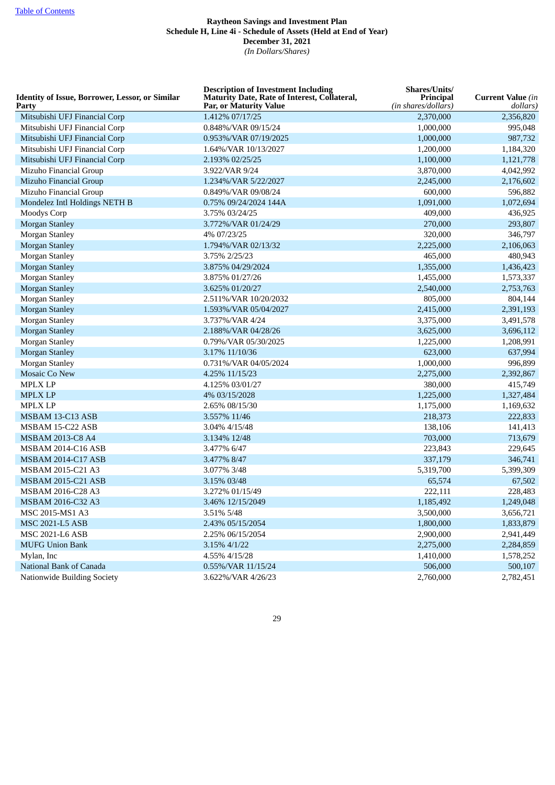| <b>Identity of Issue, Borrower, Lessor, or Similar</b><br>Party | <b>Description of Investment Including</b><br>Maturity Date, Rate of Interest, Collateral,<br>Par, or Maturity Value | Shares/Units/<br><b>Principal</b><br>(in shares/dollars) | <b>Current Value</b> (in<br>dollars) |
|-----------------------------------------------------------------|----------------------------------------------------------------------------------------------------------------------|----------------------------------------------------------|--------------------------------------|
| Mitsubishi UFJ Financial Corp                                   | 1.412% 07/17/25                                                                                                      | 2,370,000                                                | 2,356,820                            |
| Mitsubishi UFJ Financial Corp                                   | 0.848%/VAR 09/15/24                                                                                                  | 1,000,000                                                | 995,048                              |
| Mitsubishi UFJ Financial Corp                                   | 0.953%/VAR 07/19/2025                                                                                                | 1,000,000                                                | 987,732                              |
| Mitsubishi UFJ Financial Corp                                   | 1.64%/VAR 10/13/2027                                                                                                 | 1,200,000                                                | 1,184,320                            |
| Mitsubishi UFJ Financial Corp                                   | 2.193% 02/25/25                                                                                                      | 1,100,000                                                | 1,121,778                            |
| Mizuho Financial Group                                          | 3.922/VAR 9/24                                                                                                       | 3,870,000                                                | 4,042,992                            |
| Mizuho Financial Group                                          | 1.234%/VAR 5/22/2027                                                                                                 | 2,245,000                                                | 2,176,602                            |
| Mizuho Financial Group                                          | 0.849%/VAR 09/08/24                                                                                                  | 600,000                                                  | 596,882                              |
| Mondelez Intl Holdings NETH B                                   | 0.75% 09/24/2024 144A                                                                                                | 1,091,000                                                | 1,072,694                            |
| <b>Moodys Corp</b>                                              | 3.75% 03/24/25                                                                                                       | 409,000                                                  | 436,925                              |
| <b>Morgan Stanley</b>                                           | 3.772%/VAR 01/24/29                                                                                                  | 270,000                                                  | 293,807                              |
| <b>Morgan Stanley</b>                                           | 4% 07/23/25                                                                                                          | 320,000                                                  | 346,797                              |
| <b>Morgan Stanley</b>                                           | 1.794%/VAR 02/13/32                                                                                                  | 2,225,000                                                | 2,106,063                            |
| <b>Morgan Stanley</b>                                           | 3.75% 2/25/23                                                                                                        | 465,000                                                  | 480,943                              |
| <b>Morgan Stanley</b>                                           | 3.875% 04/29/2024                                                                                                    | 1,355,000                                                | 1,436,423                            |
| <b>Morgan Stanley</b>                                           | 3.875% 01/27/26                                                                                                      | 1,455,000                                                | 1,573,337                            |
| <b>Morgan Stanley</b>                                           | 3.625% 01/20/27                                                                                                      | 2,540,000                                                | 2,753,763                            |
| <b>Morgan Stanley</b>                                           | 2.511%/VAR 10/20/2032                                                                                                | 805,000                                                  | 804,144                              |
| Morgan Stanley                                                  | 1.593%/VAR 05/04/2027                                                                                                | 2,415,000                                                | 2,391,193                            |
| <b>Morgan Stanley</b>                                           | 3.737%/VAR 4/24                                                                                                      | 3,375,000                                                | 3,491,578                            |
| <b>Morgan Stanley</b>                                           | 2.188%/VAR 04/28/26                                                                                                  | 3,625,000                                                | 3,696,112                            |
| <b>Morgan Stanley</b>                                           | 0.79%/VAR 05/30/2025                                                                                                 | 1,225,000                                                | 1,208,991                            |
| <b>Morgan Stanley</b>                                           | 3.17% 11/10/36                                                                                                       | 623,000                                                  | 637,994                              |
| <b>Morgan Stanley</b>                                           | 0.731%/VAR 04/05/2024                                                                                                | 1,000,000                                                | 996,899                              |
| <b>Mosaic Co New</b>                                            | 4.25% 11/15/23                                                                                                       | 2,275,000                                                | 2,392,867                            |
| <b>MPLX LP</b>                                                  | 4.125% 03/01/27                                                                                                      | 380,000                                                  | 415,749                              |
| <b>MPLX LP</b>                                                  | 4% 03/15/2028                                                                                                        | 1,225,000                                                | 1,327,484                            |
| <b>MPLX LP</b>                                                  | 2.65% 08/15/30                                                                                                       | 1,175,000                                                | 1,169,632                            |
| MSBAM 13-C13 ASB                                                | 3.557% 11/46                                                                                                         | 218,373                                                  | 222,833                              |
| MSBAM 15-C22 ASB                                                | 3.04% 4/15/48                                                                                                        | 138,106                                                  | 141,413                              |
| <b>MSBAM 2013-C8 A4</b>                                         | 3.134% 12/48                                                                                                         | 703,000                                                  | 713,679                              |
| <b>MSBAM 2014-C16 ASB</b>                                       | 3.477% 6/47                                                                                                          | 223,843                                                  | 229,645                              |
| <b>MSBAM 2014-C17 ASB</b>                                       | 3.477% 8/47                                                                                                          | 337,179                                                  | 346,741                              |
| MSBAM 2015-C21 A3                                               | 3.077% 3/48                                                                                                          | 5,319,700                                                | 5,399,309                            |
| <b>MSBAM 2015-C21 ASB</b>                                       | 3.15% 03/48                                                                                                          | 65,574                                                   | 67,502                               |
| MSBAM 2016-C28 A3                                               | 3.272% 01/15/49                                                                                                      | 222,111                                                  | 228,483                              |
| MSBAM 2016-C32 A3                                               | 3.46% 12/15/2049                                                                                                     | 1,185,492                                                | 1,249,048                            |
| MSC 2015-MS1 A3                                                 | 3.51% 5/48                                                                                                           | 3,500,000                                                | 3,656,721                            |
| <b>MSC 2021-L5 ASB</b>                                          | 2.43% 05/15/2054                                                                                                     | 1,800,000                                                | 1,833,879                            |
| <b>MSC 2021-L6 ASB</b>                                          | 2.25% 06/15/2054                                                                                                     | 2,900,000                                                | 2,941,449                            |
| <b>MUFG Union Bank</b>                                          | 3.15% 4/1/22                                                                                                         | 2,275,000                                                | 2,284,859                            |
| Mylan, Inc                                                      | 4.55% 4/15/28                                                                                                        | 1,410,000                                                | 1,578,252                            |
| National Bank of Canada                                         | 0.55%/VAR 11/15/24                                                                                                   | 506,000                                                  | 500,107                              |
| Nationwide Building Society                                     | 3.622%/VAR 4/26/23                                                                                                   | 2,760,000                                                | 2,782,451                            |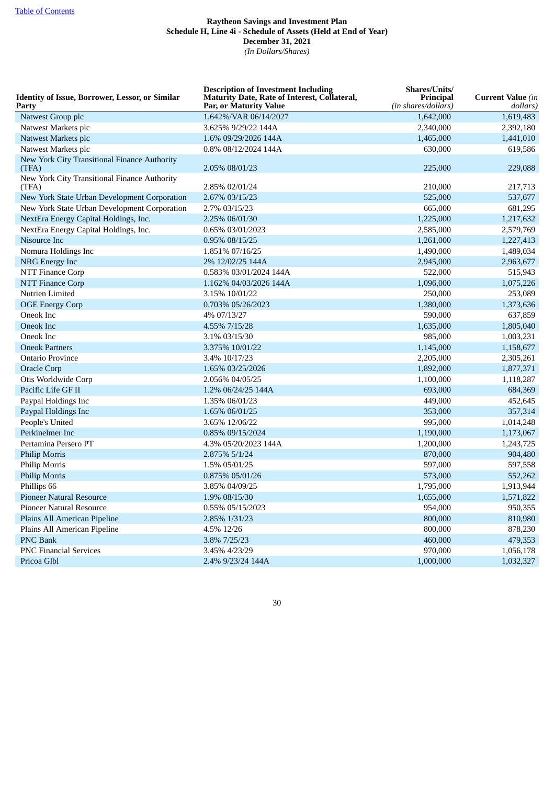| <b>Identity of Issue, Borrower, Lessor, or Similar</b><br>Party | <b>Description of Investment Including</b><br>Maturity Date, Rate of Interest, Collateral,<br>Par, or Maturity Value | Shares/Units/<br><b>Principal</b><br>(in shares/dollars) | <b>Current Value</b> (in<br>dollars) |
|-----------------------------------------------------------------|----------------------------------------------------------------------------------------------------------------------|----------------------------------------------------------|--------------------------------------|
| Natwest Group plc                                               | 1.642%/VAR 06/14/2027                                                                                                | 1,642,000                                                | 1,619,483                            |
| Natwest Markets plc                                             | 3.625% 9/29/22 144A                                                                                                  | 2,340,000                                                | 2,392,180                            |
| Natwest Markets plc                                             | 1.6% 09/29/2026 144A                                                                                                 | 1,465,000                                                | 1,441,010                            |
| Natwest Markets plc                                             | 0.8% 08/12/2024 144A                                                                                                 | 630,000                                                  | 619,586                              |
| New York City Transitional Finance Authority<br>(TFA)           | 2.05% 08/01/23                                                                                                       | 225,000                                                  | 229,088                              |
| New York City Transitional Finance Authority                    |                                                                                                                      |                                                          |                                      |
| (TFA)                                                           | 2.85% 02/01/24                                                                                                       | 210,000                                                  | 217,713                              |
| New York State Urban Development Corporation                    | 2.67% 03/15/23                                                                                                       | 525,000                                                  | 537,677                              |
| New York State Urban Development Corporation                    | 2.7% 03/15/23                                                                                                        | 665,000                                                  | 681,295                              |
| NextEra Energy Capital Holdings, Inc.                           | 2.25% 06/01/30                                                                                                       | 1,225,000                                                | 1,217,632                            |
| NextEra Energy Capital Holdings, Inc.                           | 0.65% 03/01/2023                                                                                                     | 2,585,000                                                | 2,579,769                            |
| Nisource Inc                                                    | 0.95% 08/15/25                                                                                                       | 1,261,000                                                | 1,227,413                            |
| Nomura Holdings Inc                                             | 1.851% 07/16/25                                                                                                      | 1,490,000                                                | 1,489,034                            |
| NRG Energy Inc                                                  | 2% 12/02/25 144A                                                                                                     | 2,945,000                                                | 2,963,677                            |
| <b>NTT Finance Corp</b>                                         | 0.583% 03/01/2024 144A                                                                                               | 522,000                                                  | 515,943                              |
| <b>NTT Finance Corp</b>                                         | 1.162% 04/03/2026 144A                                                                                               | 1,096,000                                                | 1,075,226                            |
| <b>Nutrien Limited</b>                                          | 3.15% 10/01/22                                                                                                       | 250,000                                                  | 253,089                              |
| <b>OGE Energy Corp</b>                                          | 0.703% 05/26/2023                                                                                                    | 1,380,000                                                | 1,373,636                            |
| Oneok Inc                                                       | 4% 07/13/27                                                                                                          | 590,000                                                  | 637,859                              |
| Oneok Inc                                                       | 4.55% 7/15/28                                                                                                        | 1,635,000                                                | 1,805,040                            |
| Oneok Inc                                                       | 3.1% 03/15/30                                                                                                        | 985,000                                                  | 1,003,231                            |
| <b>Oneok Partners</b>                                           | 3.375% 10/01/22                                                                                                      | 1,145,000                                                | 1,158,677                            |
| <b>Ontario Province</b>                                         | 3.4% 10/17/23                                                                                                        | 2,205,000                                                | 2,305,261                            |
| <b>Oracle Corp</b>                                              | 1.65% 03/25/2026                                                                                                     | 1,892,000                                                | 1,877,371                            |
| Otis Worldwide Corp                                             | 2.056% 04/05/25                                                                                                      | 1,100,000                                                | 1,118,287                            |
| Pacific Life GF II                                              | 1.2% 06/24/25 144A                                                                                                   | 693,000                                                  | 684,369                              |
| Paypal Holdings Inc                                             | 1.35% 06/01/23                                                                                                       | 449,000                                                  | 452,645                              |
| Paypal Holdings Inc                                             | 1.65% 06/01/25                                                                                                       | 353,000                                                  | 357,314                              |
| People's United                                                 | 3.65% 12/06/22                                                                                                       | 995,000                                                  | 1,014,248                            |
| Perkinelmer Inc                                                 | 0.85% 09/15/2024                                                                                                     | 1,190,000                                                | 1,173,067                            |
| Pertamina Persero PT                                            | 4.3% 05/20/2023 144A                                                                                                 | 1,200,000                                                | 1,243,725                            |
| <b>Philip Morris</b>                                            | 2.875% 5/1/24                                                                                                        | 870,000                                                  | 904,480                              |
| Philip Morris                                                   | 1.5% 05/01/25                                                                                                        | 597,000                                                  | 597,558                              |
| <b>Philip Morris</b>                                            | 0.875% 05/01/26                                                                                                      | 573,000                                                  | 552,262                              |
| Phillips 66                                                     | 3.85% 04/09/25                                                                                                       | 1,795,000                                                | 1,913,944                            |
| <b>Pioneer Natural Resource</b>                                 | 1.9% 08/15/30                                                                                                        | 1,655,000                                                | 1,571,822                            |
| <b>Pioneer Natural Resource</b>                                 | 0.55% 05/15/2023                                                                                                     | 954,000                                                  | 950,355                              |
| Plains All American Pipeline                                    | 2.85% 1/31/23                                                                                                        | 800,000                                                  | 810,980                              |
| Plains All American Pipeline                                    | 4.5% 12/26                                                                                                           | 800,000                                                  | 878,230                              |
| <b>PNC Bank</b>                                                 | 3.8% 7/25/23                                                                                                         | 460,000                                                  | 479,353                              |
| <b>PNC Financial Services</b>                                   | 3.45% 4/23/29                                                                                                        | 970,000                                                  | 1,056,178                            |
| Pricoa Glbl                                                     | 2.4% 9/23/24 144A                                                                                                    | 1,000,000                                                | 1,032,327                            |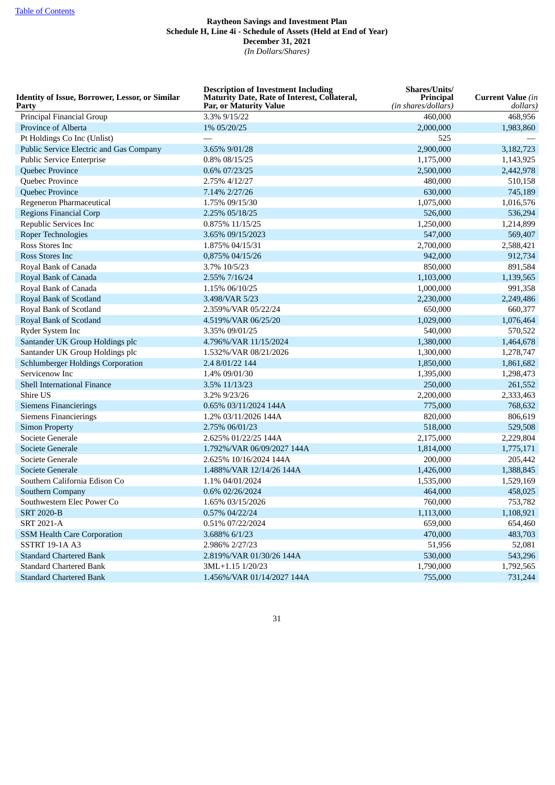| <b>Identity of Issue, Borrower, Lessor, or Similar</b><br>Party | <b>Description of Investment Including</b><br>Maturity Date, Rate of Interest, Collateral,<br>Par, or Maturity Value | Shares/Units/<br>Principal<br>(in shares/dollars) | <b>Current Value</b> (in<br>dollars) |
|-----------------------------------------------------------------|----------------------------------------------------------------------------------------------------------------------|---------------------------------------------------|--------------------------------------|
| Principal Financial Group                                       | 3.3% 9/15/22                                                                                                         | 460,000                                           | 468,956                              |
| Province of Alberta                                             | 1% 05/20/25                                                                                                          | 2,000,000                                         | 1,983,860                            |
| Pt Holdings Co Inc (Unlist)                                     |                                                                                                                      | 525                                               |                                      |
| Public Service Electric and Gas Company                         | 3.65% 9/01/28                                                                                                        | 2,900,000                                         | 3,182,723                            |
| Public Service Enterprise                                       | 0.8% 08/15/25                                                                                                        | 1,175,000                                         | 1,143,925                            |
| Quebec Province                                                 | 0.6% 07/23/25                                                                                                        | 2,500,000                                         | 2,442,978                            |
| Quebec Province                                                 | 2.75% 4/12/27                                                                                                        | 480,000                                           | 510,158                              |
| Quebec Province                                                 | 7.14% 2/27/26                                                                                                        | 630,000                                           | 745,189                              |
| Regeneron Pharmaceutical                                        | 1.75% 09/15/30                                                                                                       | 1,075,000                                         | 1,016,576                            |
| <b>Regions Financial Corp</b>                                   | 2.25% 05/18/25                                                                                                       | 526,000                                           | 536,294                              |
| Republic Services Inc                                           | 0.875% 11/15/25                                                                                                      | 1,250,000                                         | 1,214,899                            |
| <b>Roper Technologies</b>                                       | 3.65% 09/15/2023                                                                                                     | 547,000                                           | 569,407                              |
| Ross Stores Inc                                                 | 1.875% 04/15/31                                                                                                      | 2,700,000                                         | 2,588,421                            |
| Ross Stores Inc                                                 | 0,875% 04/15/26                                                                                                      | 942,000                                           | 912,734                              |
| Royal Bank of Canada                                            | 3.7% 10/5/23                                                                                                         | 850,000                                           | 891,584                              |
| Royal Bank of Canada                                            | 2.55% 7/16/24                                                                                                        | 1,103,000                                         | 1,139,565                            |
| Royal Bank of Canada                                            | 1.15% 06/10/25                                                                                                       | 1,000,000                                         | 991,358                              |
| <b>Royal Bank of Scotland</b>                                   | 3.498/VAR 5/23                                                                                                       | 2,230,000                                         | 2,249,486                            |
| Royal Bank of Scotland                                          | 2.359%/VAR 05/22/24                                                                                                  | 650,000                                           | 660,377                              |
| Royal Bank of Scotland                                          | 4.519%/VAR 06/25/20                                                                                                  | 1,029,000                                         | 1,076,464                            |
| Ryder System Inc                                                | 3.35% 09/01/25                                                                                                       | 540,000                                           | 570,522                              |
| Santander UK Group Holdings plc                                 | 4.796%/VAR 11/15/2024                                                                                                | 1,380,000                                         | 1,464,678                            |
| Santander UK Group Holdings plc                                 | 1.532%/VAR 08/21/2026                                                                                                | 1,300,000                                         | 1,278,747                            |
| <b>Schlumberger Holdings Corporation</b>                        | 2.4 8/01/22 144                                                                                                      | 1,850,000                                         | 1,861,682                            |
| Servicenow Inc                                                  | 1.4% 09/01/30                                                                                                        | 1,395,000                                         | 1,298,473                            |
| Shell International Finance                                     | 3.5% 11/13/23                                                                                                        | 250,000                                           | 261,552                              |
| Shire US                                                        | 3.2% 9/23/26                                                                                                         | 2,200,000                                         | 2,333,463                            |
| Siemens Financierings                                           | 0.65% 03/11/2024 144A                                                                                                | 775,000                                           | 768,632                              |
| Siemens Financierings                                           | 1.2% 03/11/2026 144A                                                                                                 | 820,000                                           | 806,619                              |
| <b>Simon Property</b>                                           | 2.75% 06/01/23                                                                                                       | 518,000                                           | 529,508                              |
| Societe Generale                                                | 2.625% 01/22/25 144A                                                                                                 | 2,175,000                                         | 2,229,804                            |
| Societe Generale                                                | 1.792%/VAR 06/09/2027 144A                                                                                           | 1,814,000                                         | 1,775,171                            |
| Societe Generale                                                | 2.625% 10/16/2024 144A                                                                                               | 200,000                                           | 205,442                              |
| Societe Generale                                                | 1.488%/VAR 12/14/26 144A                                                                                             | 1,426,000                                         | 1,388,845                            |
| Southern California Edison Co                                   | 1.1% 04/01/2024                                                                                                      | 1,535,000                                         | 1,529,169                            |
| Southern Company                                                | 0.6% 02/26/2024                                                                                                      | 464,000                                           | 458,025                              |
| Southwestern Elec Power Co                                      | 1.65% 03/15/2026                                                                                                     | 760,000                                           | 753,782                              |
| <b>SRT 2020-B</b>                                               | 0.57% 04/22/24                                                                                                       | 1,113,000                                         | 1,108,921                            |
| <b>SRT 2021-A</b>                                               | 0.51% 07/22/2024                                                                                                     | 659,000                                           | 654,460                              |
| <b>SSM Health Care Corporation</b>                              | 3.688% 6/1/23                                                                                                        | 470,000                                           | 483,703                              |
| <b>SSTRT 19-1A A3</b>                                           | 2.986% 2/27/23                                                                                                       | 51,956                                            | 52,081                               |
| <b>Standard Chartered Bank</b>                                  | 2.819%/VAR 01/30/26 144A                                                                                             | 530,000                                           | 543,296                              |
| <b>Standard Chartered Bank</b>                                  | 3ML+1.15 1/20/23                                                                                                     | 1,790,000                                         | 1,792,565                            |
| <b>Standard Chartered Bank</b>                                  | 1.456%/VAR 01/14/2027 144A                                                                                           | 755,000                                           | 731,244                              |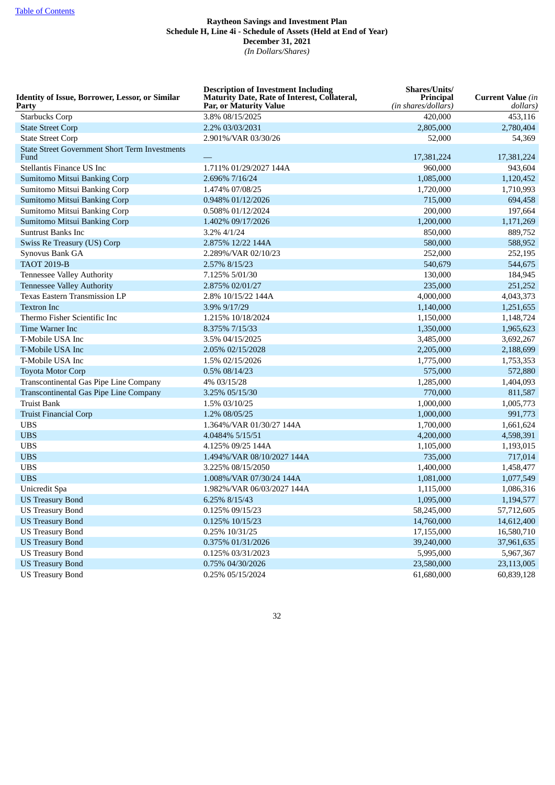| <b>Identity of Issue, Borrower, Lessor, or Similar</b><br>Party | <b>Description of Investment Including</b><br>Maturity Date, Rate of Interest, Collateral,<br>Par, or Maturity Value | <b>Shares/Units/</b><br>Principal<br>(in shares/dollars) | <b>Current Value</b> (in<br>dollars) |
|-----------------------------------------------------------------|----------------------------------------------------------------------------------------------------------------------|----------------------------------------------------------|--------------------------------------|
| <b>Starbucks Corp</b>                                           | 3.8% 08/15/2025                                                                                                      | 420,000                                                  | 453,116                              |
| <b>State Street Corp</b>                                        | 2.2% 03/03/2031                                                                                                      | 2,805,000                                                | 2,780,404                            |
| <b>State Street Corp</b>                                        | 2.901%/VAR 03/30/26                                                                                                  | 52,000                                                   | 54,369                               |
| <b>State Street Government Short Term Investments</b><br>Fund   |                                                                                                                      | 17,381,224                                               | 17,381,224                           |
| <b>Stellantis Finance US Inc</b>                                | 1.711% 01/29/2027 144A                                                                                               | 960,000                                                  | 943,604                              |
| Sumitomo Mitsui Banking Corp                                    | 2.696% 7/16/24                                                                                                       | 1,085,000                                                | 1,120,452                            |
| Sumitomo Mitsui Banking Corp                                    | 1.474% 07/08/25                                                                                                      | 1,720,000                                                | 1,710,993                            |
| Sumitomo Mitsui Banking Corp                                    | 0.948% 01/12/2026                                                                                                    | 715,000                                                  | 694,458                              |
| Sumitomo Mitsui Banking Corp                                    | 0.508% 01/12/2024                                                                                                    | 200,000                                                  | 197,664                              |
| Sumitomo Mitsui Banking Corp                                    | 1.402% 09/17/2026                                                                                                    | 1,200,000                                                | 1,171,269                            |
| <b>Suntrust Banks Inc.</b>                                      | 3.2% 4/1/24                                                                                                          | 850,000                                                  | 889,752                              |
| Swiss Re Treasury (US) Corp                                     | 2.875% 12/22 144A                                                                                                    | 580,000                                                  | 588,952                              |
| Synovus Bank GA                                                 | 2.289%/VAR 02/10/23                                                                                                  | 252,000                                                  | 252,195                              |
| <b>TAOT 2019-B</b>                                              | 2.57% 8/15/23                                                                                                        | 540,679                                                  | 544,675                              |
| <b>Tennessee Valley Authority</b>                               | 7.125% 5/01/30                                                                                                       | 130,000                                                  | 184,945                              |
| <b>Tennessee Valley Authority</b>                               | 2.875% 02/01/27                                                                                                      | 235,000                                                  | 251,252                              |
| <b>Texas Eastern Transmission LP</b>                            | 2.8% 10/15/22 144A                                                                                                   | 4,000,000                                                | 4,043,373                            |
| <b>Textron Inc</b>                                              | 3.9% 9/17/29                                                                                                         | 1,140,000                                                | 1,251,655                            |
| Thermo Fisher Scientific Inc                                    | 1.215% 10/18/2024                                                                                                    | 1,150,000                                                | 1,148,724                            |
| Time Warner Inc.                                                | 8.375% 7/15/33                                                                                                       | 1,350,000                                                | 1,965,623                            |
| T-Mobile USA Inc                                                | 3.5% 04/15/2025                                                                                                      | 3,485,000                                                | 3,692,267                            |
| T-Mobile USA Inc                                                | 2.05% 02/15/2028                                                                                                     | 2,205,000                                                | 2,188,699                            |
| T-Mobile USA Inc                                                | 1.5% 02/15/2026                                                                                                      | 1,775,000                                                | 1,753,353                            |
| <b>Toyota Motor Corp</b>                                        | 0.5% 08/14/23                                                                                                        | 575,000                                                  | 572,880                              |
| Transcontinental Gas Pipe Line Company                          | 4% 03/15/28                                                                                                          | 1,285,000                                                | 1,404,093                            |
| Transcontinental Gas Pipe Line Company                          | 3.25% 05/15/30                                                                                                       | 770,000                                                  | 811,587                              |
| <b>Truist Bank</b>                                              | 1.5% 03/10/25                                                                                                        | 1,000,000                                                | 1,005,773                            |
| <b>Truist Financial Corp</b>                                    | 1.2% 08/05/25                                                                                                        | 1,000,000                                                | 991,773                              |
| <b>UBS</b>                                                      | 1.364%/VAR 01/30/27 144A                                                                                             | 1,700,000                                                | 1,661,624                            |
| <b>UBS</b>                                                      | 4.0484% 5/15/51                                                                                                      | 4,200,000                                                | 4,598,391                            |
| <b>UBS</b>                                                      | 4.125% 09/25 144A                                                                                                    | 1,105,000                                                | 1,193,015                            |
| <b>UBS</b>                                                      | 1.494%/VAR 08/10/2027 144A                                                                                           | 735,000                                                  | 717,014                              |
| <b>UBS</b>                                                      | 3.225% 08/15/2050                                                                                                    | 1,400,000                                                | 1,458,477                            |
| <b>UBS</b>                                                      | 1.008%/VAR 07/30/24 144A                                                                                             | 1,081,000                                                | 1,077,549                            |
| Unicredit Spa                                                   | 1.982%/VAR 06/03/2027 144A                                                                                           | 1,115,000                                                | 1,086,316                            |
| <b>US Treasury Bond</b>                                         | 6.25% 8/15/43                                                                                                        | 1,095,000                                                | 1,194,577                            |
| <b>US Treasury Bond</b>                                         | 0.125% 09/15/23                                                                                                      | 58,245,000                                               | 57,712,605                           |
| <b>US Treasury Bond</b>                                         | 0.125% 10/15/23                                                                                                      | 14,760,000                                               | 14,612,400                           |
| <b>US Treasury Bond</b>                                         | 0.25% 10/31/25                                                                                                       | 17,155,000                                               | 16,580,710                           |
| <b>US Treasury Bond</b>                                         | 0.375% 01/31/2026                                                                                                    | 39,240,000                                               | 37,961,635                           |
| <b>US Treasury Bond</b>                                         | 0.125% 03/31/2023                                                                                                    | 5,995,000                                                | 5,967,367                            |
| <b>US Treasury Bond</b>                                         | 0.75% 04/30/2026                                                                                                     | 23,580,000                                               | 23,113,005                           |
| <b>US Treasury Bond</b>                                         | 0.25% 05/15/2024                                                                                                     | 61,680,000                                               | 60,839,128                           |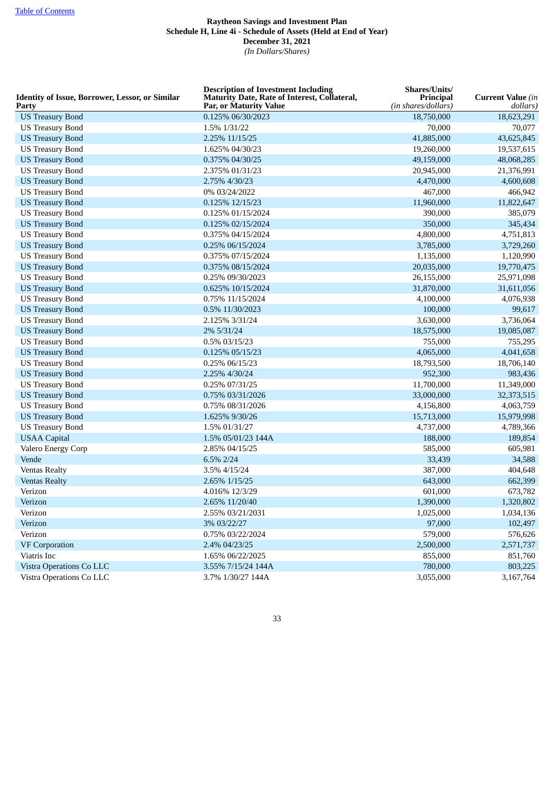| <b>Identity of Issue, Borrower, Lessor, or Similar</b><br>Party | <b>Description of Investment Including</b><br>Maturity Date, Rate of Interest, Collateral,<br>Par, or Maturity Value | Shares/Units/<br><b>Principal</b><br>(in shares/dollars) | <b>Current Value</b> (in<br>dollars) |
|-----------------------------------------------------------------|----------------------------------------------------------------------------------------------------------------------|----------------------------------------------------------|--------------------------------------|
| <b>US Treasury Bond</b>                                         | 0.125% 06/30/2023                                                                                                    | 18,750,000                                               | 18,623,291                           |
| <b>US Treasury Bond</b>                                         | 1.5% 1/31/22                                                                                                         | 70,000                                                   | 70,077                               |
| <b>US Treasury Bond</b>                                         | 2.25% 11/15/25                                                                                                       | 41,885,000                                               | 43,625,845                           |
| <b>US Treasury Bond</b>                                         | 1.625% 04/30/23                                                                                                      | 19,260,000                                               | 19,537,615                           |
| <b>US Treasury Bond</b>                                         | 0.375% 04/30/25                                                                                                      | 49,159,000                                               | 48,068,285                           |
| <b>US Treasury Bond</b>                                         | 2.375% 01/31/23                                                                                                      | 20,945,000                                               | 21,376,991                           |
| <b>US Treasury Bond</b>                                         | 2.75% 4/30/23                                                                                                        | 4,470,000                                                | 4,600,608                            |
| <b>US Treasury Bond</b>                                         | 0% 03/24/2022                                                                                                        | 467,000                                                  | 466,942                              |
| <b>US Treasury Bond</b>                                         | 0.125% 12/15/23                                                                                                      | 11,960,000                                               | 11,822,647                           |
| <b>US Treasury Bond</b>                                         | 0.125% 01/15/2024                                                                                                    | 390,000                                                  | 385,079                              |
| <b>US Treasury Bond</b>                                         | 0.125% 02/15/2024                                                                                                    | 350,000                                                  | 345,434                              |
| <b>US Treasury Bond</b>                                         | 0.375% 04/15/2024                                                                                                    | 4,800,000                                                | 4,751,813                            |
| <b>US Treasury Bond</b>                                         | 0.25% 06/15/2024                                                                                                     | 3,785,000                                                | 3,729,260                            |
| <b>US Treasury Bond</b>                                         | 0.375% 07/15/2024                                                                                                    | 1,135,000                                                | 1,120,990                            |
| <b>US Treasury Bond</b>                                         | 0.375% 08/15/2024                                                                                                    | 20,035,000                                               | 19,770,475                           |
| <b>US Treasury Bond</b>                                         | 0.25% 09/30/2023                                                                                                     | 26,155,000                                               | 25,971,098                           |
| <b>US Treasury Bond</b>                                         | 0.625% 10/15/2024                                                                                                    | 31,870,000                                               | 31,611,056                           |
| <b>US Treasury Bond</b>                                         | 0.75% 11/15/2024                                                                                                     | 4,100,000                                                | 4,076,938                            |
| <b>US Treasury Bond</b>                                         | 0.5% 11/30/2023                                                                                                      | 100,000                                                  | 99,617                               |
| <b>US Treasury Bond</b>                                         | 2.125% 3/31/24                                                                                                       | 3,630,000                                                | 3,736,064                            |
| <b>US Treasury Bond</b>                                         | 2% 5/31/24                                                                                                           | 18,575,000                                               | 19,085,087                           |
| <b>US Treasury Bond</b>                                         | 0.5% 03/15/23                                                                                                        | 755,000                                                  | 755,295                              |
| <b>US Treasury Bond</b>                                         | 0.125% 05/15/23                                                                                                      | 4,065,000                                                | 4,041,658                            |
| <b>US Treasury Bond</b>                                         | 0.25% 06/15/23                                                                                                       | 18,793,500                                               | 18,706,140                           |
| <b>US Treasury Bond</b>                                         | 2.25% 4/30/24                                                                                                        | 952,300                                                  | 983,436                              |
| <b>US Treasury Bond</b>                                         | 0.25% 07/31/25                                                                                                       | 11,700,000                                               | 11,349,000                           |
| <b>US Treasury Bond</b>                                         | 0.75% 03/31/2026                                                                                                     | 33,000,000                                               | 32,373,515                           |
| <b>US Treasury Bond</b>                                         | 0.75% 08/31/2026                                                                                                     | 4,156,800                                                | 4,063,759                            |
| <b>US Treasury Bond</b>                                         | 1.625% 9/30/26                                                                                                       | 15,713,000                                               | 15,979,998                           |
| <b>US Treasury Bond</b>                                         | 1.5% 01/31/27                                                                                                        | 4,737,000                                                | 4,789,366                            |
| <b>USAA Capital</b>                                             | 1.5% 05/01/23 144A                                                                                                   | 188,000                                                  | 189,854                              |
| Valero Energy Corp                                              | 2.85% 04/15/25                                                                                                       | 585,000                                                  | 605,981                              |
| Vende                                                           | 6.5% 2/24                                                                                                            | 33,439                                                   | 34,588                               |
| <b>Ventas Realty</b>                                            | 3.5% 4/15/24                                                                                                         | 387,000                                                  | 404,648                              |
| <b>Ventas Realty</b>                                            | 2.65% 1/15/25                                                                                                        | 643,000                                                  | 662,399                              |
| Verizon                                                         | 4.016% 12/3/29                                                                                                       | 601,000                                                  | 673,782                              |
| Verizon                                                         | 2.65% 11/20/40                                                                                                       | 1,390,000                                                | 1,320,802                            |
| Verizon                                                         | 2.55% 03/21/2031                                                                                                     | 1,025,000                                                | 1,034,136                            |
| Verizon                                                         | 3% 03/22/27                                                                                                          | 97,000                                                   | 102,497                              |
| Verizon                                                         | 0.75% 03/22/2024                                                                                                     | 579,000                                                  | 576,626                              |
| <b>VF Corporation</b>                                           | 2.4% 04/23/25                                                                                                        | 2,500,000                                                | 2,571,737                            |
| Viatris Inc                                                     | 1.65% 06/22/2025                                                                                                     | 855,000                                                  | 851,760                              |
| Vistra Operations Co LLC                                        | 3.55% 7/15/24 144A                                                                                                   | 780,000                                                  | 803,225                              |
| Vistra Operations Co LLC                                        | 3.7% 1/30/27 144A                                                                                                    | 3,055,000                                                | 3,167,764                            |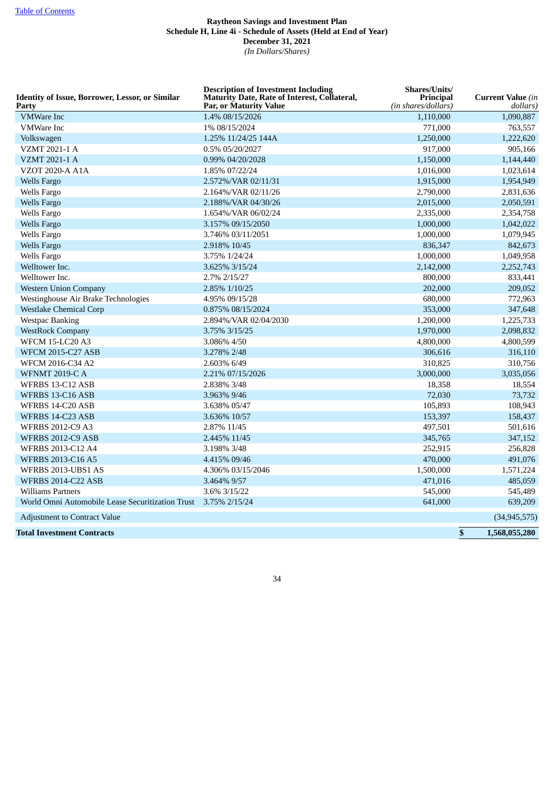| <b>Identity of Issue, Borrower, Lessor, or Similar</b><br>Party | <b>Description of Investment Including</b><br>Maturity Date, Rate of Interest, Collateral,<br>Par, or Maturity Value | Shares/Units/<br>Principal<br>(in shares/dollars) | <b>Current Value</b> (in<br>dollars) |
|-----------------------------------------------------------------|----------------------------------------------------------------------------------------------------------------------|---------------------------------------------------|--------------------------------------|
| <b>VMWare Inc</b>                                               | 1.4% 08/15/2026                                                                                                      | 1,110,000                                         | 1,090,887                            |
| <b>VMWare Inc</b>                                               | 1% 08/15/2024                                                                                                        | 771,000                                           | 763,557                              |
| Volkswagen                                                      | 1.25% 11/24/25 144A                                                                                                  | 1,250,000                                         | 1,222,620                            |
| VZMT 2021-1 A                                                   | 0.5% 05/20/2027                                                                                                      | 917,000                                           | 905,166                              |
| <b>VZMT 2021-1 A</b>                                            | 0.99% 04/20/2028                                                                                                     | 1,150,000                                         | 1,144,440                            |
| VZOT 2020-A A1A                                                 | 1.85% 07/22/24                                                                                                       | 1,016,000                                         | 1,023,614                            |
| Wells Fargo                                                     | 2.572%/VAR 02/11/31                                                                                                  | 1,915,000                                         | 1,954,949                            |
| Wells Fargo                                                     | 2.164%/VAR 02/11/26                                                                                                  | 2,790,000                                         | 2,831,636                            |
| Wells Fargo                                                     | 2.188%/VAR 04/30/26                                                                                                  | 2,015,000                                         | 2,050,591                            |
| Wells Fargo                                                     | 1.654%/VAR 06/02/24                                                                                                  | 2,335,000                                         | 2,354,758                            |
| Wells Fargo                                                     | 3.157% 09/15/2050                                                                                                    | 1,000,000                                         | 1,042,022                            |
| Wells Fargo                                                     | 3.746% 03/11/2051                                                                                                    | 1,000,000                                         | 1,079,945                            |
| Wells Fargo                                                     | 2.918% 10/45                                                                                                         | 836,347                                           | 842,673                              |
| Wells Fargo                                                     | 3.75% 1/24/24                                                                                                        | 1,000,000                                         | 1,049,958                            |
| Welltower Inc.                                                  | 3.625% 3/15/24                                                                                                       | 2,142,000                                         | 2,252,743                            |
| Welltower Inc.                                                  | 2.7% 2/15/27                                                                                                         | 800,000                                           | 833,441                              |
| <b>Western Union Company</b>                                    | 2.85% 1/10/25                                                                                                        | 202,000                                           | 209,052                              |
| Westinghouse Air Brake Technologies                             | 4.95% 09/15/28                                                                                                       | 680,000                                           | 772,963                              |
| <b>Westlake Chemical Corp</b>                                   | 0.875% 08/15/2024                                                                                                    | 353,000                                           | 347,648                              |
| <b>Westpac Banking</b>                                          | 2.894%/VAR 02/04/2030                                                                                                | 1,200,000                                         | 1,225,733                            |
| <b>WestRock Company</b>                                         | 3.75% 3/15/25                                                                                                        | 1,970,000                                         | 2,098,832                            |
| <b>WFCM 15-LC20 A3</b>                                          | 3.086% 4/50                                                                                                          | 4,800,000                                         | 4,800,599                            |
| <b>WFCM 2015-C27 ASB</b>                                        | 3.278% 2/48                                                                                                          | 306,616                                           | 316,110                              |
| WFCM 2016-C34 A2                                                | 2.603% 6/49                                                                                                          | 310,825                                           | 310,756                              |
| <b>WFNMT 2019-C A</b>                                           | 2.21% 07/15/2026                                                                                                     | 3,000,000                                         | 3,035,056                            |
| WFRBS 13-C12 ASB                                                | 2.838% 3/48                                                                                                          | 18,358                                            | 18,554                               |
| WFRBS 13-C16 ASB                                                | 3.963% 9/46                                                                                                          | 72,030                                            | 73,732                               |
| WFRBS 14-C20 ASB                                                | 3.638% 05/47                                                                                                         | 105,893                                           | 108,943                              |
| WFRBS 14-C23 ASB                                                | 3.636% 10/57                                                                                                         | 153,397                                           | 158,437                              |
| <b>WFRBS 2012-C9 A3</b>                                         | 2.87% 11/45                                                                                                          | 497,501                                           | 501,616                              |
| <b>WFRBS 2012-C9 ASB</b>                                        | 2.445% 11/45                                                                                                         | 345,765                                           | 347,152                              |
| WFRBS 2013-C12 A4                                               | 3.198% 3/48                                                                                                          | 252,915                                           | 256,828                              |
| <b>WFRBS 2013-C16 A5</b>                                        | 4.415% 09/46                                                                                                         | 470,000                                           | 491,076                              |
| WFRBS 2013-UBS1 AS                                              | 4.306% 03/15/2046                                                                                                    | 1,500,000                                         | 1,571,224                            |
| <b>WFRBS 2014-C22 ASB</b>                                       | 3.464% 9/57                                                                                                          | 471,016                                           | 485,059                              |
| <b>Williams Partners</b>                                        | 3.6% 3/15/22                                                                                                         | 545,000                                           | 545,489                              |
| World Omni Automobile Lease Securitization Trust                | 3.75% 2/15/24                                                                                                        | 641,000                                           | 639,209                              |
| <b>Adjustment to Contract Value</b>                             |                                                                                                                      |                                                   | (34, 945, 575)                       |
| <b>Total Investment Contracts</b>                               |                                                                                                                      |                                                   | \$<br>1,568,055,280                  |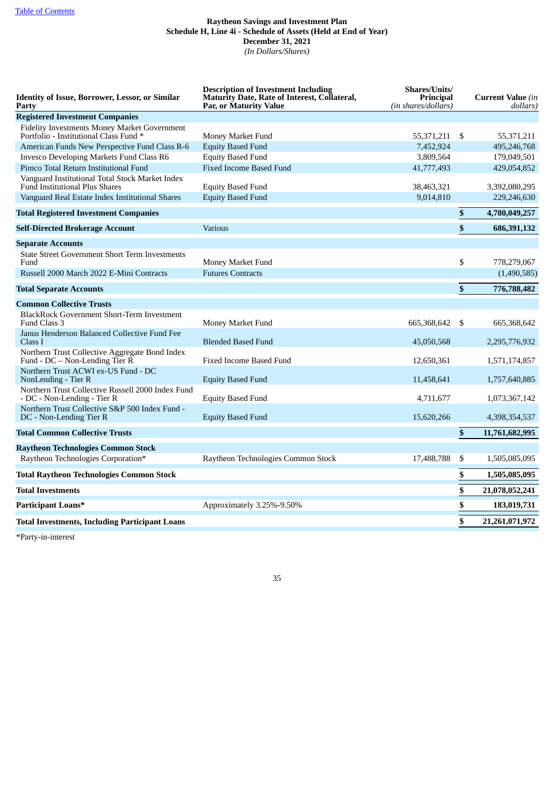| <b>Identity of Issue, Borrower, Lessor, or Similar</b><br>Party                               | <b>Description of Investment Including</b><br>Maturity Date, Rate of Interest, Collateral,<br>Par, or Maturity Value | <b>Shares/Units/</b><br>Principal<br>(in shares/dollars) |     | <b>Current Value</b> (in<br>dollars) |
|-----------------------------------------------------------------------------------------------|----------------------------------------------------------------------------------------------------------------------|----------------------------------------------------------|-----|--------------------------------------|
| <b>Registered Investment Companies</b>                                                        |                                                                                                                      |                                                          |     |                                      |
| <b>Fidelity Investments Money Market Government</b><br>Portfolio - Institutional Class Fund * | Money Market Fund                                                                                                    | 55,371,211                                               | -\$ | 55,371,211                           |
| American Funds New Perspective Fund Class R-6                                                 | <b>Equity Based Fund</b>                                                                                             | 7,452,924                                                |     | 495,246,768                          |
| Invesco Developing Markets Fund Class R6                                                      | <b>Equity Based Fund</b>                                                                                             | 3,809,564                                                |     | 179,049,501                          |
| Pimco Total Return Institutional Fund                                                         | <b>Fixed Income Based Fund</b>                                                                                       | 41,777,493                                               |     | 429,054,852                          |
| Vanguard Institutional Total Stock Market Index<br><b>Fund Institutional Plus Shares</b>      | <b>Equity Based Fund</b>                                                                                             | 38,463,321                                               |     | 3,392,080,295                        |
| Vanguard Real Estate Index Institutional Shares                                               | <b>Equity Based Fund</b>                                                                                             | 9,014,810                                                |     | 229,246,630                          |
| <b>Total Registered Investment Companies</b>                                                  |                                                                                                                      |                                                          | \$  | 4,780,049,257                        |
| <b>Self-Directed Brokerage Account</b>                                                        | <b>Various</b>                                                                                                       |                                                          | \$  | 686,391,132                          |
| <b>Separate Accounts</b>                                                                      |                                                                                                                      |                                                          |     |                                      |
| <b>State Street Government Short Term Investments</b><br>Fund                                 | Money Market Fund                                                                                                    |                                                          | \$  | 778,279,067                          |
| Russell 2000 March 2022 E-Mini Contracts                                                      | <b>Futures Contracts</b>                                                                                             |                                                          |     | (1,490,585)                          |
| <b>Total Separate Accounts</b>                                                                |                                                                                                                      |                                                          | \$  | 776,788,482                          |
| <b>Common Collective Trusts</b>                                                               |                                                                                                                      |                                                          |     |                                      |
| <b>BlackRock Government Short-Term Investment</b><br>Fund Class 3                             | Money Market Fund                                                                                                    | 665,368,642                                              | -\$ | 665,368,642                          |
| Janus Henderson Balanced Collective Fund Fee<br>Class I                                       | <b>Blended Based Fund</b>                                                                                            | 45,050,568                                               |     | 2,295,776,932                        |
| Northern Trust Collective Aggregate Bond Index<br>Fund - DC - Non-Lending Tier R              | <b>Fixed Income Based Fund</b>                                                                                       | 12,650,361                                               |     | 1,571,174,857                        |
| Northern Trust ACWI ex-US Fund - DC<br>NonLending - Tier R                                    | <b>Equity Based Fund</b>                                                                                             | 11,458,641                                               |     | 1,757,640,885                        |
| Northern Trust Collective Russell 2000 Index Fund<br>- DC - Non-Lending - Tier R              | <b>Equity Based Fund</b>                                                                                             | 4,711,677                                                |     | 1,073,367,142                        |
| Northern Trust Collective S&P 500 Index Fund -<br>DC - Non-Lending Tier R                     | <b>Equity Based Fund</b>                                                                                             | 15,620,266                                               |     | 4,398,354,537                        |
| <b>Total Common Collective Trusts</b>                                                         |                                                                                                                      |                                                          | \$  | 11,761,682,995                       |
| <b>Raytheon Technologies Common Stock</b>                                                     |                                                                                                                      |                                                          |     |                                      |
| Raytheon Technologies Corporation*                                                            | Raytheon Technologies Common Stock                                                                                   | 17,488,788                                               | \$  | 1,505,085,095                        |
| <b>Total Raytheon Technologies Common Stock</b>                                               |                                                                                                                      |                                                          | \$  | 1,505,085,095                        |
| <b>Total Investments</b>                                                                      |                                                                                                                      |                                                          | \$  | 21,078,052,241                       |
| <b>Participant Loans*</b>                                                                     | Approximately 3.25%-9.50%                                                                                            |                                                          | \$  | 183,019,731                          |
| <b>Total Investments, Including Participant Loans</b>                                         |                                                                                                                      |                                                          | \$  | 21,261,071,972                       |

<span id="page-36-0"></span>\*Party-in-interest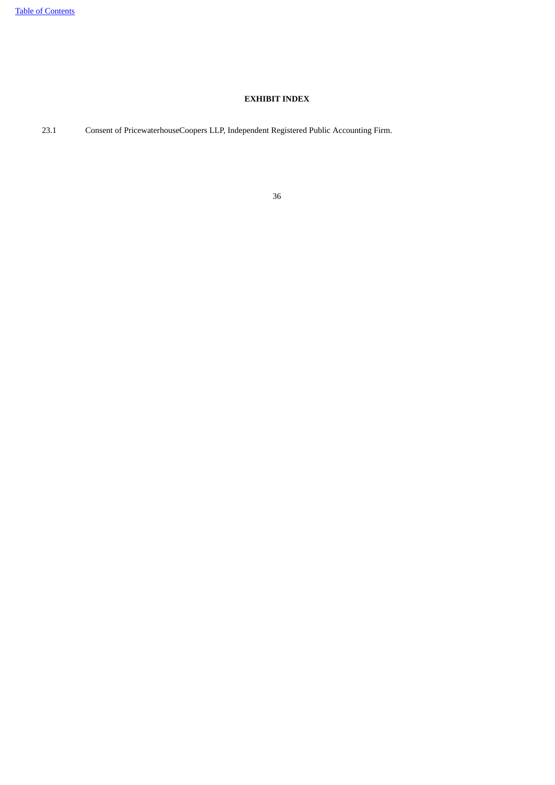# **EXHIBIT INDEX**

<span id="page-37-0"></span>23.1 Consent of PricewaterhouseCoopers LLP, Independent Registered Public Accounting Firm.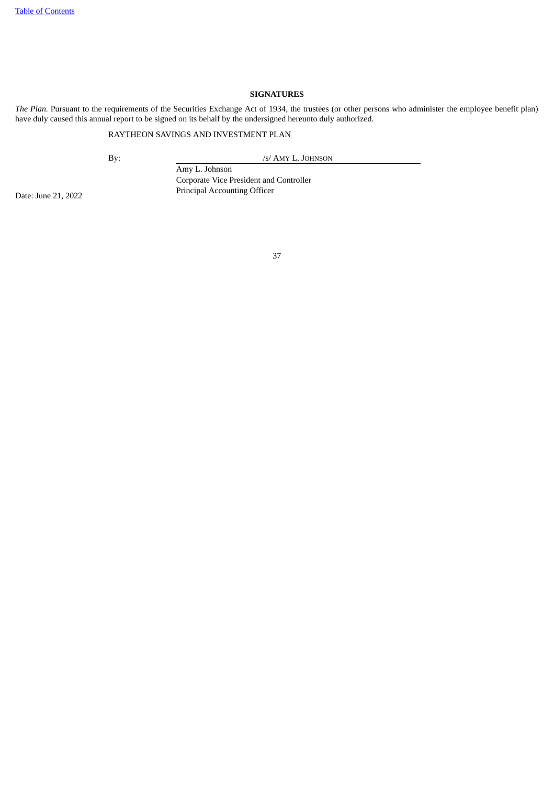#### **SIGNATURES**

*The Plan.* Pursuant to the requirements of the Securities Exchange Act of 1934, the trustees (or other persons who administer the employee benefit plan) have duly caused this annual report to be signed on its behalf by the undersigned hereunto duly authorized.

# RAYTHEON SAVINGS AND INVESTMENT PLAN

By:  $\frac{1}{s}$  AMY L. JOHNSON

Amy L. Johnson

Corporate Vice President and Controller Principal Accounting Officer

Date: June 21, 2022